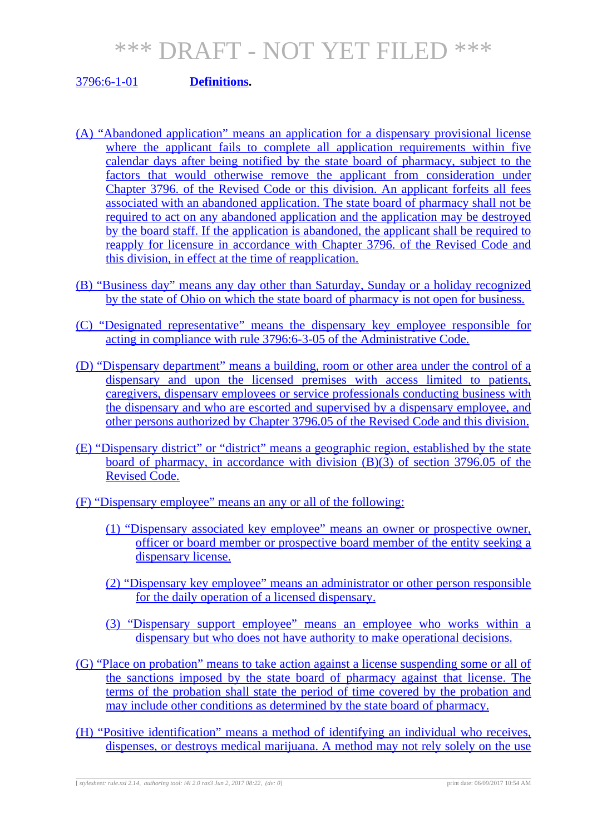### 3796:6-1-01 **Definitions.**

- (A) "Abandoned application" means an application for a dispensary provisional license where the applicant fails to complete all application requirements within five calendar days after being notified by the state board of pharmacy, subject to the factors that would otherwise remove the applicant from consideration under Chapter 3796. of the Revised Code or this division. An applicant forfeits all fees associated with an abandoned application. The state board of pharmacy shall not be required to act on any abandoned application and the application may be destroyed by the board staff. If the application is abandoned, the applicant shall be required to reapply for licensure in accordance with Chapter 3796. of the Revised Code and this division, in effect at the time of reapplication.
- (B) "Business day" means any day other than Saturday, Sunday or a holiday recognized by the state of Ohio on which the state board of pharmacy is not open for business.
- (C) "Designated representative" means the dispensary key employee responsible for acting in compliance with rule 3796:6-3-05 of the Administrative Code.
- (D) "Dispensary department" means a building, room or other area under the control of a dispensary and upon the licensed premises with access limited to patients, caregivers, dispensary employees or service professionals conducting business with the dispensary and who are escorted and supervised by a dispensary employee, and other persons authorized by Chapter 3796.05 of the Revised Code and this division.
- (E) "Dispensary district" or "district" means a geographic region, established by the state board of pharmacy, in accordance with division  $(B)(3)$  of section 3796.05 of the Revised Code.
- (F) "Dispensary employee" means an any or all of the following:
	- (1) "Dispensary associated key employee" means an owner or prospective owner, officer or board member or prospective board member of the entity seeking a dispensary license.
	- (2) "Dispensary key employee" means an administrator or other person responsible for the daily operation of a licensed dispensary.
	- (3) "Dispensary support employee" means an employee who works within a dispensary but who does not have authority to make operational decisions.
- (G) "Place on probation" means to take action against a license suspending some or all of the sanctions imposed by the state board of pharmacy against that license. The terms of the probation shall state the period of time covered by the probation and may include other conditions as determined by the state board of pharmacy.
- (H) "Positive identification" means a method of identifying an individual who receives, dispenses, or destroys medical marijuana. A method may not rely solely on the use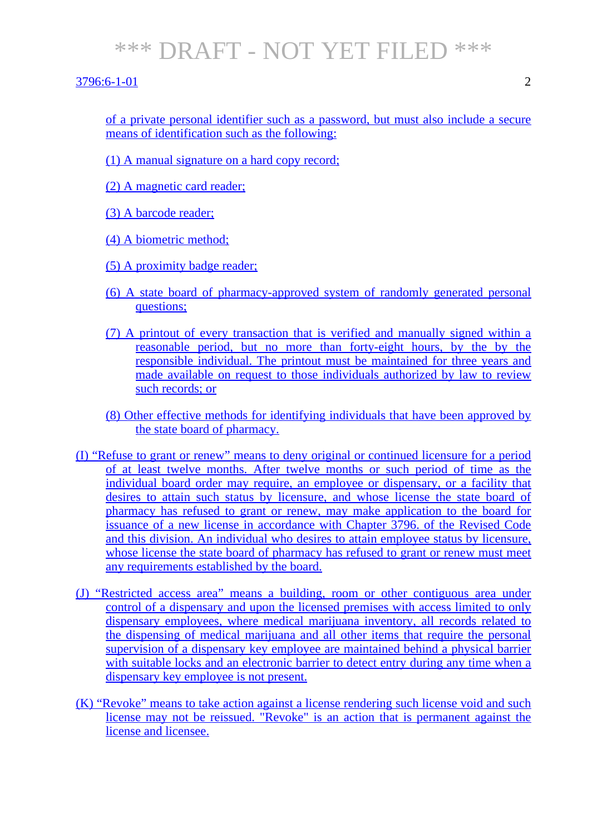#### 3796:6-1-01 2

of a private personal identifier such as a password, but must also include a secure means of identification such as the following:

(1) A manual signature on a hard copy record;

(2) A magnetic card reader;

(3) A barcode reader;

(4) A biometric method;

(5) A proximity badge reader;

- (6) A state board of pharmacy-approved system of randomly generated personal questions;
- (7) A printout of every transaction that is verified and manually signed within a reasonable period, but no more than forty-eight hours, by the by the responsible individual. The printout must be maintained for three years and made available on request to those individuals authorized by law to review such records; or
- (8) Other effective methods for identifying individuals that have been approved by the state board of pharmacy.
- (I) "Refuse to grant or renew" means to deny original or continued licensure for a period of at least twelve months. After twelve months or such period of time as the individual board order may require, an employee or dispensary, or a facility that desires to attain such status by licensure, and whose license the state board of pharmacy has refused to grant or renew, may make application to the board for issuance of a new license in accordance with Chapter 3796. of the Revised Code and this division. An individual who desires to attain employee status by licensure, whose license the state board of pharmacy has refused to grant or renew must meet any requirements established by the board.
- (J) "Restricted access area" means a building, room or other contiguous area under control of a dispensary and upon the licensed premises with access limited to only dispensary employees, where medical marijuana inventory, all records related to the dispensing of medical marijuana and all other items that require the personal supervision of a dispensary key employee are maintained behind a physical barrier with suitable locks and an electronic barrier to detect entry during any time when a dispensary key employee is not present.
- (K) "Revoke" means to take action against a license rendering such license void and such license may not be reissued. "Revoke" is an action that is permanent against the license and licensee.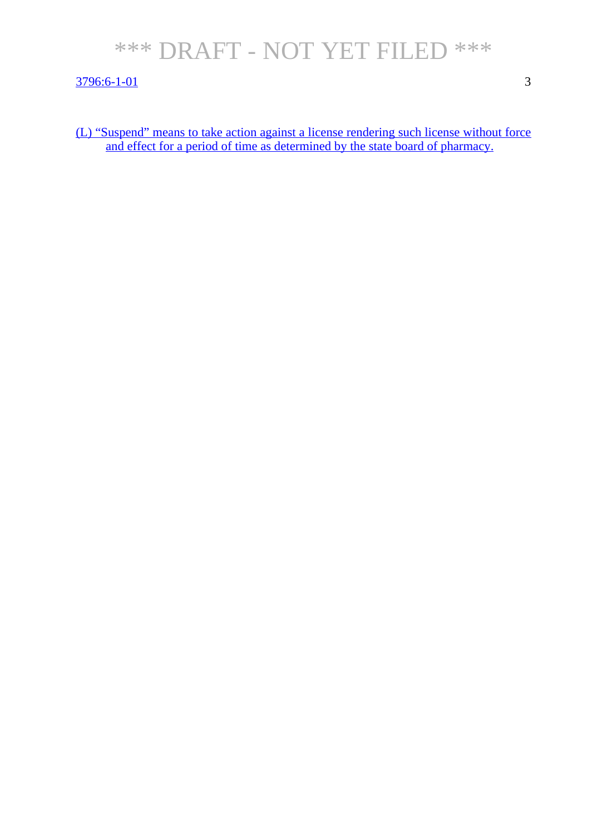#### 3796:6-1-01 3

(L) "Suspend" means to take action against a license rendering such license without force and effect for a period of time as determined by the state board of pharmacy.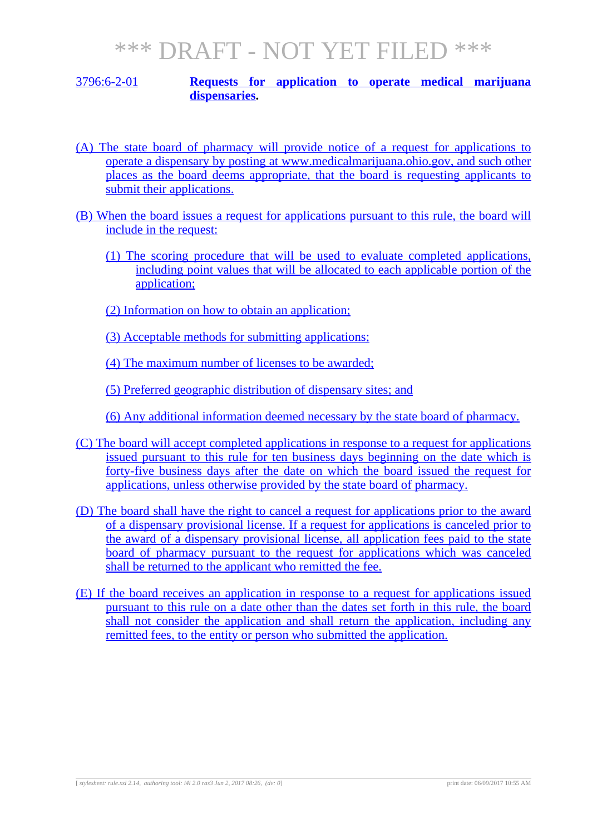#### 3796:6-2-01 **Requests for application to operate medical marijuana dispensaries.**

- (A) The state board of pharmacy will provide notice of a request for applications to operate a dispensary by posting at www.medicalmarijuana.ohio.gov, and such other places as the board deems appropriate, that the board is requesting applicants to submit their applications.
- (B) When the board issues a request for applications pursuant to this rule, the board will include in the request:
	- (1) The scoring procedure that will be used to evaluate completed applications, including point values that will be allocated to each applicable portion of the application;
	- (2) Information on how to obtain an application;
	- (3) Acceptable methods for submitting applications;

(4) The maximum number of licenses to be awarded;

(5) Preferred geographic distribution of dispensary sites; and

(6) Any additional information deemed necessary by the state board of pharmacy.

- (C) The board will accept completed applications in response to a request for applications issued pursuant to this rule for ten business days beginning on the date which is forty-five business days after the date on which the board issued the request for applications, unless otherwise provided by the state board of pharmacy.
- (D) The board shall have the right to cancel a request for applications prior to the award of a dispensary provisional license. If a request for applications is canceled prior to the award of a dispensary provisional license, all application fees paid to the state board of pharmacy pursuant to the request for applications which was canceled shall be returned to the applicant who remitted the fee.
- (E) If the board receives an application in response to a request for applications issued pursuant to this rule on a date other than the dates set forth in this rule, the board shall not consider the application and shall return the application, including any remitted fees, to the entity or person who submitted the application.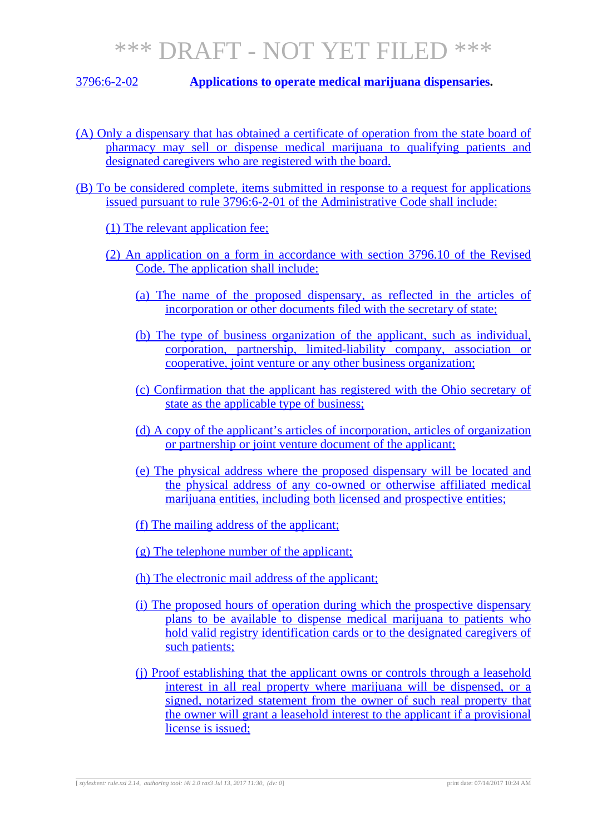3796:6-2-02 **Applications to operate medical marijuana dispensaries.**

- (A) Only a dispensary that has obtained a certificate of operation from the state board of pharmacy may sell or dispense medical marijuana to qualifying patients and designated caregivers who are registered with the board.
- (B) To be considered complete, items submitted in response to a request for applications issued pursuant to rule 3796:6-2-01 of the Administrative Code shall include:

(1) The relevant application fee;

- (2) An application on a form in accordance with section 3796.10 of the Revised Code. The application shall include:
	- (a) The name of the proposed dispensary, as reflected in the articles of incorporation or other documents filed with the secretary of state;
	- (b) The type of business organization of the applicant, such as individual, corporation, partnership, limited-liability company, association or cooperative, joint venture or any other business organization;
	- (c) Confirmation that the applicant has registered with the Ohio secretary of state as the applicable type of business;
	- (d) A copy of the applicant's articles of incorporation, articles of organization or partnership or joint venture document of the applicant;
	- (e) The physical address where the proposed dispensary will be located and the physical address of any co-owned or otherwise affiliated medical marijuana entities, including both licensed and prospective entities;
	- (f) The mailing address of the applicant;
	- (g) The telephone number of the applicant;
	- (h) The electronic mail address of the applicant;
	- (i) The proposed hours of operation during which the prospective dispensary plans to be available to dispense medical marijuana to patients who hold valid registry identification cards or to the designated caregivers of such patients;
	- (j) Proof establishing that the applicant owns or controls through a leasehold interest in all real property where marijuana will be dispensed, or a signed, notarized statement from the owner of such real property that the owner will grant a leasehold interest to the applicant if a provisional license is issued;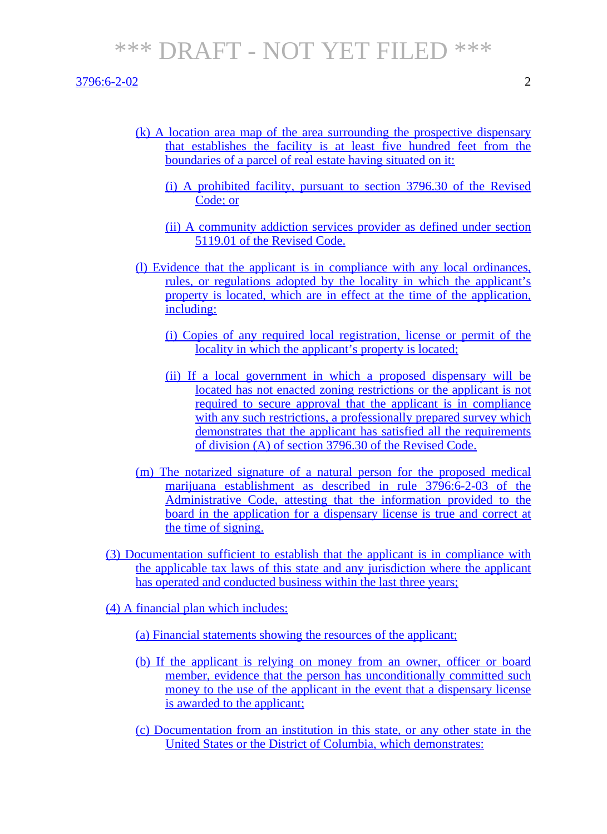3796:6-2-02 2

- (k) A location area map of the area surrounding the prospective dispensary that establishes the facility is at least five hundred feet from the boundaries of a parcel of real estate having situated on it:
	- (i) A prohibited facility, pursuant to section 3796.30 of the Revised Code; or
	- (ii) A community addiction services provider as defined under section 5119.01 of the Revised Code.
- (l) Evidence that the applicant is in compliance with any local ordinances, rules, or regulations adopted by the locality in which the applicant's property is located, which are in effect at the time of the application, including:
	- (i) Copies of any required local registration, license or permit of the locality in which the applicant's property is located;
	- (ii) If a local government in which a proposed dispensary will be located has not enacted zoning restrictions or the applicant is not required to secure approval that the applicant is in compliance with any such restrictions, a professionally prepared survey which demonstrates that the applicant has satisfied all the requirements of division (A) of section 3796.30 of the Revised Code.
- (m) The notarized signature of a natural person for the proposed medical marijuana establishment as described in rule 3796:6-2-03 of the Administrative Code, attesting that the information provided to the board in the application for a dispensary license is true and correct at the time of signing.
- (3) Documentation sufficient to establish that the applicant is in compliance with the applicable tax laws of this state and any jurisdiction where the applicant has operated and conducted business within the last three years;
- (4) A financial plan which includes:
	- (a) Financial statements showing the resources of the applicant;
	- (b) If the applicant is relying on money from an owner, officer or board member, evidence that the person has unconditionally committed such money to the use of the applicant in the event that a dispensary license is awarded to the applicant;
	- (c) Documentation from an institution in this state, or any other state in the United States or the District of Columbia, which demonstrates: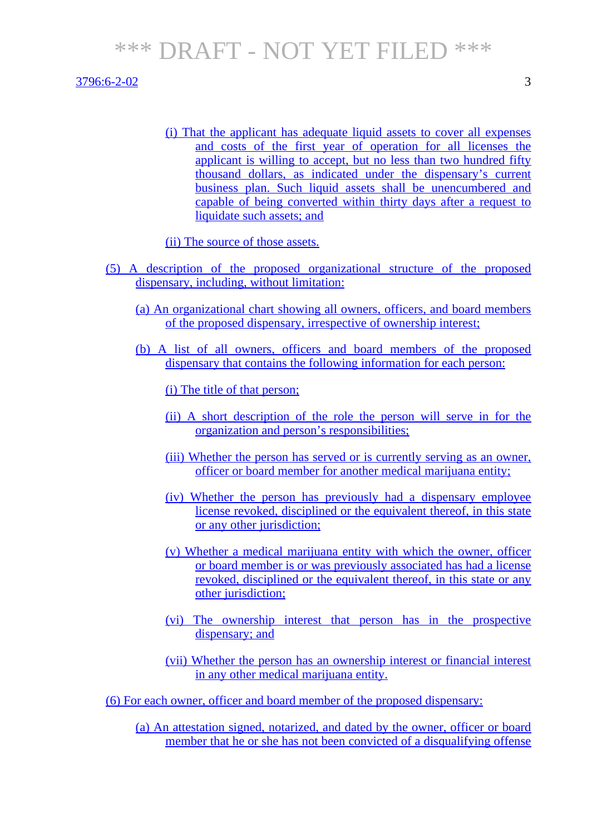#### $3796:6-2-02$  3

(i) That the applicant has adequate liquid assets to cover all expenses and costs of the first year of operation for all licenses the applicant is willing to accept, but no less than two hundred fifty thousand dollars, as indicated under the dispensary's current business plan. Such liquid assets shall be unencumbered and capable of being converted within thirty days after a request to liquidate such assets; and

(ii) The source of those assets.

- (5) A description of the proposed organizational structure of the proposed dispensary, including, without limitation:
	- (a) An organizational chart showing all owners, officers, and board members of the proposed dispensary, irrespective of ownership interest;
	- (b) A list of all owners, officers and board members of the proposed dispensary that contains the following information for each person:

(i) The title of that person;

- (ii) A short description of the role the person will serve in for the organization and person's responsibilities;
- (iii) Whether the person has served or is currently serving as an owner, officer or board member for another medical marijuana entity;
- (iv) Whether the person has previously had a dispensary employee license revoked, disciplined or the equivalent thereof, in this state or any other jurisdiction;
- (v) Whether a medical marijuana entity with which the owner, officer or board member is or was previously associated has had a license revoked, disciplined or the equivalent thereof, in this state or any other jurisdiction;
- (vi) The ownership interest that person has in the prospective dispensary; and
- (vii) Whether the person has an ownership interest or financial interest in any other medical marijuana entity.

(6) For each owner, officer and board member of the proposed dispensary:

(a) An attestation signed, notarized, and dated by the owner, officer or board member that he or she has not been convicted of a disqualifying offense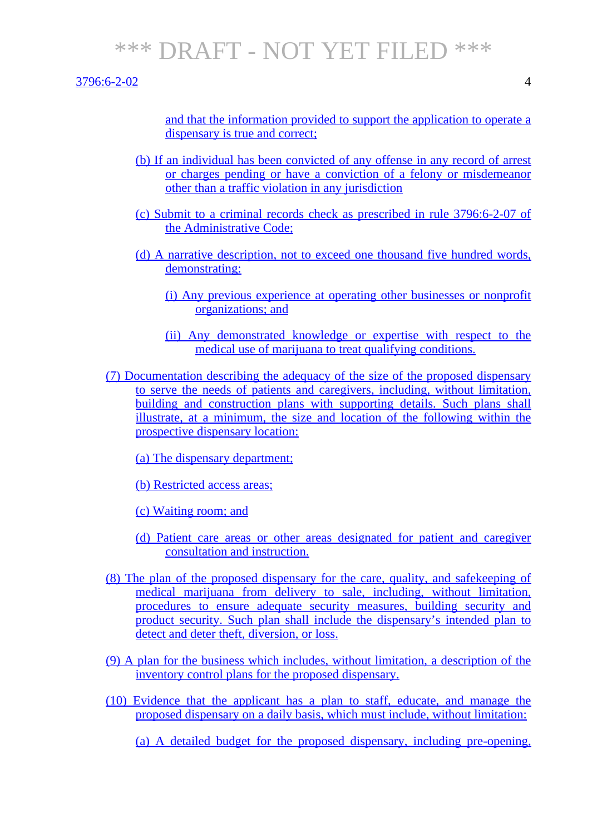#### 3796:6-2-02 4

and that the information provided to support the application to operate a dispensary is true and correct;

- (b) If an individual has been convicted of any offense in any record of arrest or charges pending or have a conviction of a felony or misdemeanor other than a traffic violation in any jurisdiction
- (c) Submit to a criminal records check as prescribed in rule 3796:6-2-07 of the Administrative Code;
- (d) A narrative description, not to exceed one thousand five hundred words, demonstrating:
	- (i) Any previous experience at operating other businesses or nonprofit organizations; and
	- (ii) Any demonstrated knowledge or expertise with respect to the medical use of marijuana to treat qualifying conditions.
- (7) Documentation describing the adequacy of the size of the proposed dispensary to serve the needs of patients and caregivers, including, without limitation, building and construction plans with supporting details. Such plans shall illustrate, at a minimum, the size and location of the following within the prospective dispensary location:
	- (a) The dispensary department;
	- (b) Restricted access areas;
	- (c) Waiting room; and
	- (d) Patient care areas or other areas designated for patient and caregiver consultation and instruction.
- (8) The plan of the proposed dispensary for the care, quality, and safekeeping of medical marijuana from delivery to sale, including, without limitation, procedures to ensure adequate security measures, building security and product security. Such plan shall include the dispensary's intended plan to detect and deter theft, diversion, or loss.
- (9) A plan for the business which includes, without limitation, a description of the inventory control plans for the proposed dispensary.
- (10) Evidence that the applicant has a plan to staff, educate, and manage the proposed dispensary on a daily basis, which must include, without limitation:
	- (a) A detailed budget for the proposed dispensary, including pre-opening,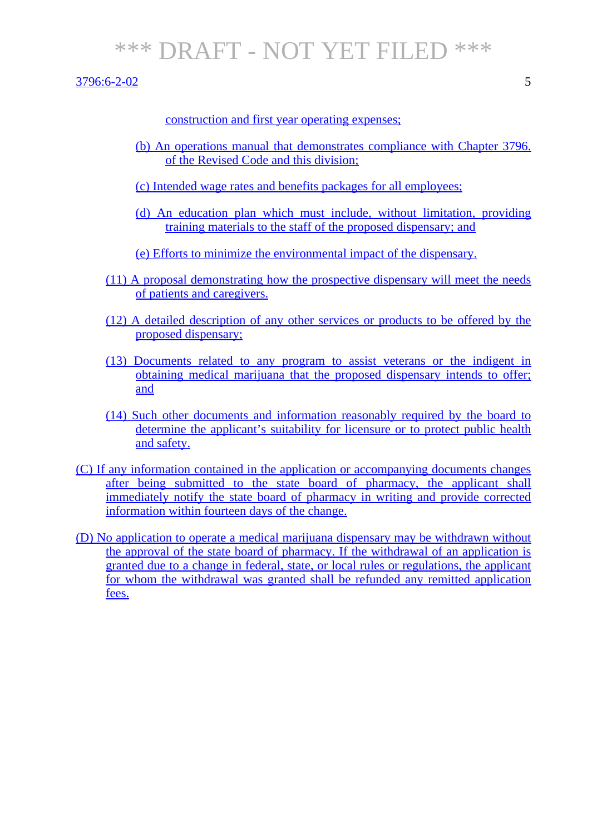3796:6-2-02 5

construction and first year operating expenses;

- (b) An operations manual that demonstrates compliance with Chapter 3796. of the Revised Code and this division;
- (c) Intended wage rates and benefits packages for all employees;
- (d) An education plan which must include, without limitation, providing training materials to the staff of the proposed dispensary; and
- (e) Efforts to minimize the environmental impact of the dispensary.
- (11) A proposal demonstrating how the prospective dispensary will meet the needs of patients and caregivers.
- (12) A detailed description of any other services or products to be offered by the proposed dispensary;
- (13) Documents related to any program to assist veterans or the indigent in obtaining medical marijuana that the proposed dispensary intends to offer; and
- (14) Such other documents and information reasonably required by the board to determine the applicant's suitability for licensure or to protect public health and safety.
- (C) If any information contained in the application or accompanying documents changes after being submitted to the state board of pharmacy, the applicant shall immediately notify the state board of pharmacy in writing and provide corrected information within fourteen days of the change.
- (D) No application to operate a medical marijuana dispensary may be withdrawn without the approval of the state board of pharmacy. If the withdrawal of an application is granted due to a change in federal, state, or local rules or regulations, the applicant for whom the withdrawal was granted shall be refunded any remitted application fees.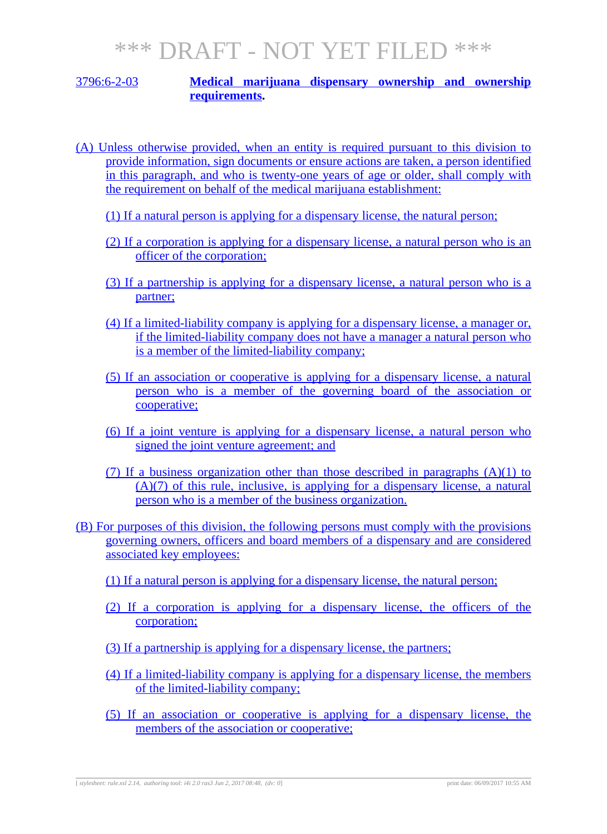#### 3796:6-2-03 **Medical marijuana dispensary ownership and ownership requirements.**

- (A) Unless otherwise provided, when an entity is required pursuant to this division to provide information, sign documents or ensure actions are taken, a person identified in this paragraph, and who is twenty-one years of age or older, shall comply with the requirement on behalf of the medical marijuana establishment:
	- (1) If a natural person is applying for a dispensary license, the natural person;
	- (2) If a corporation is applying for a dispensary license, a natural person who is an officer of the corporation;
	- (3) If a partnership is applying for a dispensary license, a natural person who is a partner;
	- (4) If a limited-liability company is applying for a dispensary license, a manager or, if the limited-liability company does not have a manager a natural person who is a member of the limited-liability company;
	- (5) If an association or cooperative is applying for a dispensary license, a natural person who is a member of the governing board of the association or cooperative;
	- (6) If a joint venture is applying for a dispensary license, a natural person who signed the joint venture agreement; and
	- (7) If a business organization other than those described in paragraphs  $(A)(1)$  to (A)(7) of this rule, inclusive, is applying for a dispensary license, a natural person who is a member of the business organization.
- (B) For purposes of this division, the following persons must comply with the provisions governing owners, officers and board members of a dispensary and are considered associated key employees:
	- (1) If a natural person is applying for a dispensary license, the natural person;
	- (2) If a corporation is applying for a dispensary license, the officers of the corporation;
	- (3) If a partnership is applying for a dispensary license, the partners;
	- (4) If a limited-liability company is applying for a dispensary license, the members of the limited-liability company;
	- (5) If an association or cooperative is applying for a dispensary license, the members of the association or cooperative;

[ *stylesheet: rule.xsl 2.14, authoring tool: i4i 2.0 ras3 Jun 2, 2017 08:48, (dv: 0*] print date: 06/09/2017 10:55 AM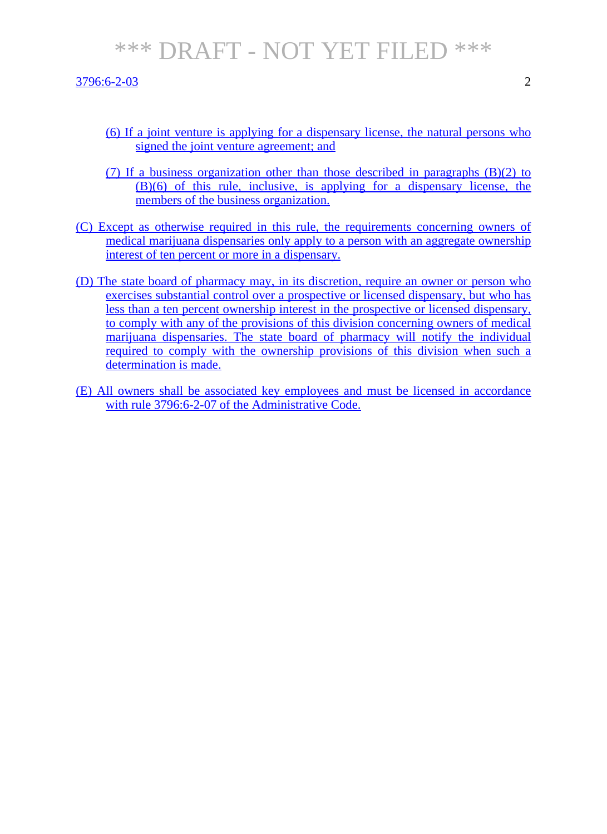3796:6-2-03 2

- (6) If a joint venture is applying for a dispensary license, the natural persons who signed the joint venture agreement; and
- (7) If a business organization other than those described in paragraphs (B)(2) to (B)(6) of this rule, inclusive, is applying for a dispensary license, the members of the business organization.
- (C) Except as otherwise required in this rule, the requirements concerning owners of medical marijuana dispensaries only apply to a person with an aggregate ownership interest of ten percent or more in a dispensary.
- (D) The state board of pharmacy may, in its discretion, require an owner or person who exercises substantial control over a prospective or licensed dispensary, but who has less than a ten percent ownership interest in the prospective or licensed dispensary, to comply with any of the provisions of this division concerning owners of medical marijuana dispensaries. The state board of pharmacy will notify the individual required to comply with the ownership provisions of this division when such a determination is made.
- (E) All owners shall be associated key employees and must be licensed in accordance with rule 3796:6-2-07 of the Administrative Code.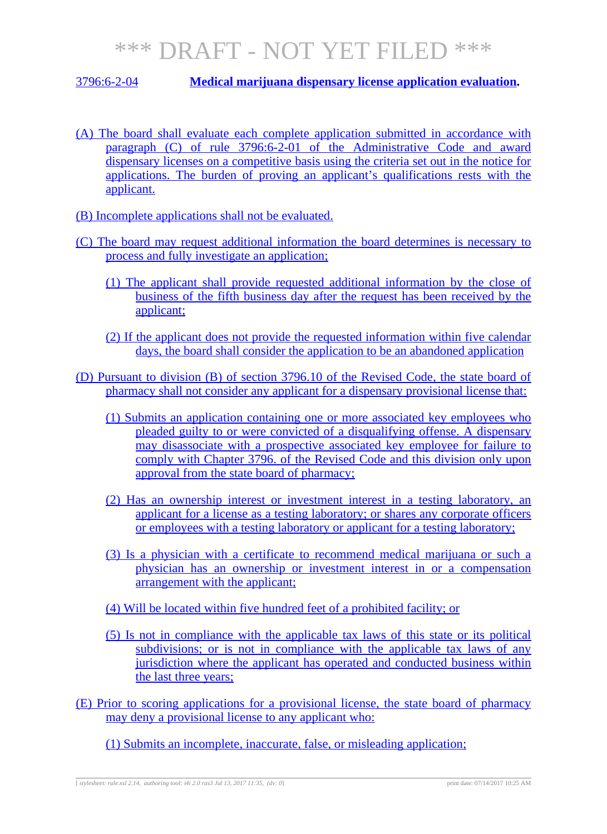### 3796:6-2-04 **Medical marijuana dispensary license application evaluation.**

- (A) The board shall evaluate each complete application submitted in accordance with paragraph (C) of rule 3796:6-2-01 of the Administrative Code and award dispensary licenses on a competitive basis using the criteria set out in the notice for applications. The burden of proving an applicant's qualifications rests with the applicant.
- (B) Incomplete applications shall not be evaluated.
- (C) The board may request additional information the board determines is necessary to process and fully investigate an application;
	- (1) The applicant shall provide requested additional information by the close of business of the fifth business day after the request has been received by the applicant;
	- (2) If the applicant does not provide the requested information within five calendar days, the board shall consider the application to be an abandoned application
- (D) Pursuant to division (B) of section 3796.10 of the Revised Code, the state board of pharmacy shall not consider any applicant for a dispensary provisional license that:
	- (1) Submits an application containing one or more associated key employees who pleaded guilty to or were convicted of a disqualifying offense. A dispensary may disassociate with a prospective associated key employee for failure to comply with Chapter 3796. of the Revised Code and this division only upon approval from the state board of pharmacy;
	- (2) Has an ownership interest or investment interest in a testing laboratory, an applicant for a license as a testing laboratory; or shares any corporate officers or employees with a testing laboratory or applicant for a testing laboratory;
	- (3) Is a physician with a certificate to recommend medical marijuana or such a physician has an ownership or investment interest in or a compensation arrangement with the applicant;
	- (4) Will be located within five hundred feet of a prohibited facility; or
	- (5) Is not in compliance with the applicable tax laws of this state or its political subdivisions; or is not in compliance with the applicable tax laws of any jurisdiction where the applicant has operated and conducted business within the last three years;
- (E) Prior to scoring applications for a provisional license, the state board of pharmacy may deny a provisional license to any applicant who:
	- (1) Submits an incomplete, inaccurate, false, or misleading application;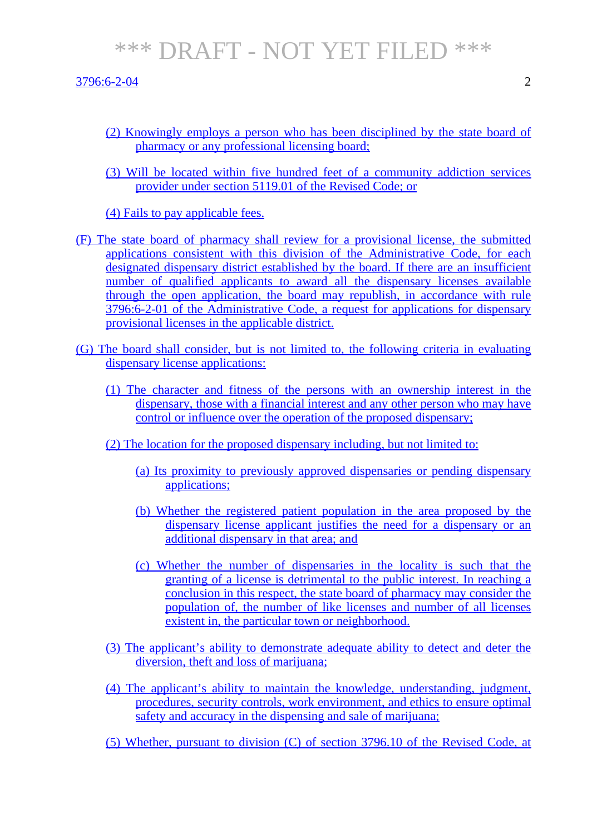3796:6-2-04 2

- 
- (2) Knowingly employs a person who has been disciplined by the state board of pharmacy or any professional licensing board;
- (3) Will be located within five hundred feet of a community addiction services provider under section 5119.01 of the Revised Code; or

(4) Fails to pay applicable fees.

- (F) The state board of pharmacy shall review for a provisional license, the submitted applications consistent with this division of the Administrative Code, for each designated dispensary district established by the board. If there are an insufficient number of qualified applicants to award all the dispensary licenses available through the open application, the board may republish, in accordance with rule 3796:6-2-01 of the Administrative Code, a request for applications for dispensary provisional licenses in the applicable district.
- (G) The board shall consider, but is not limited to, the following criteria in evaluating dispensary license applications:
	- (1) The character and fitness of the persons with an ownership interest in the dispensary, those with a financial interest and any other person who may have control or influence over the operation of the proposed dispensary;
	- (2) The location for the proposed dispensary including, but not limited to:
		- (a) Its proximity to previously approved dispensaries or pending dispensary applications;
		- (b) Whether the registered patient population in the area proposed by the dispensary license applicant justifies the need for a dispensary or an additional dispensary in that area; and
		- (c) Whether the number of dispensaries in the locality is such that the granting of a license is detrimental to the public interest. In reaching a conclusion in this respect, the state board of pharmacy may consider the population of, the number of like licenses and number of all licenses existent in, the particular town or neighborhood.
	- (3) The applicant's ability to demonstrate adequate ability to detect and deter the diversion, theft and loss of marijuana;
	- (4) The applicant's ability to maintain the knowledge, understanding, judgment, procedures, security controls, work environment, and ethics to ensure optimal safety and accuracy in the dispensing and sale of marijuana;
	- (5) Whether, pursuant to division (C) of section 3796.10 of the Revised Code, at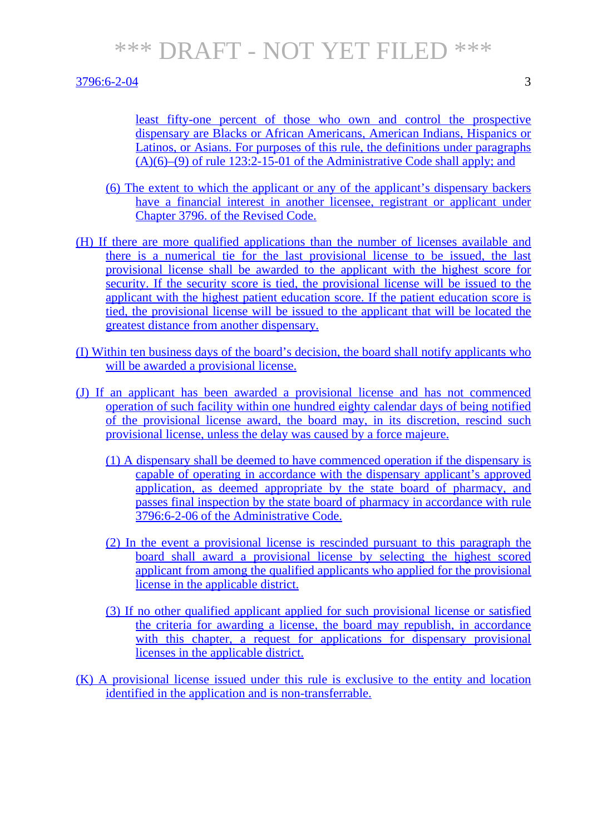#### 3796:6-2-04 3

least fifty-one percent of those who own and control the prospective dispensary are Blacks or African Americans, American Indians, Hispanics or Latinos, or Asians. For purposes of this rule, the definitions under paragraphs  $(A)(6)$ – $(9)$  of rule 123:2-15-01 of the Administrative Code shall apply; and

- (6) The extent to which the applicant or any of the applicant's dispensary backers have a financial interest in another licensee, registrant or applicant under Chapter 3796. of the Revised Code.
- (H) If there are more qualified applications than the number of licenses available and there is a numerical tie for the last provisional license to be issued, the last provisional license shall be awarded to the applicant with the highest score for security. If the security score is tied, the provisional license will be issued to the applicant with the highest patient education score. If the patient education score is tied, the provisional license will be issued to the applicant that will be located the greatest distance from another dispensary.
- (I) Within ten business days of the board's decision, the board shall notify applicants who will be awarded a provisional license.
- (J) If an applicant has been awarded a provisional license and has not commenced operation of such facility within one hundred eighty calendar days of being notified of the provisional license award, the board may, in its discretion, rescind such provisional license, unless the delay was caused by a force majeure.
	- (1) A dispensary shall be deemed to have commenced operation if the dispensary is capable of operating in accordance with the dispensary applicant's approved application, as deemed appropriate by the state board of pharmacy, and passes final inspection by the state board of pharmacy in accordance with rule 3796:6-2-06 of the Administrative Code.
	- (2) In the event a provisional license is rescinded pursuant to this paragraph the board shall award a provisional license by selecting the highest scored applicant from among the qualified applicants who applied for the provisional license in the applicable district.
	- (3) If no other qualified applicant applied for such provisional license or satisfied the criteria for awarding a license, the board may republish, in accordance with this chapter, a request for applications for dispensary provisional licenses in the applicable district.
- (K) A provisional license issued under this rule is exclusive to the entity and location identified in the application and is non-transferrable.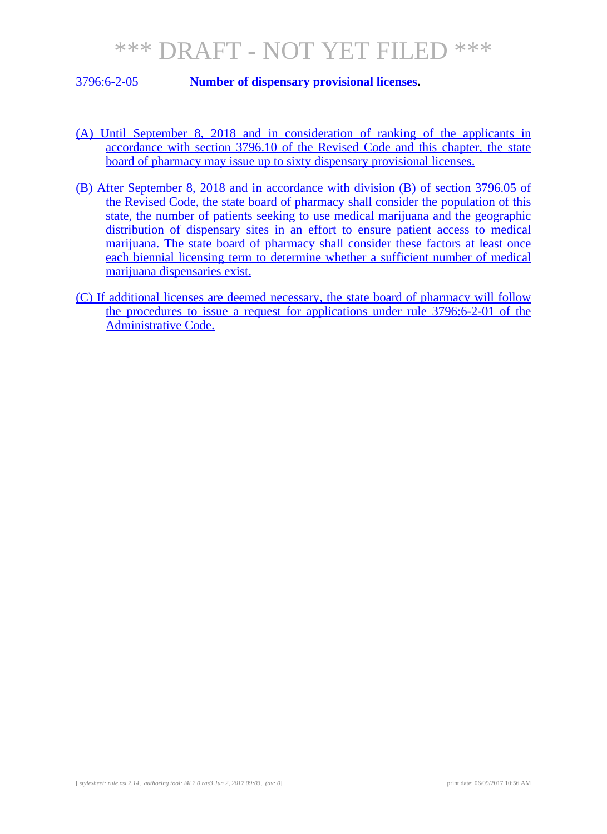3796:6-2-05 **Number of dispensary provisional licenses.**

- (A) Until September 8, 2018 and in consideration of ranking of the applicants in accordance with section 3796.10 of the Revised Code and this chapter, the state board of pharmacy may issue up to sixty dispensary provisional licenses.
- (B) After September 8, 2018 and in accordance with division (B) of section 3796.05 of the Revised Code, the state board of pharmacy shall consider the population of this state, the number of patients seeking to use medical marijuana and the geographic distribution of dispensary sites in an effort to ensure patient access to medical marijuana. The state board of pharmacy shall consider these factors at least once each biennial licensing term to determine whether a sufficient number of medical marijuana dispensaries exist.
- (C) If additional licenses are deemed necessary, the state board of pharmacy will follow the procedures to issue a request for applications under rule 3796:6-2-01 of the Administrative Code.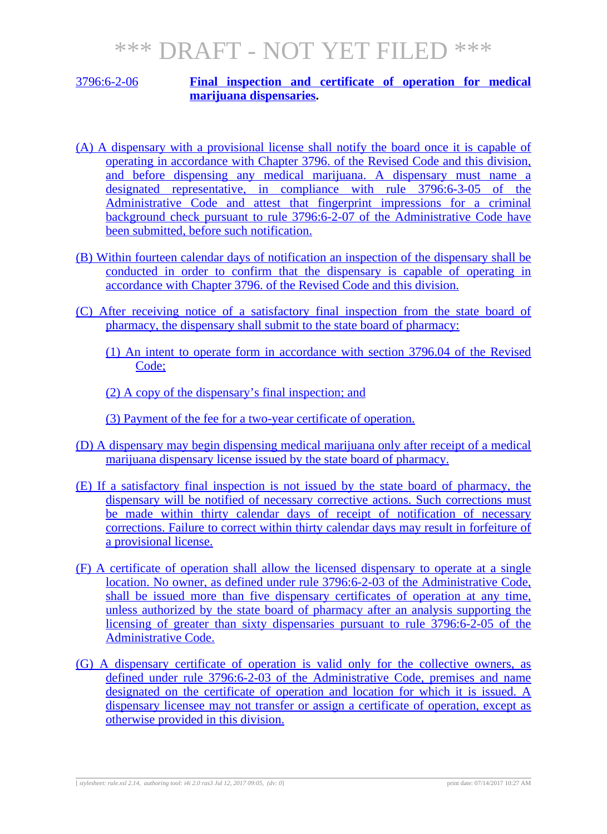#### 3796:6-2-06 **Final inspection and certificate of operation for medical marijuana dispensaries.**

- (A) A dispensary with a provisional license shall notify the board once it is capable of operating in accordance with Chapter 3796. of the Revised Code and this division, and before dispensing any medical marijuana. A dispensary must name a designated representative, in compliance with rule 3796:6-3-05 of the Administrative Code and attest that fingerprint impressions for a criminal background check pursuant to rule 3796:6-2-07 of the Administrative Code have been submitted, before such notification.
- (B) Within fourteen calendar days of notification an inspection of the dispensary shall be conducted in order to confirm that the dispensary is capable of operating in accordance with Chapter 3796. of the Revised Code and this division.
- (C) After receiving notice of a satisfactory final inspection from the state board of pharmacy, the dispensary shall submit to the state board of pharmacy:
	- (1) An intent to operate form in accordance with section 3796.04 of the Revised Code;
	- (2) A copy of the dispensary's final inspection; and

(3) Payment of the fee for a two-year certificate of operation.

- (D) A dispensary may begin dispensing medical marijuana only after receipt of a medical marijuana dispensary license issued by the state board of pharmacy.
- (E) If a satisfactory final inspection is not issued by the state board of pharmacy, the dispensary will be notified of necessary corrective actions. Such corrections must be made within thirty calendar days of receipt of notification of necessary corrections. Failure to correct within thirty calendar days may result in forfeiture of a provisional license.
- (F) A certificate of operation shall allow the licensed dispensary to operate at a single location. No owner, as defined under rule 3796:6-2-03 of the Administrative Code, shall be issued more than five dispensary certificates of operation at any time, unless authorized by the state board of pharmacy after an analysis supporting the licensing of greater than sixty dispensaries pursuant to rule 3796:6-2-05 of the Administrative Code.
- (G) A dispensary certificate of operation is valid only for the collective owners, as defined under rule 3796:6-2-03 of the Administrative Code, premises and name designated on the certificate of operation and location for which it is issued. A dispensary licensee may not transfer or assign a certificate of operation, except as otherwise provided in this division.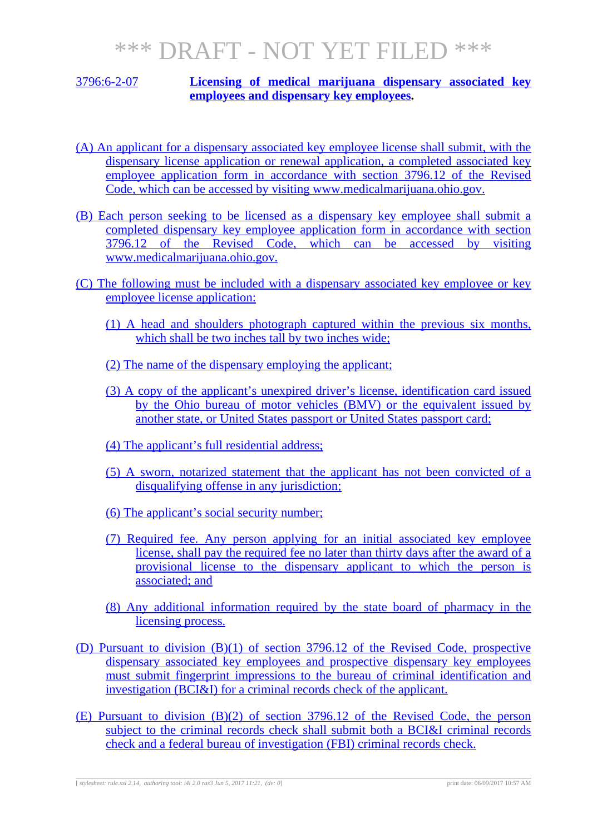#### 3796:6-2-07 **Licensing of medical marijuana dispensary associated key employees and dispensary key employees.**

- (A) An applicant for a dispensary associated key employee license shall submit, with the dispensary license application or renewal application, a completed associated key employee application form in accordance with section 3796.12 of the Revised Code, which can be accessed by visiting www.medicalmarijuana.ohio.gov.
- (B) Each person seeking to be licensed as a dispensary key employee shall submit a completed dispensary key employee application form in accordance with section 3796.12 of the Revised Code, which can be accessed by visiting www.medicalmarijuana.ohio.gov.
- (C) The following must be included with a dispensary associated key employee or key employee license application:
	- (1) A head and shoulders photograph captured within the previous six months, which shall be two inches tall by two inches wide;
	- (2) The name of the dispensary employing the applicant;
	- (3) A copy of the applicant's unexpired driver's license, identification card issued by the Ohio bureau of motor vehicles (BMV) or the equivalent issued by another state, or United States passport or United States passport card;
	- (4) The applicant's full residential address;
	- (5) A sworn, notarized statement that the applicant has not been convicted of a disqualifying offense in any jurisdiction;
	- (6) The applicant's social security number;
	- (7) Required fee. Any person applying for an initial associated key employee license, shall pay the required fee no later than thirty days after the award of a provisional license to the dispensary applicant to which the person is associated; and
	- (8) Any additional information required by the state board of pharmacy in the licensing process.
- (D) Pursuant to division (B)(1) of section 3796.12 of the Revised Code, prospective dispensary associated key employees and prospective dispensary key employees must submit fingerprint impressions to the bureau of criminal identification and investigation (BCI&I) for a criminal records check of the applicant.
- (E) Pursuant to division (B)(2) of section 3796.12 of the Revised Code, the person subject to the criminal records check shall submit both a BCI&I criminal records check and a federal bureau of investigation (FBI) criminal records check.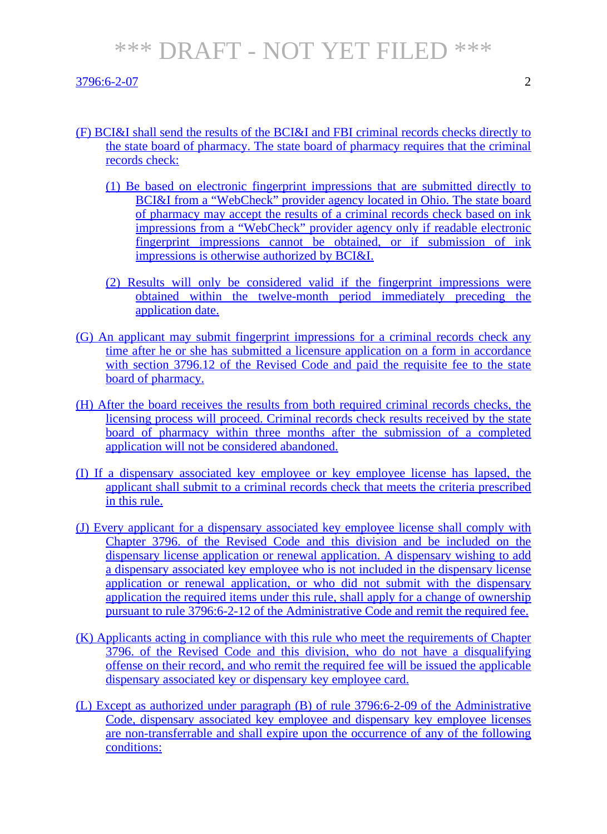- (F) BCI&I shall send the results of the BCI&I and FBI criminal records checks directly to the state board of pharmacy. The state board of pharmacy requires that the criminal records check:
	- (1) Be based on electronic fingerprint impressions that are submitted directly to BCI&I from a "WebCheck" provider agency located in Ohio. The state board of pharmacy may accept the results of a criminal records check based on ink impressions from a "WebCheck" provider agency only if readable electronic fingerprint impressions cannot be obtained, or if submission of ink impressions is otherwise authorized by BCI&I.
	- (2) Results will only be considered valid if the fingerprint impressions were obtained within the twelve-month period immediately preceding the application date.
- (G) An applicant may submit fingerprint impressions for a criminal records check any time after he or she has submitted a licensure application on a form in accordance with section 3796.12 of the Revised Code and paid the requisite fee to the state board of pharmacy.
- (H) After the board receives the results from both required criminal records checks, the licensing process will proceed. Criminal records check results received by the state board of pharmacy within three months after the submission of a completed application will not be considered abandoned.
- (I) If a dispensary associated key employee or key employee license has lapsed, the applicant shall submit to a criminal records check that meets the criteria prescribed in this rule.
- (J) Every applicant for a dispensary associated key employee license shall comply with Chapter 3796. of the Revised Code and this division and be included on the dispensary license application or renewal application. A dispensary wishing to add a dispensary associated key employee who is not included in the dispensary license application or renewal application, or who did not submit with the dispensary application the required items under this rule, shall apply for a change of ownership pursuant to rule 3796:6-2-12 of the Administrative Code and remit the required fee.
- (K) Applicants acting in compliance with this rule who meet the requirements of Chapter 3796. of the Revised Code and this division, who do not have a disqualifying offense on their record, and who remit the required fee will be issued the applicable dispensary associated key or dispensary key employee card.
- (L) Except as authorized under paragraph (B) of rule 3796:6-2-09 of the Administrative Code, dispensary associated key employee and dispensary key employee licenses are non-transferrable and shall expire upon the occurrence of any of the following conditions: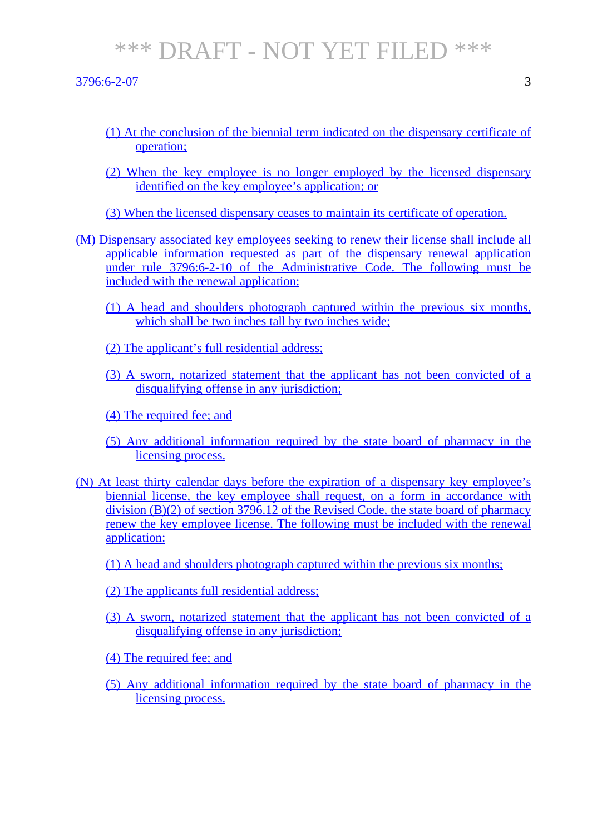#### 3796:6-2-07 3

- 
- (1) At the conclusion of the biennial term indicated on the dispensary certificate of operation;
- (2) When the key employee is no longer employed by the licensed dispensary identified on the key employee's application; or
- (3) When the licensed dispensary ceases to maintain its certificate of operation.
- (M) Dispensary associated key employees seeking to renew their license shall include all applicable information requested as part of the dispensary renewal application under rule 3796:6-2-10 of the Administrative Code. The following must be included with the renewal application:
	- (1) A head and shoulders photograph captured within the previous six months, which shall be two inches tall by two inches wide;
	- (2) The applicant's full residential address;
	- (3) A sworn, notarized statement that the applicant has not been convicted of a disqualifying offense in any jurisdiction;
	- (4) The required fee; and
	- (5) Any additional information required by the state board of pharmacy in the licensing process.
- (N) At least thirty calendar days before the expiration of a dispensary key employee's biennial license, the key employee shall request, on a form in accordance with division (B)(2) of section 3796.12 of the Revised Code, the state board of pharmacy renew the key employee license. The following must be included with the renewal application:
	- (1) A head and shoulders photograph captured within the previous six months;
	- (2) The applicants full residential address;
	- (3) A sworn, notarized statement that the applicant has not been convicted of a disqualifying offense in any jurisdiction;
	- (4) The required fee; and
	- (5) Any additional information required by the state board of pharmacy in the licensing process.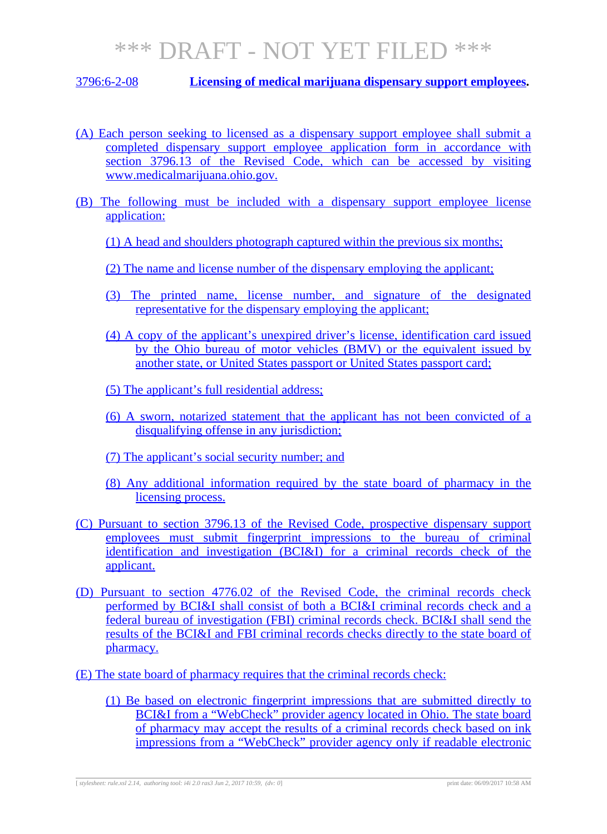3796:6-2-08 **Licensing of medical marijuana dispensary support employees.**

- (A) Each person seeking to licensed as a dispensary support employee shall submit a completed dispensary support employee application form in accordance with section 3796.13 of the Revised Code, which can be accessed by visiting www.medicalmarijuana.ohio.gov.
- (B) The following must be included with a dispensary support employee license application:
	- (1) A head and shoulders photograph captured within the previous six months;
	- (2) The name and license number of the dispensary employing the applicant;
	- (3) The printed name, license number, and signature of the designated representative for the dispensary employing the applicant;
	- (4) A copy of the applicant's unexpired driver's license, identification card issued by the Ohio bureau of motor vehicles (BMV) or the equivalent issued by another state, or United States passport or United States passport card;
	- (5) The applicant's full residential address;
	- (6) A sworn, notarized statement that the applicant has not been convicted of a disqualifying offense in any jurisdiction;
	- (7) The applicant's social security number; and
	- (8) Any additional information required by the state board of pharmacy in the licensing process.
- (C) Pursuant to section 3796.13 of the Revised Code, prospective dispensary support employees must submit fingerprint impressions to the bureau of criminal identification and investigation (BCI&I) for a criminal records check of the applicant.
- (D) Pursuant to section 4776.02 of the Revised Code, the criminal records check performed by BCI&I shall consist of both a BCI&I criminal records check and a federal bureau of investigation (FBI) criminal records check. BCI&I shall send the results of the BCI&I and FBI criminal records checks directly to the state board of pharmacy.
- (E) The state board of pharmacy requires that the criminal records check:
	- (1) Be based on electronic fingerprint impressions that are submitted directly to BCI&I from a "WebCheck" provider agency located in Ohio. The state board of pharmacy may accept the results of a criminal records check based on ink impressions from a "WebCheck" provider agency only if readable electronic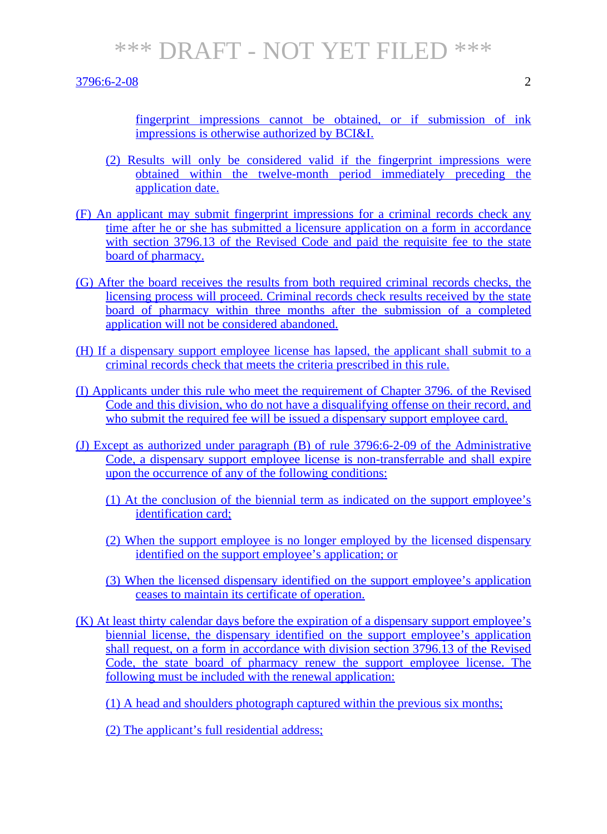3796:6-2-08 2

fingerprint impressions cannot be obtained, or if submission of ink impressions is otherwise authorized by BCI&I.

- (2) Results will only be considered valid if the fingerprint impressions were obtained within the twelve-month period immediately preceding the application date.
- (F) An applicant may submit fingerprint impressions for a criminal records check any time after he or she has submitted a licensure application on a form in accordance with section 3796.13 of the Revised Code and paid the requisite fee to the state board of pharmacy.
- (G) After the board receives the results from both required criminal records checks, the licensing process will proceed. Criminal records check results received by the state board of pharmacy within three months after the submission of a completed application will not be considered abandoned.
- (H) If a dispensary support employee license has lapsed, the applicant shall submit to a criminal records check that meets the criteria prescribed in this rule.
- (I) Applicants under this rule who meet the requirement of Chapter 3796. of the Revised Code and this division, who do not have a disqualifying offense on their record, and who submit the required fee will be issued a dispensary support employee card.
- (J) Except as authorized under paragraph (B) of rule 3796:6-2-09 of the Administrative Code, a dispensary support employee license is non-transferrable and shall expire upon the occurrence of any of the following conditions:
	- (1) At the conclusion of the biennial term as indicated on the support employee's identification card;
	- (2) When the support employee is no longer employed by the licensed dispensary identified on the support employee's application; or
	- (3) When the licensed dispensary identified on the support employee's application ceases to maintain its certificate of operation.
- (K) At least thirty calendar days before the expiration of a dispensary support employee's biennial license, the dispensary identified on the support employee's application shall request, on a form in accordance with division section 3796.13 of the Revised Code, the state board of pharmacy renew the support employee license. The following must be included with the renewal application:

(1) A head and shoulders photograph captured within the previous six months;

(2) The applicant's full residential address;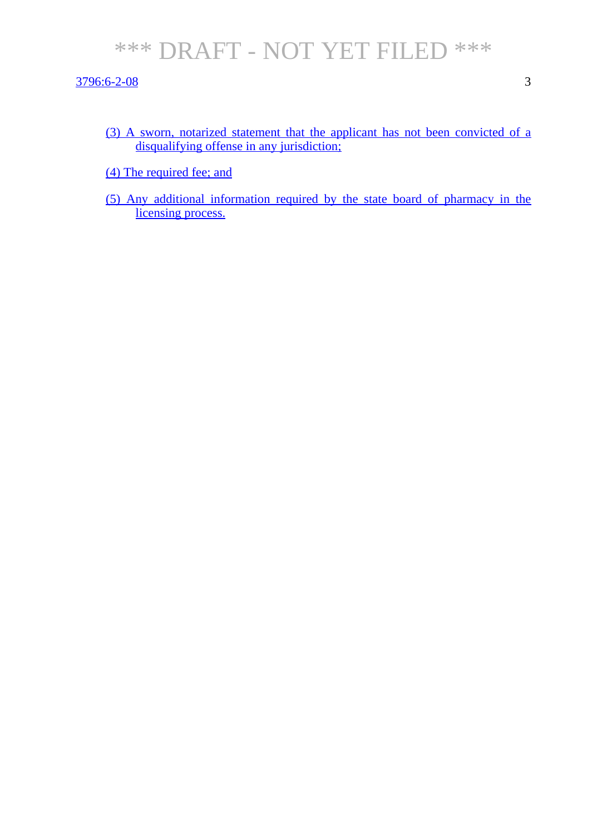3796:6-2-08 3

- (3) A sworn, notarized statement that the applicant has not been convicted of a disqualifying offense in any jurisdiction;
- (4) The required fee; and
- (5) Any additional information required by the state board of pharmacy in the licensing process.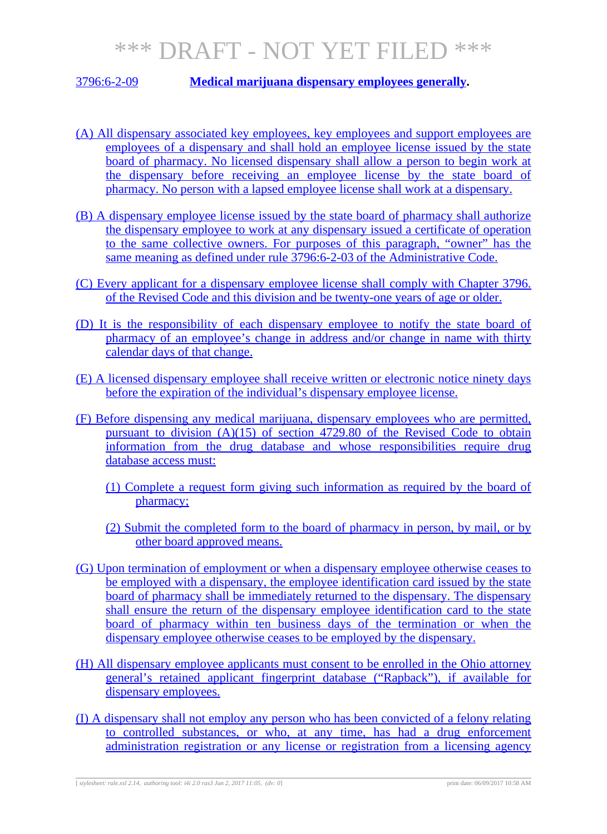### 3796:6-2-09 **Medical marijuana dispensary employees generally.**

- (A) All dispensary associated key employees, key employees and support employees are employees of a dispensary and shall hold an employee license issued by the state board of pharmacy. No licensed dispensary shall allow a person to begin work at the dispensary before receiving an employee license by the state board of pharmacy. No person with a lapsed employee license shall work at a dispensary.
- (B) A dispensary employee license issued by the state board of pharmacy shall authorize the dispensary employee to work at any dispensary issued a certificate of operation to the same collective owners. For purposes of this paragraph, "owner" has the same meaning as defined under rule 3796:6-2-03 of the Administrative Code.
- (C) Every applicant for a dispensary employee license shall comply with Chapter 3796. of the Revised Code and this division and be twenty-one years of age or older.
- (D) It is the responsibility of each dispensary employee to notify the state board of pharmacy of an employee's change in address and/or change in name with thirty calendar days of that change.
- (E) A licensed dispensary employee shall receive written or electronic notice ninety days before the expiration of the individual's dispensary employee license.
- (F) Before dispensing any medical marijuana, dispensary employees who are permitted, pursuant to division (A)(15) of section 4729.80 of the Revised Code to obtain information from the drug database and whose responsibilities require drug database access must:
	- (1) Complete a request form giving such information as required by the board of pharmacy;
	- (2) Submit the completed form to the board of pharmacy in person, by mail, or by other board approved means.
- (G) Upon termination of employment or when a dispensary employee otherwise ceases to be employed with a dispensary, the employee identification card issued by the state board of pharmacy shall be immediately returned to the dispensary. The dispensary shall ensure the return of the dispensary employee identification card to the state board of pharmacy within ten business days of the termination or when the dispensary employee otherwise ceases to be employed by the dispensary.
- (H) All dispensary employee applicants must consent to be enrolled in the Ohio attorney general's retained applicant fingerprint database ("Rapback"), if available for dispensary employees.
- (I) A dispensary shall not employ any person who has been convicted of a felony relating to controlled substances, or who, at any time, has had a drug enforcement administration registration or any license or registration from a licensing agency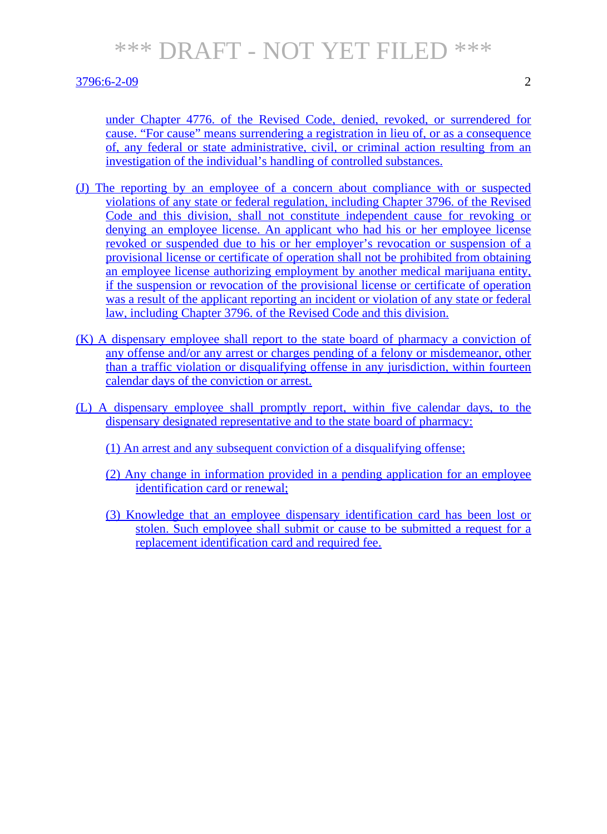#### 3796:6-2-09 2

under Chapter 4776. of the Revised Code, denied, revoked, or surrendered for cause. "For cause" means surrendering a registration in lieu of, or as a consequence of, any federal or state administrative, civil, or criminal action resulting from an investigation of the individual's handling of controlled substances.

- (J) The reporting by an employee of a concern about compliance with or suspected violations of any state or federal regulation, including Chapter 3796. of the Revised Code and this division, shall not constitute independent cause for revoking or denying an employee license. An applicant who had his or her employee license revoked or suspended due to his or her employer's revocation or suspension of a provisional license or certificate of operation shall not be prohibited from obtaining an employee license authorizing employment by another medical marijuana entity, if the suspension or revocation of the provisional license or certificate of operation was a result of the applicant reporting an incident or violation of any state or federal law, including Chapter 3796. of the Revised Code and this division.
- (K) A dispensary employee shall report to the state board of pharmacy a conviction of any offense and/or any arrest or charges pending of a felony or misdemeanor, other than a traffic violation or disqualifying offense in any jurisdiction, within fourteen calendar days of the conviction or arrest.
- (L) A dispensary employee shall promptly report, within five calendar days, to the dispensary designated representative and to the state board of pharmacy:
	- (1) An arrest and any subsequent conviction of a disqualifying offense;
	- (2) Any change in information provided in a pending application for an employee identification card or renewal;
	- (3) Knowledge that an employee dispensary identification card has been lost or stolen. Such employee shall submit or cause to be submitted a request for a replacement identification card and required fee.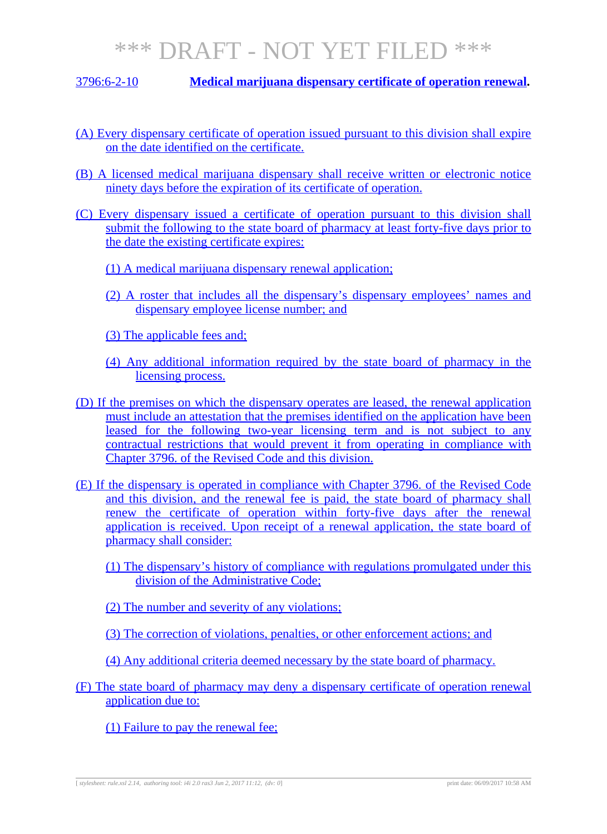3796:6-2-10 **Medical marijuana dispensary certificate of operation renewal.**

- (A) Every dispensary certificate of operation issued pursuant to this division shall expire on the date identified on the certificate.
- (B) A licensed medical marijuana dispensary shall receive written or electronic notice ninety days before the expiration of its certificate of operation.
- (C) Every dispensary issued a certificate of operation pursuant to this division shall submit the following to the state board of pharmacy at least forty-five days prior to the date the existing certificate expires:
	- (1) A medical marijuana dispensary renewal application;
	- (2) A roster that includes all the dispensary's dispensary employees' names and dispensary employee license number; and
	- (3) The applicable fees and;
	- (4) Any additional information required by the state board of pharmacy in the licensing process.
- (D) If the premises on which the dispensary operates are leased, the renewal application must include an attestation that the premises identified on the application have been leased for the following two-year licensing term and is not subject to any contractual restrictions that would prevent it from operating in compliance with Chapter 3796. of the Revised Code and this division.
- (E) If the dispensary is operated in compliance with Chapter 3796. of the Revised Code and this division, and the renewal fee is paid, the state board of pharmacy shall renew the certificate of operation within forty-five days after the renewal application is received. Upon receipt of a renewal application, the state board of pharmacy shall consider:
	- (1) The dispensary's history of compliance with regulations promulgated under this division of the Administrative Code;
	- (2) The number and severity of any violations;
	- (3) The correction of violations, penalties, or other enforcement actions; and
	- (4) Any additional criteria deemed necessary by the state board of pharmacy.
- (F) The state board of pharmacy may deny a dispensary certificate of operation renewal application due to:
	- (1) Failure to pay the renewal fee;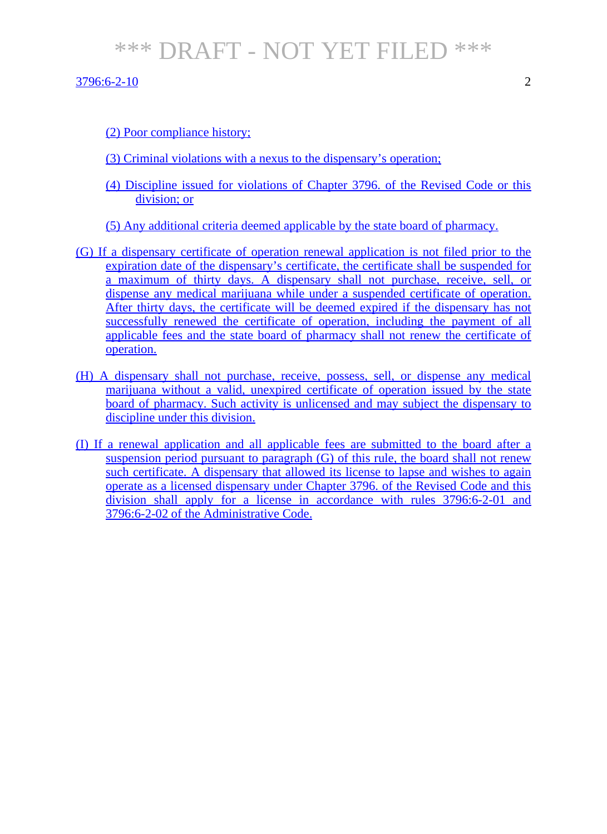$3796:6-2-10$  2

(2) Poor compliance history;

- (3) Criminal violations with a nexus to the dispensary's operation;
- (4) Discipline issued for violations of Chapter 3796. of the Revised Code or this division; or
- (5) Any additional criteria deemed applicable by the state board of pharmacy.
- (G) If a dispensary certificate of operation renewal application is not filed prior to the expiration date of the dispensary's certificate, the certificate shall be suspended for a maximum of thirty days. A dispensary shall not purchase, receive, sell, or dispense any medical marijuana while under a suspended certificate of operation. After thirty days, the certificate will be deemed expired if the dispensary has not successfully renewed the certificate of operation, including the payment of all applicable fees and the state board of pharmacy shall not renew the certificate of operation.
- (H) A dispensary shall not purchase, receive, possess, sell, or dispense any medical marijuana without a valid, unexpired certificate of operation issued by the state board of pharmacy. Such activity is unlicensed and may subject the dispensary to discipline under this division.
- (I) If a renewal application and all applicable fees are submitted to the board after a suspension period pursuant to paragraph (G) of this rule, the board shall not renew such certificate. A dispensary that allowed its license to lapse and wishes to again operate as a licensed dispensary under Chapter 3796. of the Revised Code and this division shall apply for a license in accordance with rules 3796:6-2-01 and 3796:6-2-02 of the Administrative Code.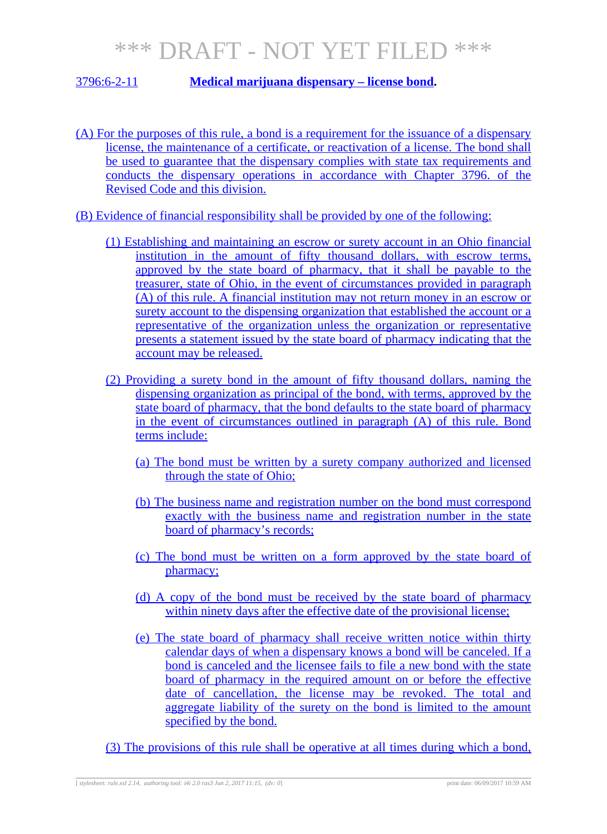### 3796:6-2-11 **Medical marijuana dispensary – license bond.**

- (A) For the purposes of this rule, a bond is a requirement for the issuance of a dispensary license, the maintenance of a certificate, or reactivation of a license. The bond shall be used to guarantee that the dispensary complies with state tax requirements and conducts the dispensary operations in accordance with Chapter 3796. of the Revised Code and this division.
- (B) Evidence of financial responsibility shall be provided by one of the following:
	- (1) Establishing and maintaining an escrow or surety account in an Ohio financial institution in the amount of fifty thousand dollars, with escrow terms, approved by the state board of pharmacy, that it shall be payable to the treasurer, state of Ohio, in the event of circumstances provided in paragraph (A) of this rule. A financial institution may not return money in an escrow or surety account to the dispensing organization that established the account or a representative of the organization unless the organization or representative presents a statement issued by the state board of pharmacy indicating that the account may be released.
	- (2) Providing a surety bond in the amount of fifty thousand dollars, naming the dispensing organization as principal of the bond, with terms, approved by the state board of pharmacy, that the bond defaults to the state board of pharmacy in the event of circumstances outlined in paragraph (A) of this rule. Bond terms include:
		- (a) The bond must be written by a surety company authorized and licensed through the state of Ohio;
		- (b) The business name and registration number on the bond must correspond exactly with the business name and registration number in the state board of pharmacy's records;
		- (c) The bond must be written on a form approved by the state board of pharmacy;
		- (d) A copy of the bond must be received by the state board of pharmacy within ninety days after the effective date of the provisional license:
		- (e) The state board of pharmacy shall receive written notice within thirty calendar days of when a dispensary knows a bond will be canceled. If a bond is canceled and the licensee fails to file a new bond with the state board of pharmacy in the required amount on or before the effective date of cancellation, the license may be revoked. The total and aggregate liability of the surety on the bond is limited to the amount specified by the bond.
	- (3) The provisions of this rule shall be operative at all times during which a bond,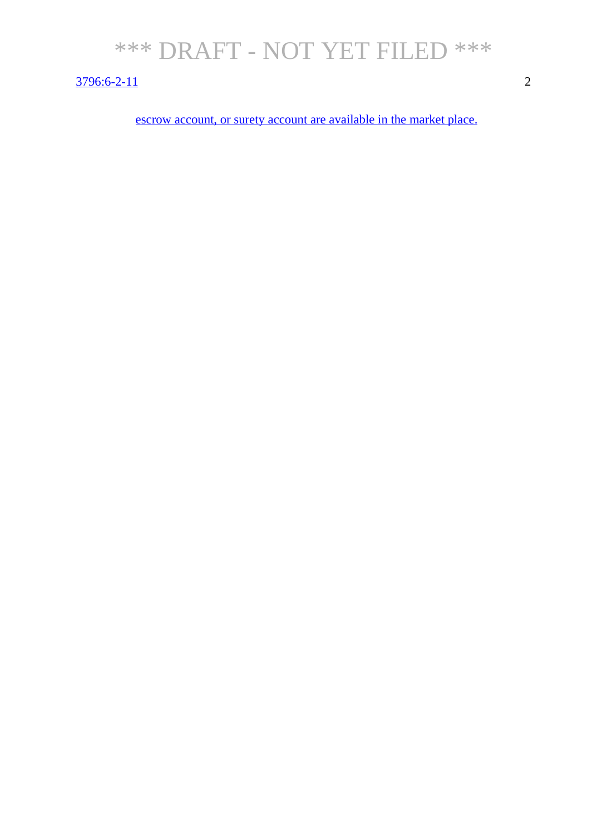### 3796:6-2-11 2

escrow account, or surety account are available in the market place.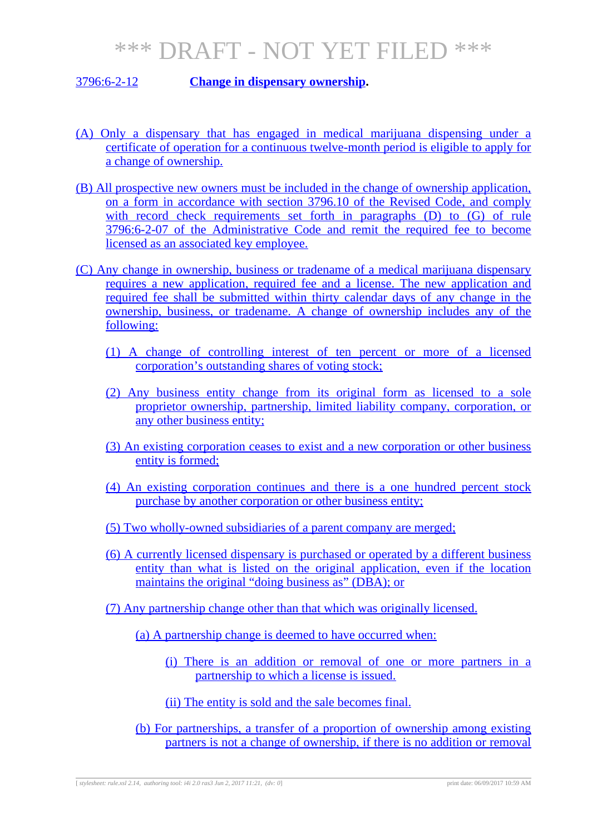### 3796:6-2-12 **Change in dispensary ownership.**

- (A) Only a dispensary that has engaged in medical marijuana dispensing under a certificate of operation for a continuous twelve-month period is eligible to apply for a change of ownership.
- (B) All prospective new owners must be included in the change of ownership application, on a form in accordance with section 3796.10 of the Revised Code, and comply with record check requirements set forth in paragraphs (D) to (G) of rule 3796:6-2-07 of the Administrative Code and remit the required fee to become licensed as an associated key employee.
- (C) Any change in ownership, business or tradename of a medical marijuana dispensary requires a new application, required fee and a license. The new application and required fee shall be submitted within thirty calendar days of any change in the ownership, business, or tradename. A change of ownership includes any of the following:
	- (1) A change of controlling interest of ten percent or more of a licensed corporation's outstanding shares of voting stock;
	- (2) Any business entity change from its original form as licensed to a sole proprietor ownership, partnership, limited liability company, corporation, or any other business entity;
	- (3) An existing corporation ceases to exist and a new corporation or other business entity is formed;
	- (4) An existing corporation continues and there is a one hundred percent stock purchase by another corporation or other business entity;
	- (5) Two wholly-owned subsidiaries of a parent company are merged;
	- (6) A currently licensed dispensary is purchased or operated by a different business entity than what is listed on the original application, even if the location maintains the original "doing business as" (DBA); or
	- (7) Any partnership change other than that which was originally licensed.
		- (a) A partnership change is deemed to have occurred when:
			- (i) There is an addition or removal of one or more partners in a partnership to which a license is issued.
			- (ii) The entity is sold and the sale becomes final.
		- (b) For partnerships, a transfer of a proportion of ownership among existing partners is not a change of ownership, if there is no addition or removal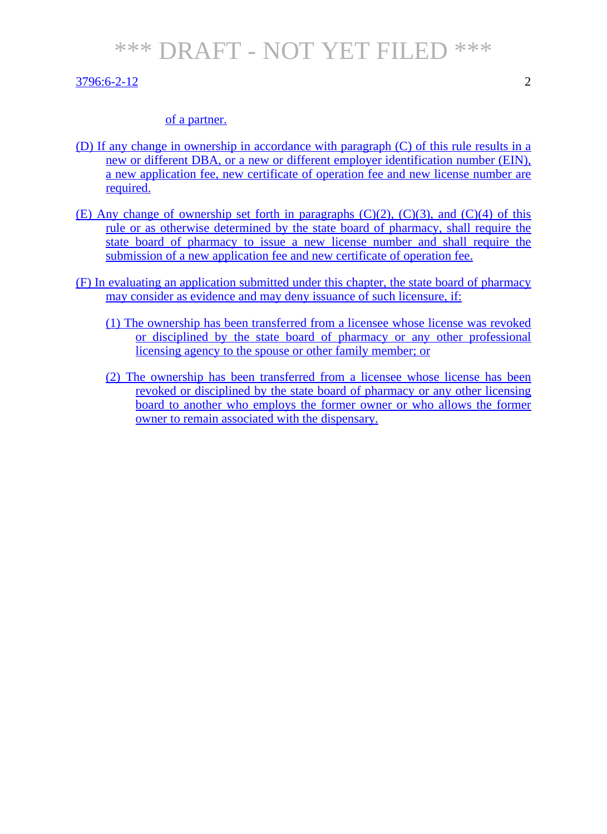#### $3796:6-2-12$  2

#### of a partner.

- (D) If any change in ownership in accordance with paragraph (C) of this rule results in a new or different DBA, or a new or different employer identification number (EIN), a new application fee, new certificate of operation fee and new license number are required.
- (E) Any change of ownership set forth in paragraphs  $(C)(2)$ ,  $(C)(3)$ , and  $(C)(4)$  of this rule or as otherwise determined by the state board of pharmacy, shall require the state board of pharmacy to issue a new license number and shall require the submission of a new application fee and new certificate of operation fee.
- (F) In evaluating an application submitted under this chapter, the state board of pharmacy may consider as evidence and may deny issuance of such licensure, if:
	- (1) The ownership has been transferred from a licensee whose license was revoked or disciplined by the state board of pharmacy or any other professional licensing agency to the spouse or other family member; or
	- (2) The ownership has been transferred from a licensee whose license has been revoked or disciplined by the state board of pharmacy or any other licensing board to another who employs the former owner or who allows the former owner to remain associated with the dispensary.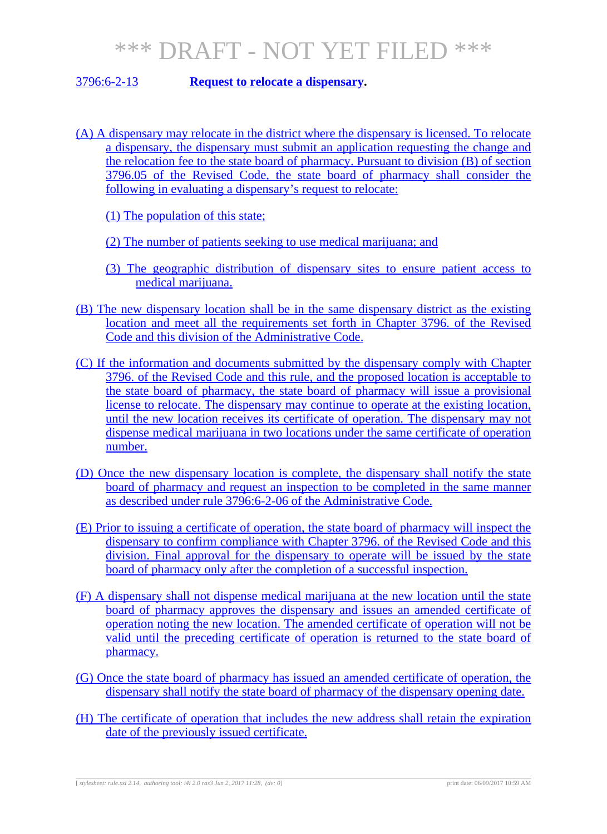### 3796:6-2-13 **Request to relocate a dispensary.**

(A) A dispensary may relocate in the district where the dispensary is licensed. To relocate a dispensary, the dispensary must submit an application requesting the change and the relocation fee to the state board of pharmacy. Pursuant to division (B) of section 3796.05 of the Revised Code, the state board of pharmacy shall consider the following in evaluating a dispensary's request to relocate:

(1) The population of this state;

- (2) The number of patients seeking to use medical marijuana; and
- (3) The geographic distribution of dispensary sites to ensure patient access to medical marijuana.
- (B) The new dispensary location shall be in the same dispensary district as the existing location and meet all the requirements set forth in Chapter 3796. of the Revised Code and this division of the Administrative Code.
- (C) If the information and documents submitted by the dispensary comply with Chapter 3796. of the Revised Code and this rule, and the proposed location is acceptable to the state board of pharmacy, the state board of pharmacy will issue a provisional license to relocate. The dispensary may continue to operate at the existing location, until the new location receives its certificate of operation. The dispensary may not dispense medical marijuana in two locations under the same certificate of operation number.
- (D) Once the new dispensary location is complete, the dispensary shall notify the state board of pharmacy and request an inspection to be completed in the same manner as described under rule 3796:6-2-06 of the Administrative Code.
- (E) Prior to issuing a certificate of operation, the state board of pharmacy will inspect the dispensary to confirm compliance with Chapter 3796. of the Revised Code and this division. Final approval for the dispensary to operate will be issued by the state board of pharmacy only after the completion of a successful inspection.
- (F) A dispensary shall not dispense medical marijuana at the new location until the state board of pharmacy approves the dispensary and issues an amended certificate of operation noting the new location. The amended certificate of operation will not be valid until the preceding certificate of operation is returned to the state board of pharmacy.
- (G) Once the state board of pharmacy has issued an amended certificate of operation, the dispensary shall notify the state board of pharmacy of the dispensary opening date.
- (H) The certificate of operation that includes the new address shall retain the expiration date of the previously issued certificate.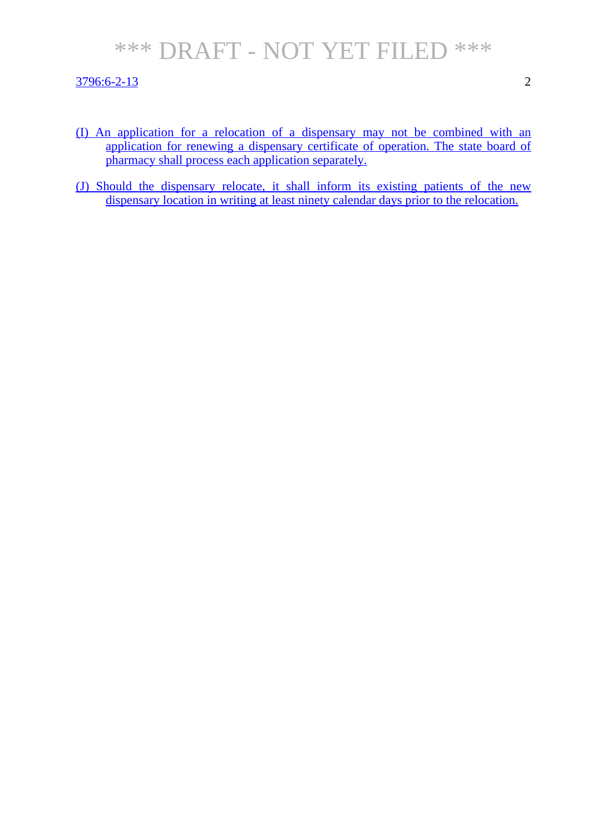#### 3796:6-2-13 2

- (I) An application for a relocation of a dispensary may not be combined with an application for renewing a dispensary certificate of operation. The state board of pharmacy shall process each application separately.
- (J) Should the dispensary relocate, it shall inform its existing patients of the new dispensary location in writing at least ninety calendar days prior to the relocation.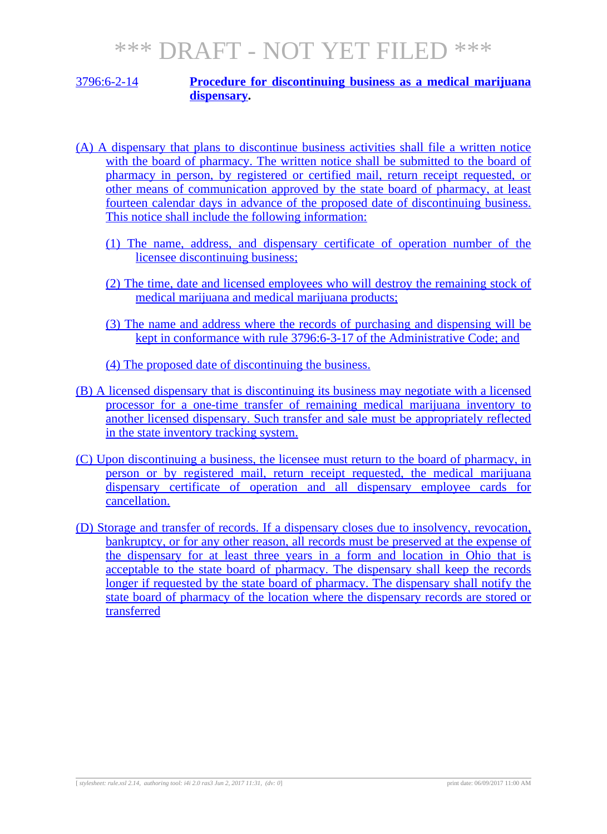#### 3796:6-2-14 **Procedure for discontinuing business as a medical marijuana dispensary.**

- (A) A dispensary that plans to discontinue business activities shall file a written notice with the board of pharmacy. The written notice shall be submitted to the board of pharmacy in person, by registered or certified mail, return receipt requested, or other means of communication approved by the state board of pharmacy, at least fourteen calendar days in advance of the proposed date of discontinuing business. This notice shall include the following information:
	- (1) The name, address, and dispensary certificate of operation number of the licensee discontinuing business;
	- (2) The time, date and licensed employees who will destroy the remaining stock of medical marijuana and medical marijuana products;
	- (3) The name and address where the records of purchasing and dispensing will be kept in conformance with rule 3796:6-3-17 of the Administrative Code; and
	- (4) The proposed date of discontinuing the business.
- (B) A licensed dispensary that is discontinuing its business may negotiate with a licensed processor for a one-time transfer of remaining medical marijuana inventory to another licensed dispensary. Such transfer and sale must be appropriately reflected in the state inventory tracking system.
- (C) Upon discontinuing a business, the licensee must return to the board of pharmacy, in person or by registered mail, return receipt requested, the medical marijuana dispensary certificate of operation and all dispensary employee cards for cancellation.
- (D) Storage and transfer of records. If a dispensary closes due to insolvency, revocation, bankruptcy, or for any other reason, all records must be preserved at the expense of the dispensary for at least three years in a form and location in Ohio that is acceptable to the state board of pharmacy. The dispensary shall keep the records longer if requested by the state board of pharmacy. The dispensary shall notify the state board of pharmacy of the location where the dispensary records are stored or transferred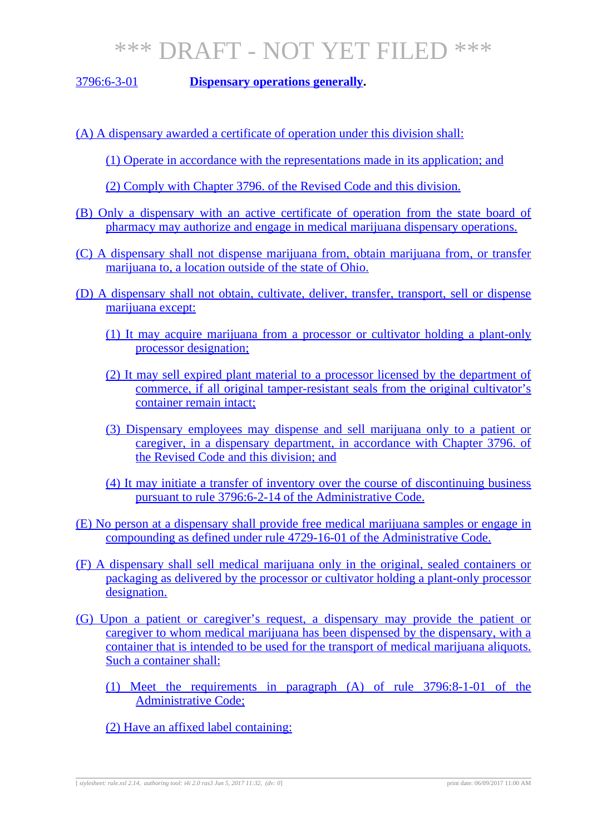3796:6-3-01 **Dispensary operations generally.**

- (A) A dispensary awarded a certificate of operation under this division shall:
	- (1) Operate in accordance with the representations made in its application; and
	- (2) Comply with Chapter 3796. of the Revised Code and this division.
- (B) Only a dispensary with an active certificate of operation from the state board of pharmacy may authorize and engage in medical marijuana dispensary operations.
- (C) A dispensary shall not dispense marijuana from, obtain marijuana from, or transfer marijuana to, a location outside of the state of Ohio.
- (D) A dispensary shall not obtain, cultivate, deliver, transfer, transport, sell or dispense marijuana except:
	- (1) It may acquire marijuana from a processor or cultivator holding a plant-only processor designation;
	- (2) It may sell expired plant material to a processor licensed by the department of commerce, if all original tamper-resistant seals from the original cultivator's container remain intact;
	- (3) Dispensary employees may dispense and sell marijuana only to a patient or caregiver, in a dispensary department, in accordance with Chapter 3796. of the Revised Code and this division; and
	- (4) It may initiate a transfer of inventory over the course of discontinuing business pursuant to rule 3796:6-2-14 of the Administrative Code.
- (E) No person at a dispensary shall provide free medical marijuana samples or engage in compounding as defined under rule 4729-16-01 of the Administrative Code.
- (F) A dispensary shall sell medical marijuana only in the original, sealed containers or packaging as delivered by the processor or cultivator holding a plant-only processor designation.
- (G) Upon a patient or caregiver's request, a dispensary may provide the patient or caregiver to whom medical marijuana has been dispensed by the dispensary, with a container that is intended to be used for the transport of medical marijuana aliquots. Such a container shall:
	- (1) Meet the requirements in paragraph (A) of rule 3796:8-1-01 of the Administrative Code;
	- (2) Have an affixed label containing:

[ *stylesheet: rule.xsl 2.14, authoring tool: i4i 2.0 ras3 Jun 5, 2017 11:32, (dv: 0*] print date: 06/09/2017 11:00 AM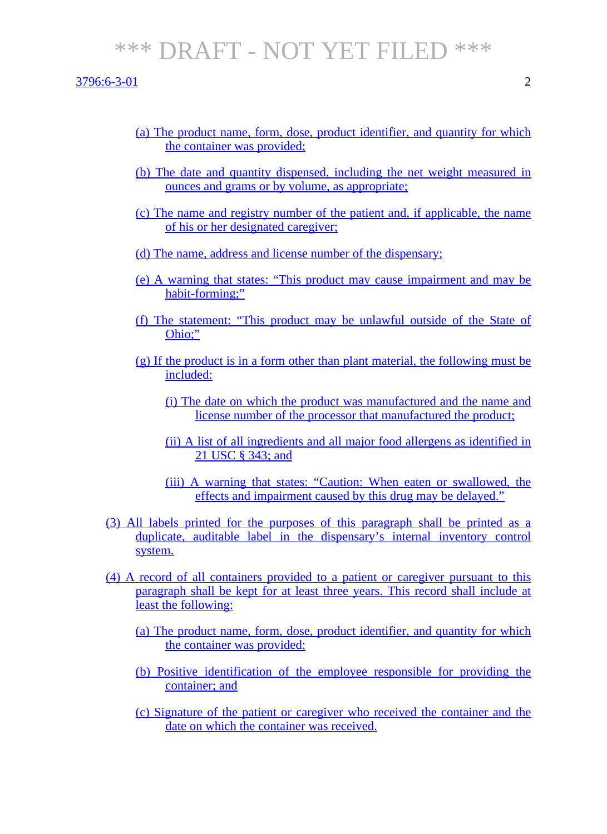$3796:6-3-01$  2

- (a) The product name, form, dose, product identifier, and quantity for which the container was provided;
- (b) The date and quantity dispensed, including the net weight measured in ounces and grams or by volume, as appropriate;
- (c) The name and registry number of the patient and, if applicable, the name of his or her designated caregiver;
- (d) The name, address and license number of the dispensary;
- (e) A warning that states: "This product may cause impairment and may be habit-forming;"
- (f) The statement: "This product may be unlawful outside of the State of Ohio;"
- $(g)$  If the product is in a form other than plant material, the following must be included:
	- (i) The date on which the product was manufactured and the name and license number of the processor that manufactured the product;
	- (ii) A list of all ingredients and all major food allergens as identified in 21 USC § 343; and
	- (iii) A warning that states: "Caution: When eaten or swallowed, the effects and impairment caused by this drug may be delayed."
- (3) All labels printed for the purposes of this paragraph shall be printed as a duplicate, auditable label in the dispensary's internal inventory control system.
- (4) A record of all containers provided to a patient or caregiver pursuant to this paragraph shall be kept for at least three years. This record shall include at least the following:
	- (a) The product name, form, dose, product identifier, and quantity for which the container was provided;
	- (b) Positive identification of the employee responsible for providing the container; and
	- (c) Signature of the patient or caregiver who received the container and the date on which the container was received.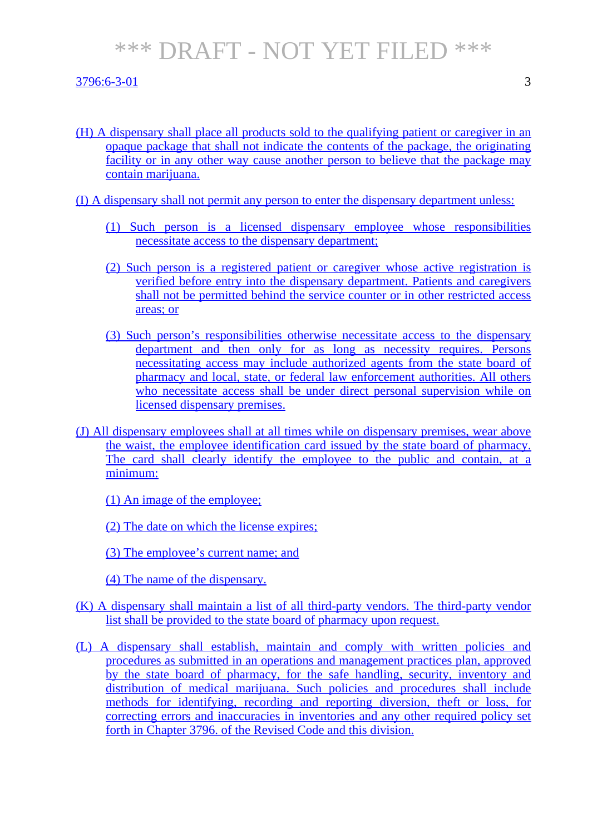#### 3796:6-3-01 3

(H) A dispensary shall place all products sold to the qualifying patient or caregiver in an opaque package that shall not indicate the contents of the package, the originating facility or in any other way cause another person to believe that the package may contain marijuana.

(I) A dispensary shall not permit any person to enter the dispensary department unless:

- (1) Such person is a licensed dispensary employee whose responsibilities necessitate access to the dispensary department;
- (2) Such person is a registered patient or caregiver whose active registration is verified before entry into the dispensary department. Patients and caregivers shall not be permitted behind the service counter or in other restricted access areas; or
- (3) Such person's responsibilities otherwise necessitate access to the dispensary department and then only for as long as necessity requires. Persons necessitating access may include authorized agents from the state board of pharmacy and local, state, or federal law enforcement authorities. All others who necessitate access shall be under direct personal supervision while on licensed dispensary premises.
- (J) All dispensary employees shall at all times while on dispensary premises, wear above the waist, the employee identification card issued by the state board of pharmacy. The card shall clearly identify the employee to the public and contain, at a minimum:
	- (1) An image of the employee;
	- (2) The date on which the license expires;
	- (3) The employee's current name; and
	- (4) The name of the dispensary.
- (K) A dispensary shall maintain a list of all third-party vendors. The third-party vendor list shall be provided to the state board of pharmacy upon request.
- (L) A dispensary shall establish, maintain and comply with written policies and procedures as submitted in an operations and management practices plan, approved by the state board of pharmacy, for the safe handling, security, inventory and distribution of medical marijuana. Such policies and procedures shall include methods for identifying, recording and reporting diversion, theft or loss, for correcting errors and inaccuracies in inventories and any other required policy set forth in Chapter 3796. of the Revised Code and this division.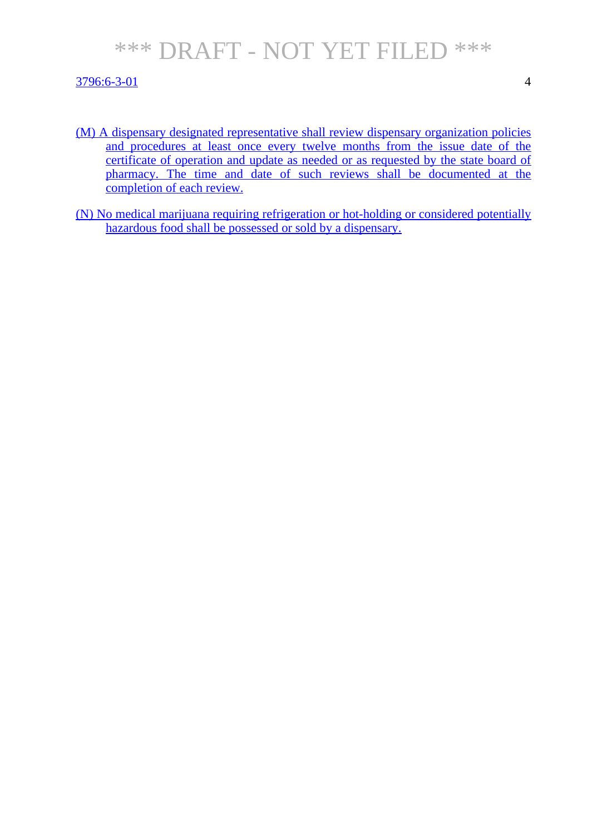### 3796:6-3-01 4

- (M) A dispensary designated representative shall review dispensary organization policies and procedures at least once every twelve months from the issue date of the certificate of operation and update as needed or as requested by the state board of pharmacy. The time and date of such reviews shall be documented at the completion of each review.
- (N) No medical marijuana requiring refrigeration or hot-holding or considered potentially hazardous food shall be possessed or sold by a dispensary.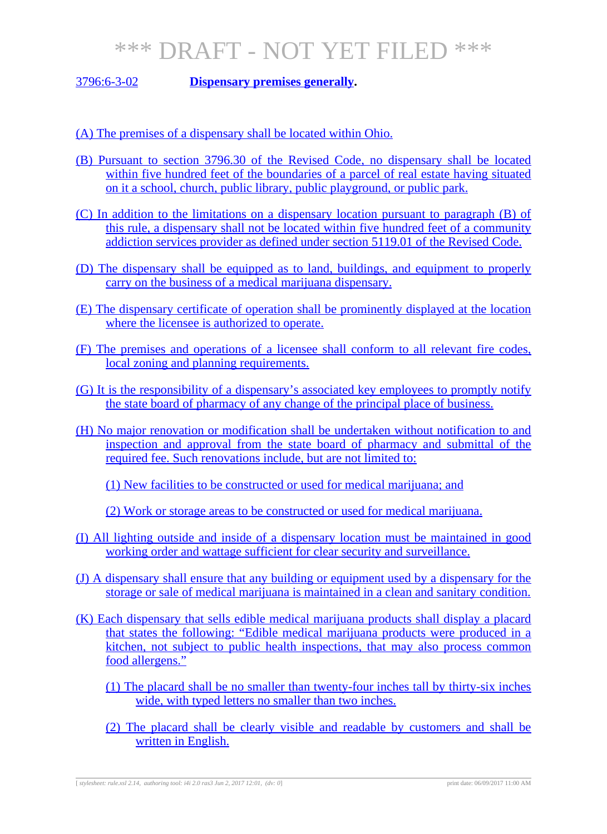3796:6-3-02 **Dispensary premises generally.**

(A) The premises of a dispensary shall be located within Ohio.

- (B) Pursuant to section 3796.30 of the Revised Code, no dispensary shall be located within five hundred feet of the boundaries of a parcel of real estate having situated on it a school, church, public library, public playground, or public park.
- (C) In addition to the limitations on a dispensary location pursuant to paragraph (B) of this rule, a dispensary shall not be located within five hundred feet of a community addiction services provider as defined under section 5119.01 of the Revised Code.
- (D) The dispensary shall be equipped as to land, buildings, and equipment to properly carry on the business of a medical marijuana dispensary.
- (E) The dispensary certificate of operation shall be prominently displayed at the location where the licensee is authorized to operate.
- (F) The premises and operations of a licensee shall conform to all relevant fire codes, local zoning and planning requirements.
- (G) It is the responsibility of a dispensary's associated key employees to promptly notify the state board of pharmacy of any change of the principal place of business.
- (H) No major renovation or modification shall be undertaken without notification to and inspection and approval from the state board of pharmacy and submittal of the required fee. Such renovations include, but are not limited to:

(1) New facilities to be constructed or used for medical marijuana; and

(2) Work or storage areas to be constructed or used for medical marijuana.

- (I) All lighting outside and inside of a dispensary location must be maintained in good working order and wattage sufficient for clear security and surveillance.
- (J) A dispensary shall ensure that any building or equipment used by a dispensary for the storage or sale of medical marijuana is maintained in a clean and sanitary condition.
- (K) Each dispensary that sells edible medical marijuana products shall display a placard that states the following: "Edible medical marijuana products were produced in a kitchen, not subject to public health inspections, that may also process common food allergens."
	- (1) The placard shall be no smaller than twenty-four inches tall by thirty-six inches wide, with typed letters no smaller than two inches.
	- (2) The placard shall be clearly visible and readable by customers and shall be written in English.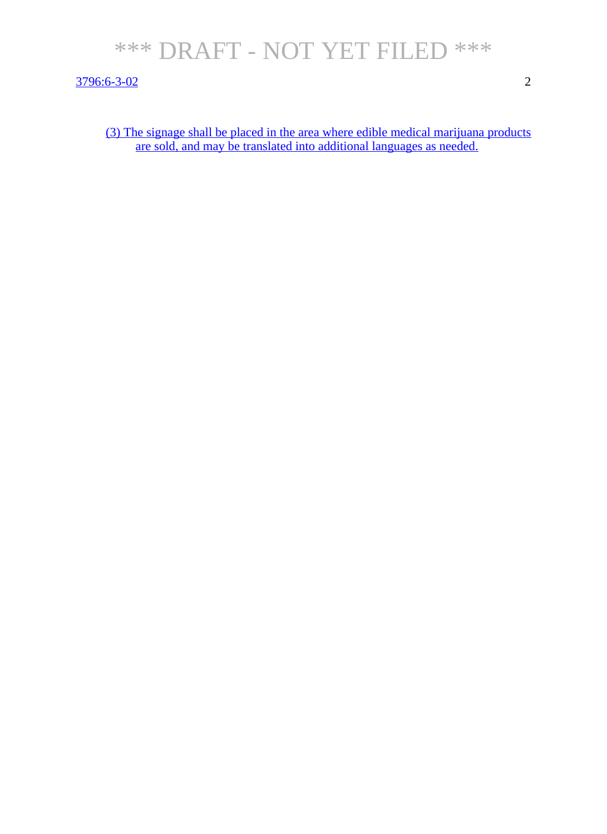3796:6-3-02 2

(3) The signage shall be placed in the area where edible medical marijuana products are sold, and may be translated into additional languages as needed.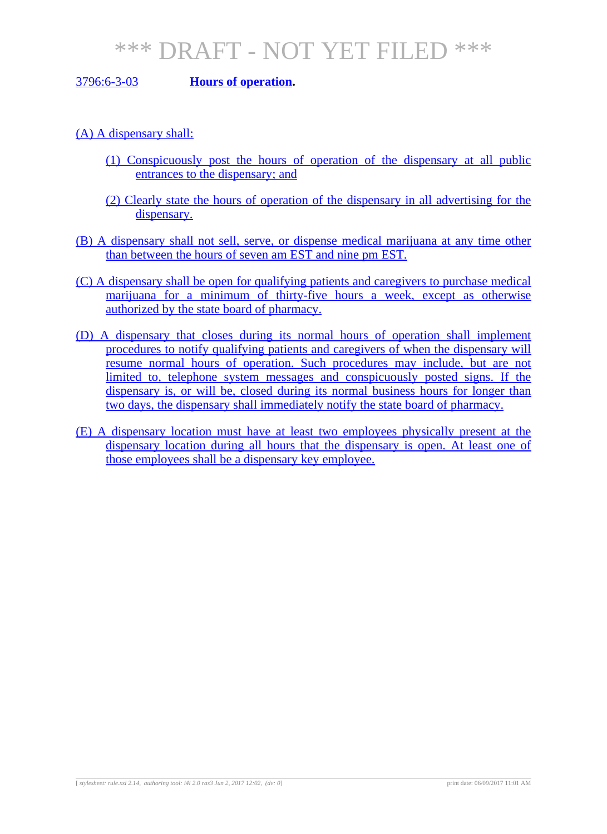### 3796:6-3-03 **Hours of operation.**

(A) A dispensary shall:

- (1) Conspicuously post the hours of operation of the dispensary at all public entrances to the dispensary; and
- (2) Clearly state the hours of operation of the dispensary in all advertising for the dispensary.
- (B) A dispensary shall not sell, serve, or dispense medical marijuana at any time other than between the hours of seven am EST and nine pm EST.
- (C) A dispensary shall be open for qualifying patients and caregivers to purchase medical marijuana for a minimum of thirty-five hours a week, except as otherwise authorized by the state board of pharmacy.
- (D) A dispensary that closes during its normal hours of operation shall implement procedures to notify qualifying patients and caregivers of when the dispensary will resume normal hours of operation. Such procedures may include, but are not limited to, telephone system messages and conspicuously posted signs. If the dispensary is, or will be, closed during its normal business hours for longer than two days, the dispensary shall immediately notify the state board of pharmacy.
- (E) A dispensary location must have at least two employees physically present at the dispensary location during all hours that the dispensary is open. At least one of those employees shall be a dispensary key employee.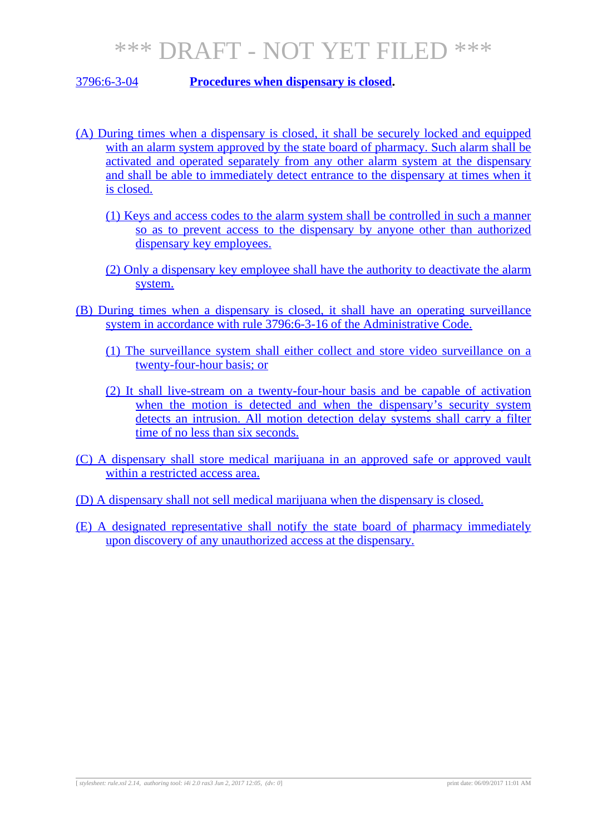### 3796:6-3-04 **Procedures when dispensary is closed.**

- (A) During times when a dispensary is closed, it shall be securely locked and equipped with an alarm system approved by the state board of pharmacy. Such alarm shall be activated and operated separately from any other alarm system at the dispensary and shall be able to immediately detect entrance to the dispensary at times when it is closed.
	- (1) Keys and access codes to the alarm system shall be controlled in such a manner so as to prevent access to the dispensary by anyone other than authorized dispensary key employees.
	- (2) Only a dispensary key employee shall have the authority to deactivate the alarm system.
- (B) During times when a dispensary is closed, it shall have an operating surveillance system in accordance with rule 3796:6-3-16 of the Administrative Code.
	- (1) The surveillance system shall either collect and store video surveillance on a twenty-four-hour basis; or
	- (2) It shall live-stream on a twenty-four-hour basis and be capable of activation when the motion is detected and when the dispensary's security system detects an intrusion. All motion detection delay systems shall carry a filter time of no less than six seconds.
- (C) A dispensary shall store medical marijuana in an approved safe or approved vault within a restricted access area.
- (D) A dispensary shall not sell medical marijuana when the dispensary is closed.
- (E) A designated representative shall notify the state board of pharmacy immediately upon discovery of any unauthorized access at the dispensary.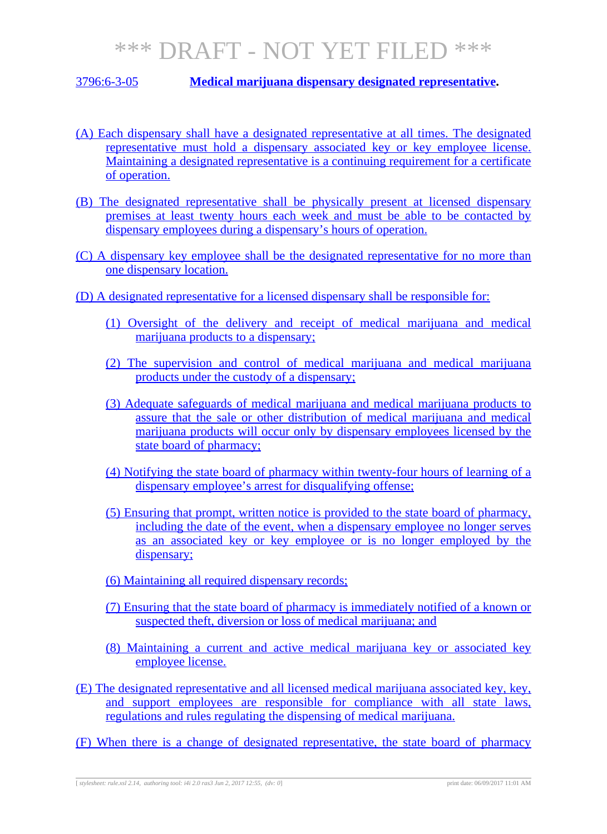### 3796:6-3-05 **Medical marijuana dispensary designated representative.**

- (A) Each dispensary shall have a designated representative at all times. The designated representative must hold a dispensary associated key or key employee license. Maintaining a designated representative is a continuing requirement for a certificate of operation.
- (B) The designated representative shall be physically present at licensed dispensary premises at least twenty hours each week and must be able to be contacted by dispensary employees during a dispensary's hours of operation.
- (C) A dispensary key employee shall be the designated representative for no more than one dispensary location.
- (D) A designated representative for a licensed dispensary shall be responsible for:
	- (1) Oversight of the delivery and receipt of medical marijuana and medical marijuana products to a dispensary;
	- (2) The supervision and control of medical marijuana and medical marijuana products under the custody of a dispensary;
	- (3) Adequate safeguards of medical marijuana and medical marijuana products to assure that the sale or other distribution of medical marijuana and medical marijuana products will occur only by dispensary employees licensed by the state board of pharmacy;
	- (4) Notifying the state board of pharmacy within twenty-four hours of learning of a dispensary employee's arrest for disqualifying offense;
	- (5) Ensuring that prompt, written notice is provided to the state board of pharmacy, including the date of the event, when a dispensary employee no longer serves as an associated key or key employee or is no longer employed by the dispensary;
	- (6) Maintaining all required dispensary records;
	- (7) Ensuring that the state board of pharmacy is immediately notified of a known or suspected theft, diversion or loss of medical marijuana; and
	- (8) Maintaining a current and active medical marijuana key or associated key employee license.
- (E) The designated representative and all licensed medical marijuana associated key, key, and support employees are responsible for compliance with all state laws, regulations and rules regulating the dispensing of medical marijuana.
- (F) When there is a change of designated representative, the state board of pharmacy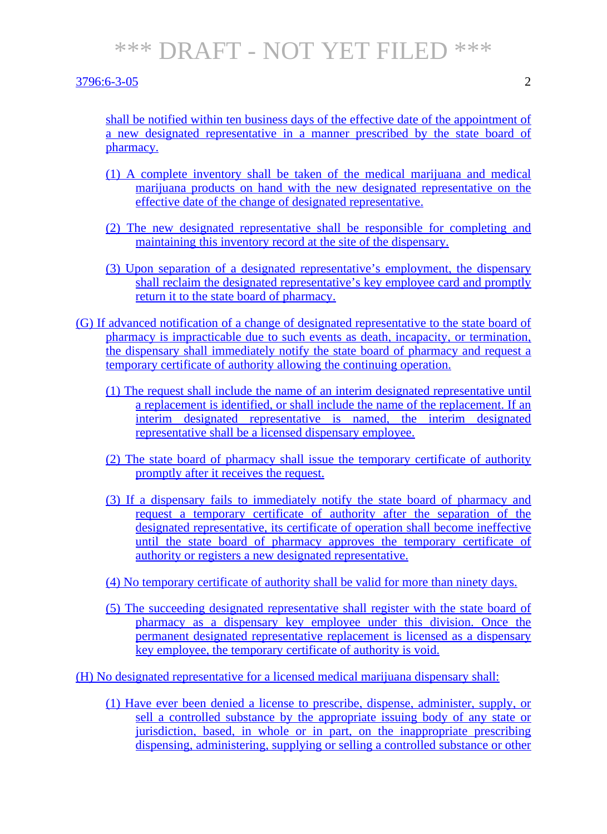#### 3796:6-3-05 2

shall be notified within ten business days of the effective date of the appointment of a new designated representative in a manner prescribed by the state board of pharmacy.

- (1) A complete inventory shall be taken of the medical marijuana and medical marijuana products on hand with the new designated representative on the effective date of the change of designated representative.
- (2) The new designated representative shall be responsible for completing and maintaining this inventory record at the site of the dispensary.
- (3) Upon separation of a designated representative's employment, the dispensary shall reclaim the designated representative's key employee card and promptly return it to the state board of pharmacy.
- (G) If advanced notification of a change of designated representative to the state board of pharmacy is impracticable due to such events as death, incapacity, or termination, the dispensary shall immediately notify the state board of pharmacy and request a temporary certificate of authority allowing the continuing operation.
	- (1) The request shall include the name of an interim designated representative until a replacement is identified, or shall include the name of the replacement. If an interim designated representative is named, the interim designated representative shall be a licensed dispensary employee.
	- (2) The state board of pharmacy shall issue the temporary certificate of authority promptly after it receives the request.
	- (3) If a dispensary fails to immediately notify the state board of pharmacy and request a temporary certificate of authority after the separation of the designated representative, its certificate of operation shall become ineffective until the state board of pharmacy approves the temporary certificate of authority or registers a new designated representative.
	- (4) No temporary certificate of authority shall be valid for more than ninety days.
	- (5) The succeeding designated representative shall register with the state board of pharmacy as a dispensary key employee under this division. Once the permanent designated representative replacement is licensed as a dispensary key employee, the temporary certificate of authority is void.

(H) No designated representative for a licensed medical marijuana dispensary shall:

(1) Have ever been denied a license to prescribe, dispense, administer, supply, or sell a controlled substance by the appropriate issuing body of any state or jurisdiction, based, in whole or in part, on the inappropriate prescribing dispensing, administering, supplying or selling a controlled substance or other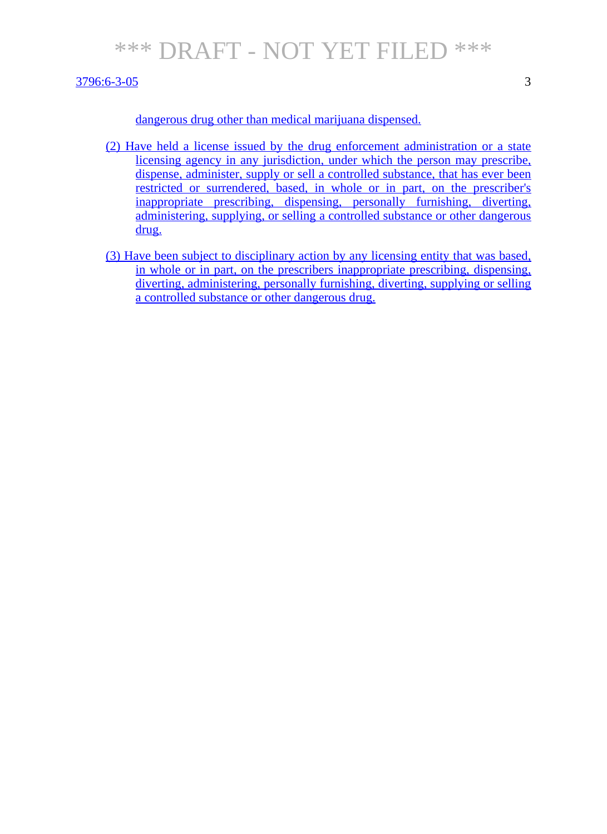#### 3796:6-3-05 3

- (2) Have held a license issued by the drug enforcement administration or a state licensing agency in any jurisdiction, under which the person may prescribe, dispense, administer, supply or sell a controlled substance, that has ever been restricted or surrendered, based, in whole or in part, on the prescriber's inappropriate prescribing, dispensing, personally furnishing, diverting, administering, supplying, or selling a controlled substance or other dangerous drug.
- (3) Have been subject to disciplinary action by any licensing entity that was based, in whole or in part, on the prescribers inappropriate prescribing, dispensing, diverting, administering, personally furnishing, diverting, supplying or selling a controlled substance or other dangerous drug.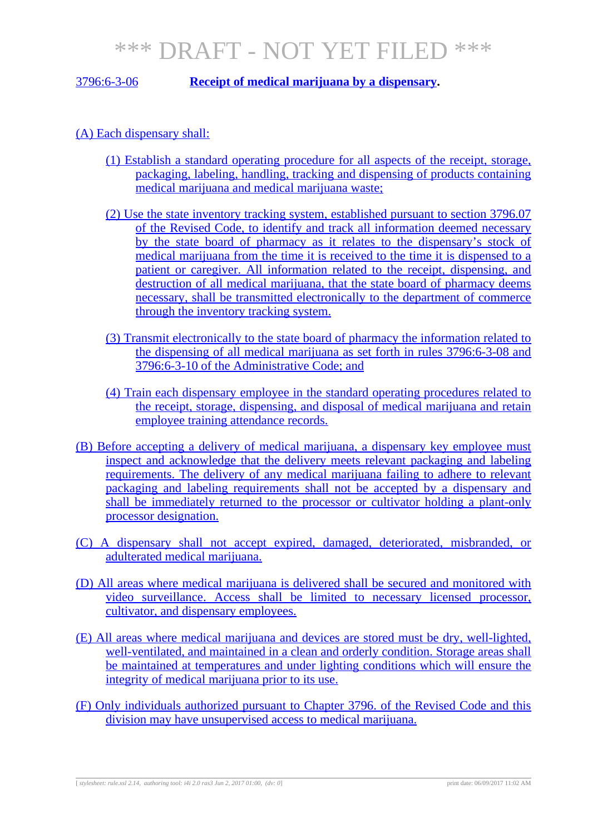3796:6-3-06 **Receipt of medical marijuana by a dispensary.**

(A) Each dispensary shall:

- (1) Establish a standard operating procedure for all aspects of the receipt, storage, packaging, labeling, handling, tracking and dispensing of products containing medical marijuana and medical marijuana waste;
- (2) Use the state inventory tracking system, established pursuant to section 3796.07 of the Revised Code, to identify and track all information deemed necessary by the state board of pharmacy as it relates to the dispensary's stock of medical marijuana from the time it is received to the time it is dispensed to a patient or caregiver. All information related to the receipt, dispensing, and destruction of all medical marijuana, that the state board of pharmacy deems necessary, shall be transmitted electronically to the department of commerce through the inventory tracking system.
- (3) Transmit electronically to the state board of pharmacy the information related to the dispensing of all medical marijuana as set forth in rules 3796:6-3-08 and 3796:6-3-10 of the Administrative Code; and
- (4) Train each dispensary employee in the standard operating procedures related to the receipt, storage, dispensing, and disposal of medical marijuana and retain employee training attendance records.
- (B) Before accepting a delivery of medical marijuana, a dispensary key employee must inspect and acknowledge that the delivery meets relevant packaging and labeling requirements. The delivery of any medical marijuana failing to adhere to relevant packaging and labeling requirements shall not be accepted by a dispensary and shall be immediately returned to the processor or cultivator holding a plant-only processor designation.
- (C) A dispensary shall not accept expired, damaged, deteriorated, misbranded, or adulterated medical marijuana.
- (D) All areas where medical marijuana is delivered shall be secured and monitored with video surveillance. Access shall be limited to necessary licensed processor, cultivator, and dispensary employees.
- (E) All areas where medical marijuana and devices are stored must be dry, well-lighted, well-ventilated, and maintained in a clean and orderly condition. Storage areas shall be maintained at temperatures and under lighting conditions which will ensure the integrity of medical marijuana prior to its use.
- (F) Only individuals authorized pursuant to Chapter 3796. of the Revised Code and this division may have unsupervised access to medical marijuana.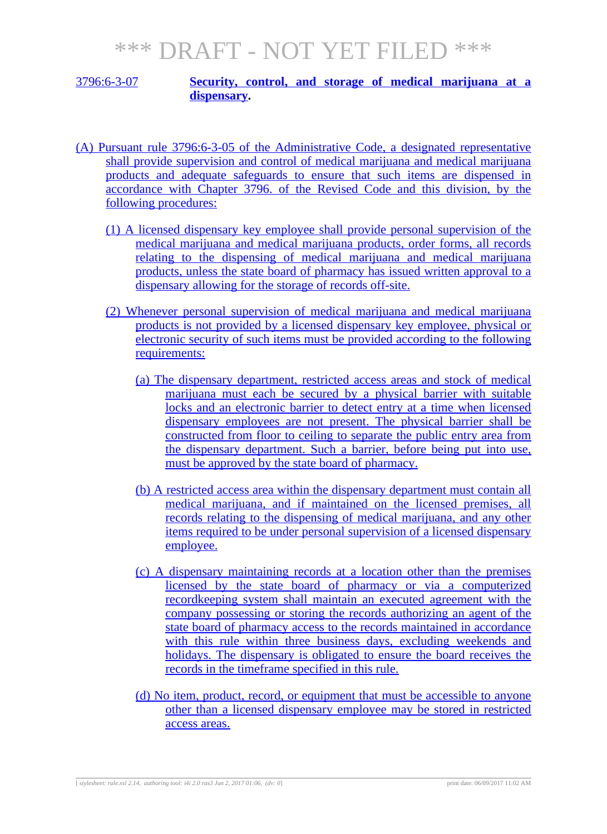### 3796:6-3-07 **Security, control, and storage of medical marijuana at a dispensary.**

- (A) Pursuant rule 3796:6-3-05 of the Administrative Code, a designated representative shall provide supervision and control of medical marijuana and medical marijuana products and adequate safeguards to ensure that such items are dispensed in accordance with Chapter 3796. of the Revised Code and this division, by the following procedures:
	- (1) A licensed dispensary key employee shall provide personal supervision of the medical marijuana and medical marijuana products, order forms, all records relating to the dispensing of medical marijuana and medical marijuana products, unless the state board of pharmacy has issued written approval to a dispensary allowing for the storage of records off-site.
	- (2) Whenever personal supervision of medical marijuana and medical marijuana products is not provided by a licensed dispensary key employee, physical or electronic security of such items must be provided according to the following requirements:
		- (a) The dispensary department, restricted access areas and stock of medical marijuana must each be secured by a physical barrier with suitable locks and an electronic barrier to detect entry at a time when licensed dispensary employees are not present. The physical barrier shall be constructed from floor to ceiling to separate the public entry area from the dispensary department. Such a barrier, before being put into use, must be approved by the state board of pharmacy.
		- (b) A restricted access area within the dispensary department must contain all medical marijuana, and if maintained on the licensed premises, all records relating to the dispensing of medical marijuana, and any other items required to be under personal supervision of a licensed dispensary employee.
		- (c) A dispensary maintaining records at a location other than the premises licensed by the state board of pharmacy or via a computerized recordkeeping system shall maintain an executed agreement with the company possessing or storing the records authorizing an agent of the state board of pharmacy access to the records maintained in accordance with this rule within three business days, excluding weekends and holidays. The dispensary is obligated to ensure the board receives the records in the timeframe specified in this rule.
		- (d) No item, product, record, or equipment that must be accessible to anyone other than a licensed dispensary employee may be stored in restricted access areas.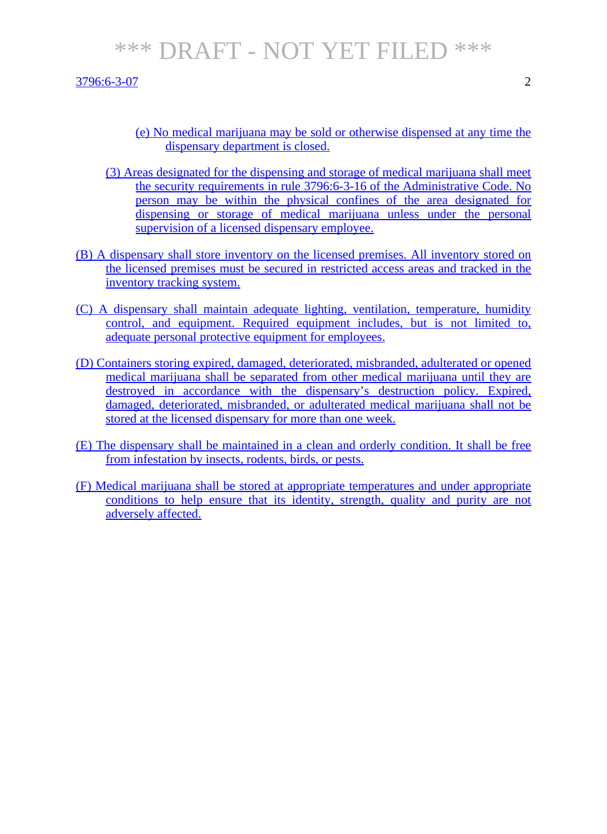3796:6-3-07 2

- 
- (e) No medical marijuana may be sold or otherwise dispensed at any time the dispensary department is closed.
- (3) Areas designated for the dispensing and storage of medical marijuana shall meet the security requirements in rule 3796:6-3-16 of the Administrative Code. No person may be within the physical confines of the area designated for dispensing or storage of medical marijuana unless under the personal supervision of a licensed dispensary employee.
- (B) A dispensary shall store inventory on the licensed premises. All inventory stored on the licensed premises must be secured in restricted access areas and tracked in the inventory tracking system.
- (C) A dispensary shall maintain adequate lighting, ventilation, temperature, humidity control, and equipment. Required equipment includes, but is not limited to, adequate personal protective equipment for employees.
- (D) Containers storing expired, damaged, deteriorated, misbranded, adulterated or opened medical marijuana shall be separated from other medical marijuana until they are destroyed in accordance with the dispensary's destruction policy. Expired, damaged, deteriorated, misbranded, or adulterated medical marijuana shall not be stored at the licensed dispensary for more than one week.
- (E) The dispensary shall be maintained in a clean and orderly condition. It shall be free from infestation by insects, rodents, birds, or pests.
- (F) Medical marijuana shall be stored at appropriate temperatures and under appropriate conditions to help ensure that its identity, strength, quality and purity are not adversely affected.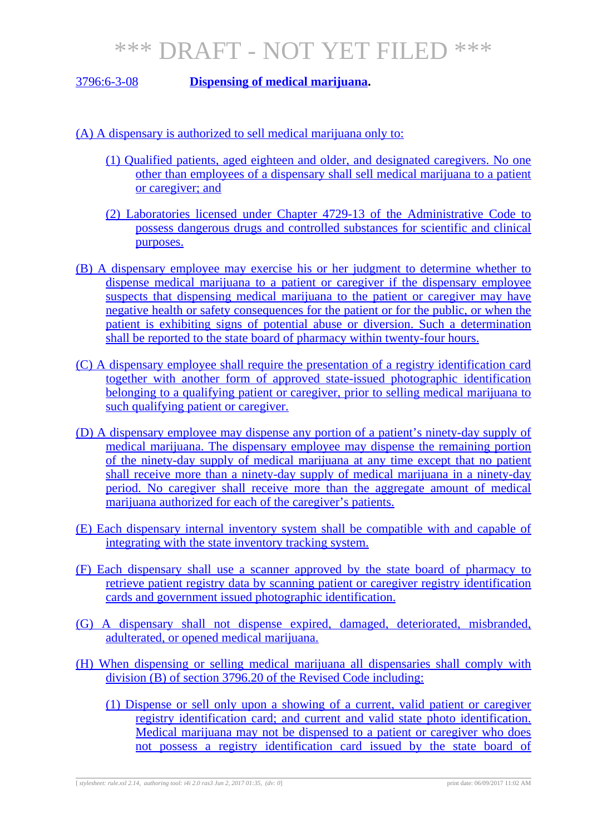### 3796:6-3-08 **Dispensing of medical marijuana.**

(A) A dispensary is authorized to sell medical marijuana only to:

- (1) Qualified patients, aged eighteen and older, and designated caregivers. No one other than employees of a dispensary shall sell medical marijuana to a patient or caregiver; and
- (2) Laboratories licensed under Chapter 4729-13 of the Administrative Code to possess dangerous drugs and controlled substances for scientific and clinical purposes.
- (B) A dispensary employee may exercise his or her judgment to determine whether to dispense medical marijuana to a patient or caregiver if the dispensary employee suspects that dispensing medical marijuana to the patient or caregiver may have negative health or safety consequences for the patient or for the public, or when the patient is exhibiting signs of potential abuse or diversion. Such a determination shall be reported to the state board of pharmacy within twenty-four hours.
- (C) A dispensary employee shall require the presentation of a registry identification card together with another form of approved state-issued photographic identification belonging to a qualifying patient or caregiver, prior to selling medical marijuana to such qualifying patient or caregiver.
- (D) A dispensary employee may dispense any portion of a patient's ninety-day supply of medical marijuana. The dispensary employee may dispense the remaining portion of the ninety-day supply of medical marijuana at any time except that no patient shall receive more than a ninety-day supply of medical marijuana in a ninety-day period. No caregiver shall receive more than the aggregate amount of medical marijuana authorized for each of the caregiver's patients.
- (E) Each dispensary internal inventory system shall be compatible with and capable of integrating with the state inventory tracking system.
- (F) Each dispensary shall use a scanner approved by the state board of pharmacy to retrieve patient registry data by scanning patient or caregiver registry identification cards and government issued photographic identification.
- (G) A dispensary shall not dispense expired, damaged, deteriorated, misbranded, adulterated, or opened medical marijuana.
- (H) When dispensing or selling medical marijuana all dispensaries shall comply with division (B) of section 3796.20 of the Revised Code including:
	- (1) Dispense or sell only upon a showing of a current, valid patient or caregiver registry identification card; and current and valid state photo identification. Medical marijuana may not be dispensed to a patient or caregiver who does not possess a registry identification card issued by the state board of

[ *stylesheet: rule.xsl 2.14, authoring tool: i4i 2.0 ras3 Jun 2, 2017 01:35, (dv: 0*] print date: 06/09/2017 11:02 AM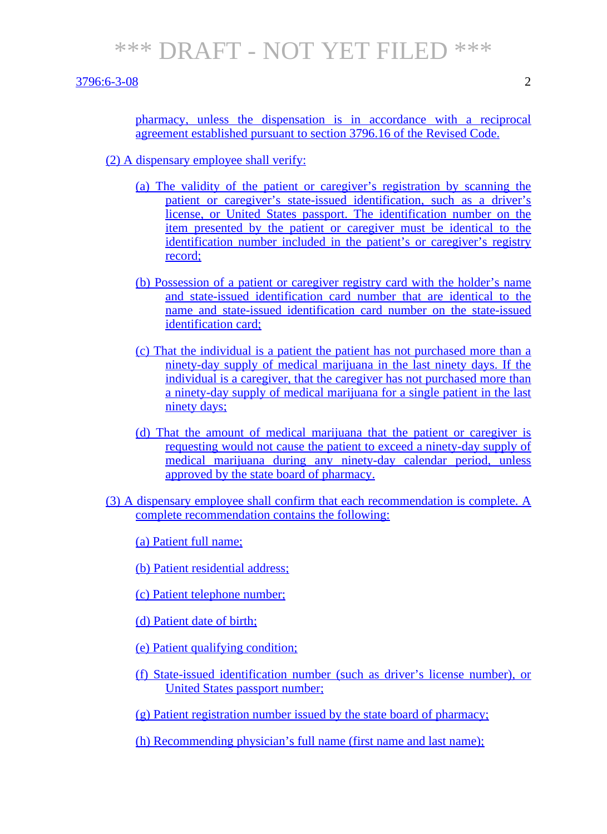3796:6-3-08 2

pharmacy, unless the dispensation is in accordance with a reciprocal agreement established pursuant to section 3796.16 of the Revised Code.

(2) A dispensary employee shall verify:

- (a) The validity of the patient or caregiver's registration by scanning the patient or caregiver's state-issued identification, such as a driver's license, or United States passport. The identification number on the item presented by the patient or caregiver must be identical to the identification number included in the patient's or caregiver's registry record;
- (b) Possession of a patient or caregiver registry card with the holder's name and state-issued identification card number that are identical to the name and state-issued identification card number on the state-issued identification card;
- (c) That the individual is a patient the patient has not purchased more than a ninety-day supply of medical marijuana in the last ninety days. If the individual is a caregiver, that the caregiver has not purchased more than a ninety-day supply of medical marijuana for a single patient in the last ninety days;
- (d) That the amount of medical marijuana that the patient or caregiver is requesting would not cause the patient to exceed a ninety-day supply of medical marijuana during any ninety-day calendar period, unless approved by the state board of pharmacy.
- (3) A dispensary employee shall confirm that each recommendation is complete. A complete recommendation contains the following:
	- (a) Patient full name;
	- (b) Patient residential address;
	- (c) Patient telephone number;
	- (d) Patient date of birth;
	- (e) Patient qualifying condition;
	- (f) State-issued identification number (such as driver's license number), or United States passport number;
	- (g) Patient registration number issued by the state board of pharmacy;
	- (h) Recommending physician's full name (first name and last name);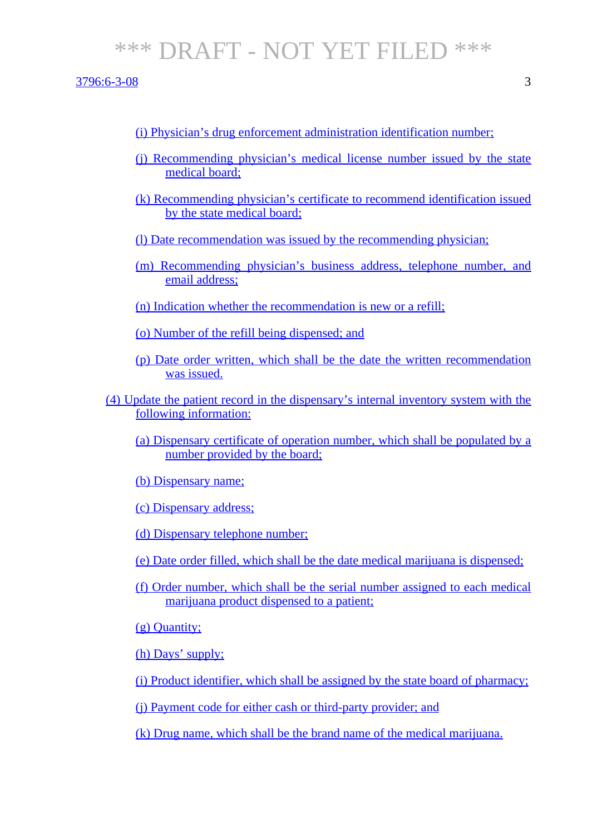3796:6-3-08 3

- (i) Physician's drug enforcement administration identification number;
- (j) Recommending physician's medical license number issued by the state medical board;
- (k) Recommending physician's certificate to recommend identification issued by the state medical board;
- (l) Date recommendation was issued by the recommending physician;
- (m) Recommending physician's business address, telephone number, and email address;
- (n) Indication whether the recommendation is new or a refill;
- (o) Number of the refill being dispensed; and
- (p) Date order written, which shall be the date the written recommendation was issued.
- (4) Update the patient record in the dispensary's internal inventory system with the following information:
	- (a) Dispensary certificate of operation number, which shall be populated by a number provided by the board;
	- (b) Dispensary name;
	- (c) Dispensary address;
	- (d) Dispensary telephone number;
	- (e) Date order filled, which shall be the date medical marijuana is dispensed;
	- (f) Order number, which shall be the serial number assigned to each medical marijuana product dispensed to a patient;

(g) Quantity;

- (h) Days' supply;
- (i) Product identifier, which shall be assigned by the state board of pharmacy;

(j) Payment code for either cash or third-party provider; and

(k) Drug name, which shall be the brand name of the medical marijuana.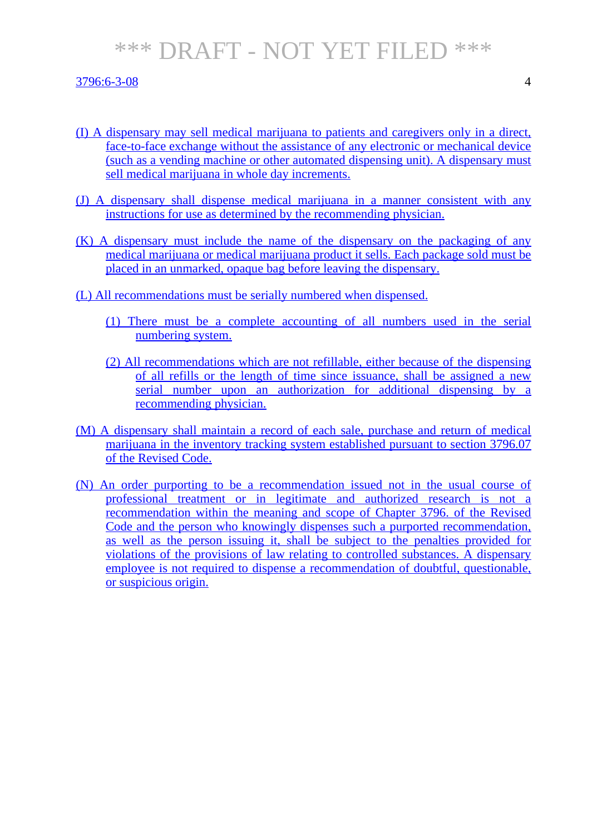### 3796:6-3-08 4

- (I) A dispensary may sell medical marijuana to patients and caregivers only in a direct, face-to-face exchange without the assistance of any electronic or mechanical device (such as a vending machine or other automated dispensing unit). A dispensary must sell medical marijuana in whole day increments.
- (J) A dispensary shall dispense medical marijuana in a manner consistent with any instructions for use as determined by the recommending physician.
- (K) A dispensary must include the name of the dispensary on the packaging of any medical marijuana or medical marijuana product it sells. Each package sold must be placed in an unmarked, opaque bag before leaving the dispensary.
- (L) All recommendations must be serially numbered when dispensed.
	- (1) There must be a complete accounting of all numbers used in the serial numbering system.
	- (2) All recommendations which are not refillable, either because of the dispensing of all refills or the length of time since issuance, shall be assigned a new serial number upon an authorization for additional dispensing by a recommending physician.
- (M) A dispensary shall maintain a record of each sale, purchase and return of medical marijuana in the inventory tracking system established pursuant to section 3796.07 of the Revised Code.
- (N) An order purporting to be a recommendation issued not in the usual course of professional treatment or in legitimate and authorized research is not a recommendation within the meaning and scope of Chapter 3796. of the Revised Code and the person who knowingly dispenses such a purported recommendation, as well as the person issuing it, shall be subject to the penalties provided for violations of the provisions of law relating to controlled substances. A dispensary employee is not required to dispense a recommendation of doubtful, questionable, or suspicious origin.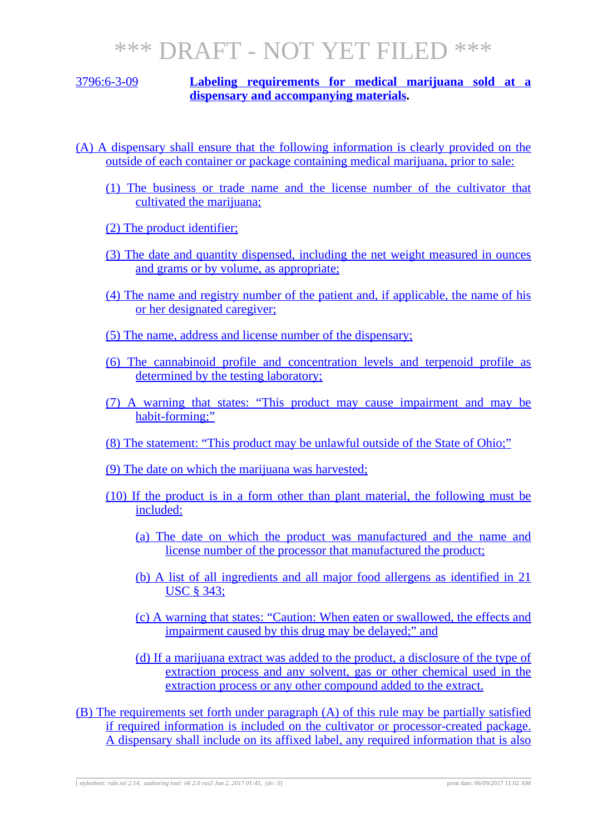### 3796:6-3-09 **Labeling requirements for medical marijuana sold at a dispensary and accompanying materials.**

- (A) A dispensary shall ensure that the following information is clearly provided on the outside of each container or package containing medical marijuana, prior to sale:
	- (1) The business or trade name and the license number of the cultivator that cultivated the marijuana;
	- (2) The product identifier;
	- (3) The date and quantity dispensed, including the net weight measured in ounces and grams or by volume, as appropriate;
	- (4) The name and registry number of the patient and, if applicable, the name of his or her designated caregiver;
	- (5) The name, address and license number of the dispensary;
	- (6) The cannabinoid profile and concentration levels and terpenoid profile as determined by the testing laboratory;
	- (7) A warning that states: "This product may cause impairment and may be habit-forming;"
	- (8) The statement: "This product may be unlawful outside of the State of Ohio;"
	- (9) The date on which the marijuana was harvested;
	- (10) If the product is in a form other than plant material, the following must be included:
		- (a) The date on which the product was manufactured and the name and license number of the processor that manufactured the product;
		- (b) A list of all ingredients and all major food allergens as identified in 21 USC § 343;
		- (c) A warning that states: "Caution: When eaten or swallowed, the effects and impairment caused by this drug may be delayed;" and
		- (d) If a marijuana extract was added to the product, a disclosure of the type of extraction process and any solvent, gas or other chemical used in the extraction process or any other compound added to the extract.

(B) The requirements set forth under paragraph (A) of this rule may be partially satisfied if required information is included on the cultivator or processor-created package. A dispensary shall include on its affixed label, any required information that is also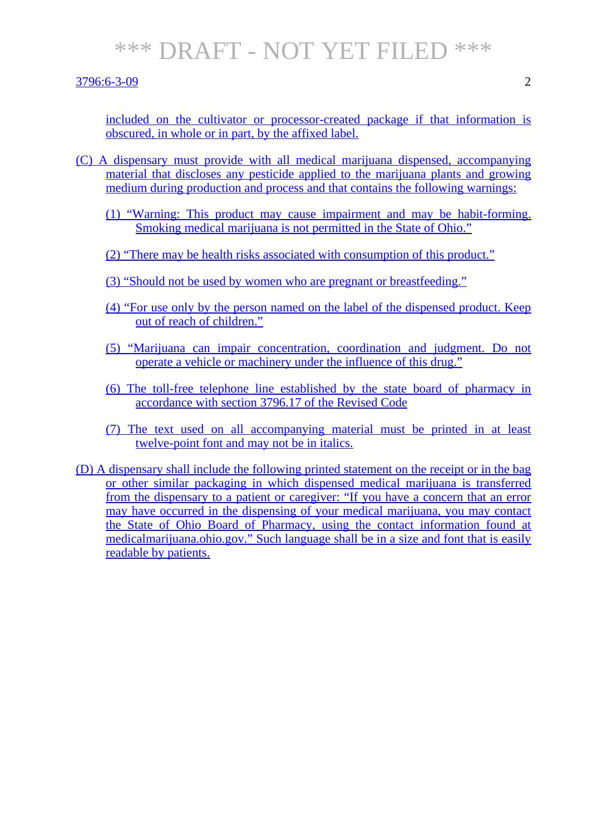#### 3796:6-3-09 2

included on the cultivator or processor-created package if that information is obscured, in whole or in part, by the affixed label.

- (C) A dispensary must provide with all medical marijuana dispensed, accompanying material that discloses any pesticide applied to the marijuana plants and growing medium during production and process and that contains the following warnings:
	- (1) "Warning: This product may cause impairment and may be habit-forming. Smoking medical marijuana is not permitted in the State of Ohio."
	- (2) "There may be health risks associated with consumption of this product."
	- (3) "Should not be used by women who are pregnant or breastfeeding."
	- (4) "For use only by the person named on the label of the dispensed product. Keep out of reach of children."
	- (5) "Marijuana can impair concentration, coordination and judgment. Do not operate a vehicle or machinery under the influence of this drug."
	- (6) The toll-free telephone line established by the state board of pharmacy in accordance with section 3796.17 of the Revised Code
	- (7) The text used on all accompanying material must be printed in at least twelve-point font and may not be in italics.
- (D) A dispensary shall include the following printed statement on the receipt or in the bag or other similar packaging in which dispensed medical marijuana is transferred from the dispensary to a patient or caregiver: "If you have a concern that an error may have occurred in the dispensing of your medical marijuana, you may contact the State of Ohio Board of Pharmacy, using the contact information found at medicalmarijuana.ohio.gov." Such language shall be in a size and font that is easily readable by patients.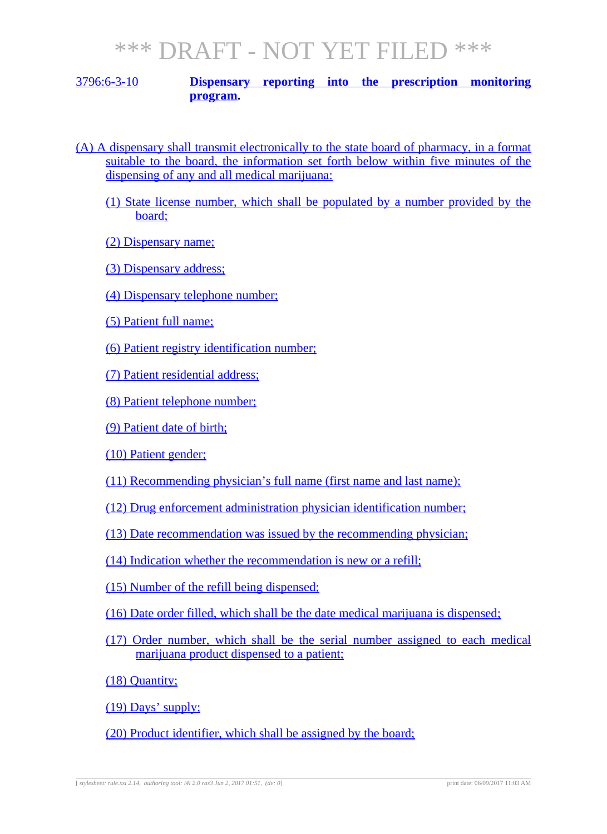### 3796:6-3-10 **Dispensary reporting into the prescription monitoring program.**

- (A) A dispensary shall transmit electronically to the state board of pharmacy, in a format suitable to the board, the information set forth below within five minutes of the dispensing of any and all medical marijuana:
	- (1) State license number, which shall be populated by a number provided by the board;
	- (2) Dispensary name;
	- (3) Dispensary address;
	- (4) Dispensary telephone number;
	- (5) Patient full name;
	- (6) Patient registry identification number;
	- (7) Patient residential address;
	- (8) Patient telephone number;
	- (9) Patient date of birth;
	- (10) Patient gender;
	- (11) Recommending physician's full name (first name and last name);
	- (12) Drug enforcement administration physician identification number;
	- (13) Date recommendation was issued by the recommending physician;
	- (14) Indication whether the recommendation is new or a refill;
	- (15) Number of the refill being dispensed;
	- (16) Date order filled, which shall be the date medical marijuana is dispensed;
	- (17) Order number, which shall be the serial number assigned to each medical marijuana product dispensed to a patient;

(18) Quantity;

(19) Days' supply;

(20) Product identifier, which shall be assigned by the board;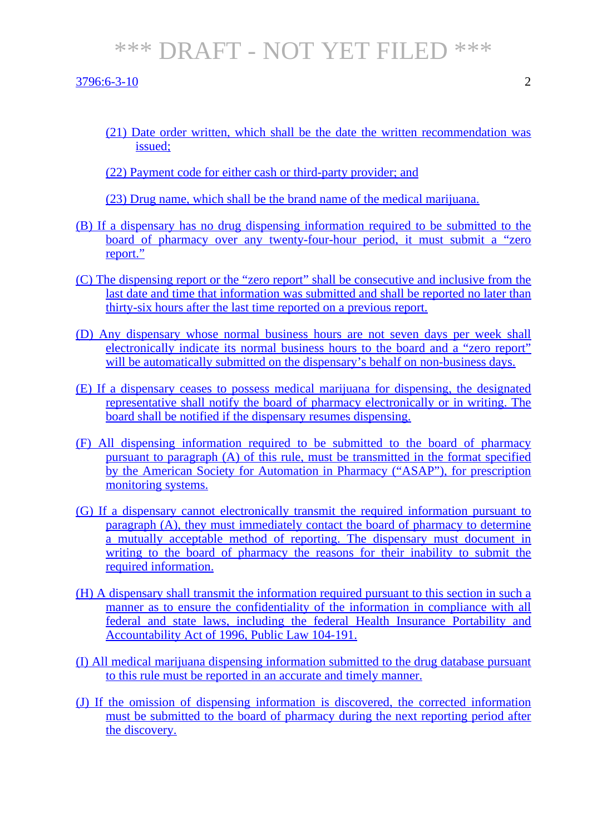#### 3796:6-3-10 2

(21) Date order written, which shall be the date the written recommendation was issued;

(22) Payment code for either cash or third-party provider; and

(23) Drug name, which shall be the brand name of the medical marijuana.

- (B) If a dispensary has no drug dispensing information required to be submitted to the board of pharmacy over any twenty-four-hour period, it must submit a "zero report."
- (C) The dispensing report or the "zero report" shall be consecutive and inclusive from the last date and time that information was submitted and shall be reported no later than thirty-six hours after the last time reported on a previous report.
- (D) Any dispensary whose normal business hours are not seven days per week shall electronically indicate its normal business hours to the board and a "zero report" will be automatically submitted on the dispensary's behalf on non-business days.
- (E) If a dispensary ceases to possess medical marijuana for dispensing, the designated representative shall notify the board of pharmacy electronically or in writing. The board shall be notified if the dispensary resumes dispensing.
- (F) All dispensing information required to be submitted to the board of pharmacy pursuant to paragraph (A) of this rule, must be transmitted in the format specified by the American Society for Automation in Pharmacy ("ASAP"), for prescription monitoring systems.
- (G) If a dispensary cannot electronically transmit the required information pursuant to paragraph (A), they must immediately contact the board of pharmacy to determine a mutually acceptable method of reporting. The dispensary must document in writing to the board of pharmacy the reasons for their inability to submit the required information.
- (H) A dispensary shall transmit the information required pursuant to this section in such a manner as to ensure the confidentiality of the information in compliance with all federal and state laws, including the federal Health Insurance Portability and Accountability Act of 1996, Public Law 104-191.
- (I) All medical marijuana dispensing information submitted to the drug database pursuant to this rule must be reported in an accurate and timely manner.
- (J) If the omission of dispensing information is discovered, the corrected information must be submitted to the board of pharmacy during the next reporting period after the discovery.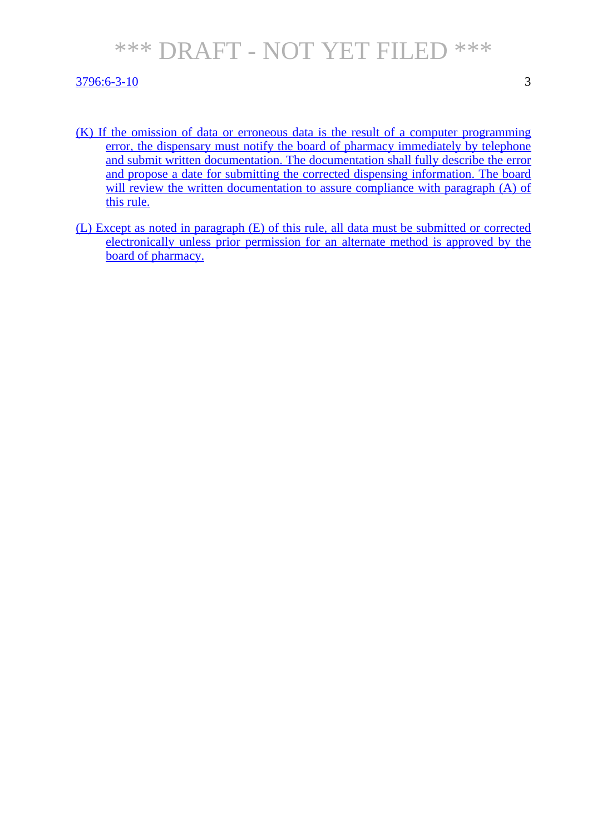#### 3796:6-3-10 3

- (K) If the omission of data or erroneous data is the result of a computer programming error, the dispensary must notify the board of pharmacy immediately by telephone and submit written documentation. The documentation shall fully describe the error and propose a date for submitting the corrected dispensing information. The board will review the written documentation to assure compliance with paragraph (A) of this rule.
- (L) Except as noted in paragraph (E) of this rule, all data must be submitted or corrected electronically unless prior permission for an alternate method is approved by the board of pharmacy.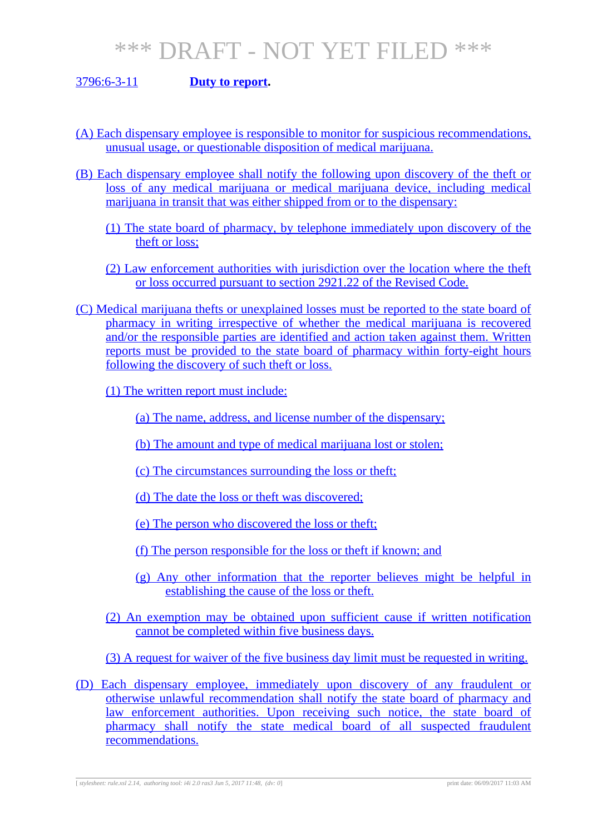### 3796:6-3-11 **Duty to report.**

- (A) Each dispensary employee is responsible to monitor for suspicious recommendations, unusual usage, or questionable disposition of medical marijuana.
- (B) Each dispensary employee shall notify the following upon discovery of the theft or loss of any medical marijuana or medical marijuana device, including medical marijuana in transit that was either shipped from or to the dispensary:
	- (1) The state board of pharmacy, by telephone immediately upon discovery of the theft or loss;
	- (2) Law enforcement authorities with jurisdiction over the location where the theft or loss occurred pursuant to section 2921.22 of the Revised Code.
- (C) Medical marijuana thefts or unexplained losses must be reported to the state board of pharmacy in writing irrespective of whether the medical marijuana is recovered and/or the responsible parties are identified and action taken against them. Written reports must be provided to the state board of pharmacy within forty-eight hours following the discovery of such theft or loss.
	- (1) The written report must include:
		- (a) The name, address, and license number of the dispensary;
		- (b) The amount and type of medical marijuana lost or stolen;
		- (c) The circumstances surrounding the loss or theft;
		- (d) The date the loss or theft was discovered;
		- (e) The person who discovered the loss or theft;
		- (f) The person responsible for the loss or theft if known; and
		- (g) Any other information that the reporter believes might be helpful in establishing the cause of the loss or theft.
	- (2) An exemption may be obtained upon sufficient cause if written notification cannot be completed within five business days.
	- (3) A request for waiver of the five business day limit must be requested in writing.
- (D) Each dispensary employee, immediately upon discovery of any fraudulent or otherwise unlawful recommendation shall notify the state board of pharmacy and law enforcement authorities. Upon receiving such notice, the state board of pharmacy shall notify the state medical board of all suspected fraudulent recommendations.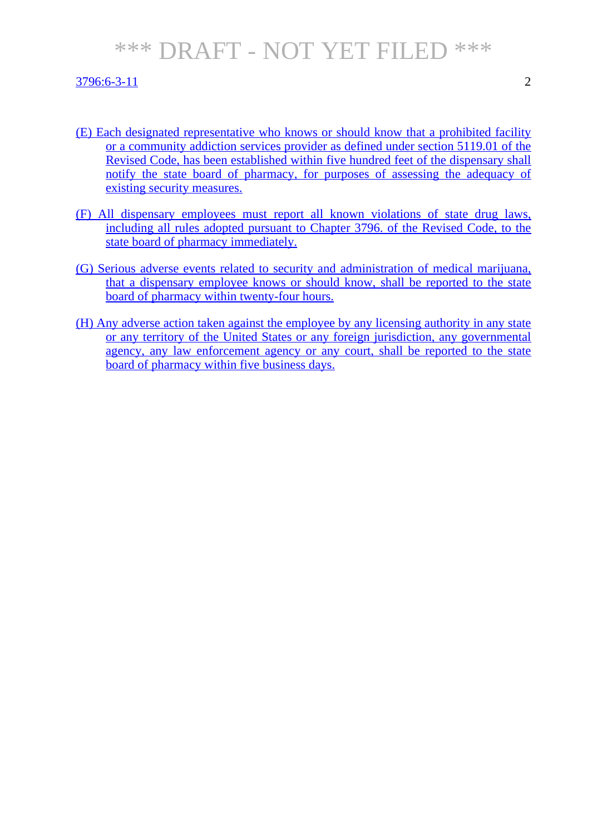### $3796:6-3-11$  2

- (E) Each designated representative who knows or should know that a prohibited facility or a community addiction services provider as defined under section 5119.01 of the Revised Code, has been established within five hundred feet of the dispensary shall notify the state board of pharmacy, for purposes of assessing the adequacy of existing security measures.
- (F) All dispensary employees must report all known violations of state drug laws, including all rules adopted pursuant to Chapter 3796. of the Revised Code, to the state board of pharmacy immediately.
- (G) Serious adverse events related to security and administration of medical marijuana, that a dispensary employee knows or should know, shall be reported to the state board of pharmacy within twenty-four hours.
- (H) Any adverse action taken against the employee by any licensing authority in any state or any territory of the United States or any foreign jurisdiction, any governmental agency, any law enforcement agency or any court, shall be reported to the state board of pharmacy within five business days.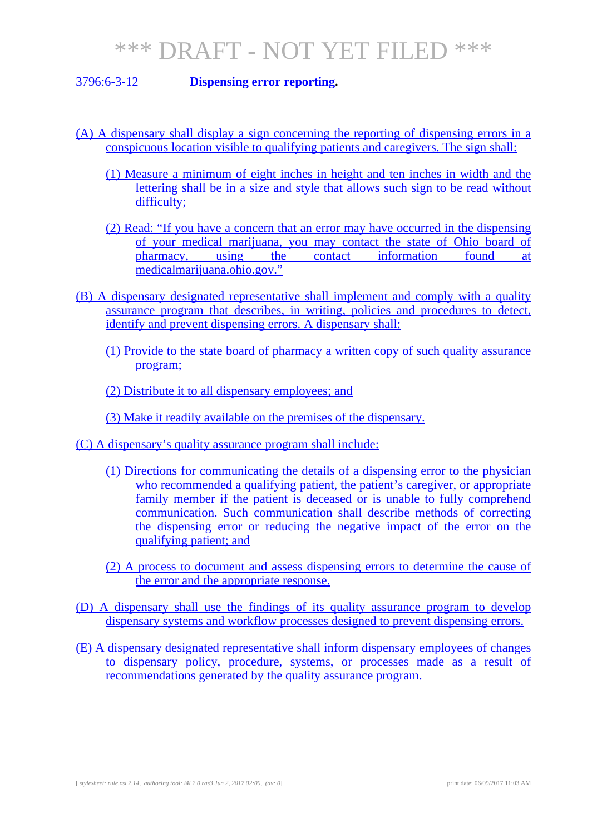3796:6-3-12 **Dispensing error reporting.**

- (A) A dispensary shall display a sign concerning the reporting of dispensing errors in a conspicuous location visible to qualifying patients and caregivers. The sign shall:
	- (1) Measure a minimum of eight inches in height and ten inches in width and the lettering shall be in a size and style that allows such sign to be read without difficulty;
	- (2) Read: "If you have a concern that an error may have occurred in the dispensing of your medical marijuana, you may contact the state of Ohio board of pharmacy, using the contact information found at pharmacy, using the contact information found at medicalmarijuana.ohio.gov."
- (B) A dispensary designated representative shall implement and comply with a quality assurance program that describes, in writing, policies and procedures to detect, identify and prevent dispensing errors. A dispensary shall:
	- (1) Provide to the state board of pharmacy a written copy of such quality assurance program;
	- (2) Distribute it to all dispensary employees; and

(3) Make it readily available on the premises of the dispensary.

- (C) A dispensary's quality assurance program shall include:
	- (1) Directions for communicating the details of a dispensing error to the physician who recommended a qualifying patient, the patient's caregiver, or appropriate family member if the patient is deceased or is unable to fully comprehend communication. Such communication shall describe methods of correcting the dispensing error or reducing the negative impact of the error on the qualifying patient; and
	- (2) A process to document and assess dispensing errors to determine the cause of the error and the appropriate response.
- (D) A dispensary shall use the findings of its quality assurance program to develop dispensary systems and workflow processes designed to prevent dispensing errors.
- (E) A dispensary designated representative shall inform dispensary employees of changes to dispensary policy, procedure, systems, or processes made as a result of recommendations generated by the quality assurance program.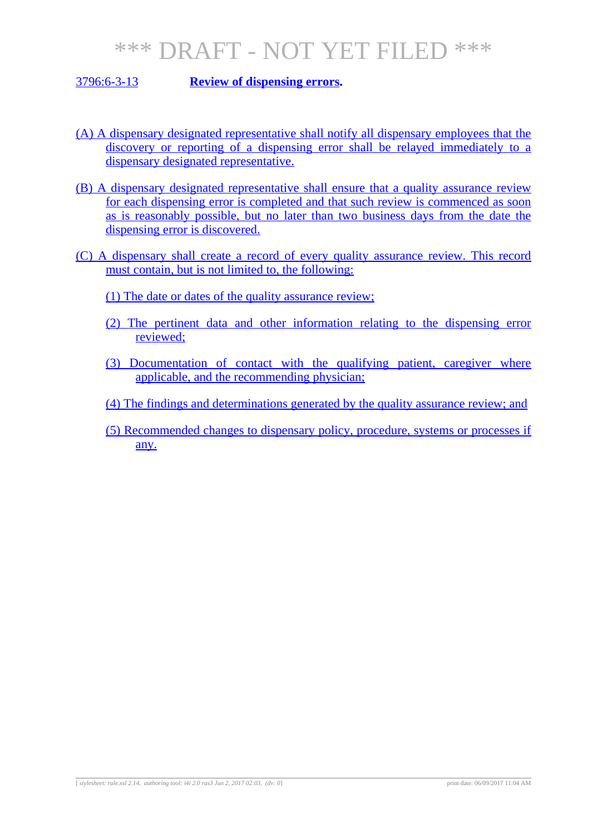### 3796:6-3-13 **Review of dispensing errors.**

- (A) A dispensary designated representative shall notify all dispensary employees that the discovery or reporting of a dispensing error shall be relayed immediately to a dispensary designated representative.
- (B) A dispensary designated representative shall ensure that a quality assurance review for each dispensing error is completed and that such review is commenced as soon as is reasonably possible, but no later than two business days from the date the dispensing error is discovered.
- (C) A dispensary shall create a record of every quality assurance review. This record must contain, but is not limited to, the following:
	- (1) The date or dates of the quality assurance review;
	- (2) The pertinent data and other information relating to the dispensing error reviewed;
	- (3) Documentation of contact with the qualifying patient, caregiver where applicable, and the recommending physician;
	- (4) The findings and determinations generated by the quality assurance review; and
	- (5) Recommended changes to dispensary policy, procedure, systems or processes if any.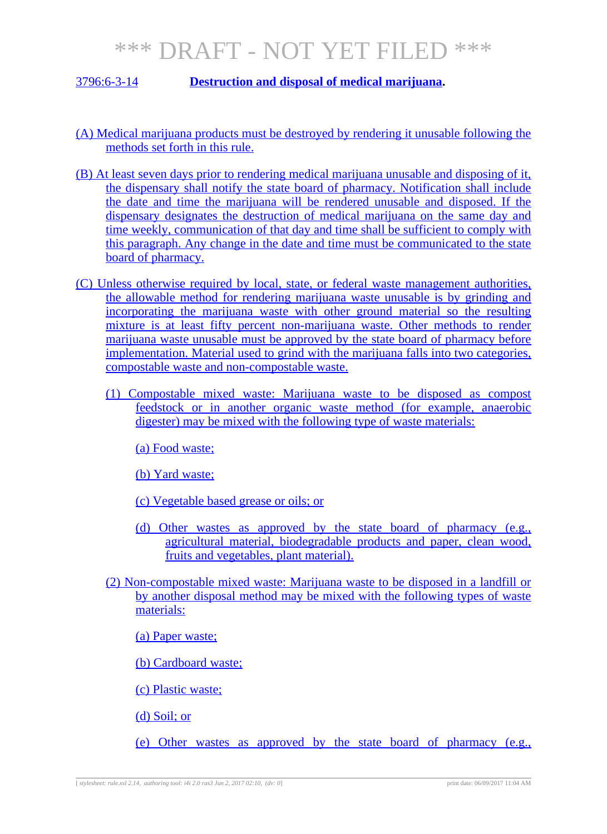### 3796:6-3-14 **Destruction and disposal of medical marijuana.**

- (A) Medical marijuana products must be destroyed by rendering it unusable following the methods set forth in this rule.
- (B) At least seven days prior to rendering medical marijuana unusable and disposing of it, the dispensary shall notify the state board of pharmacy. Notification shall include the date and time the marijuana will be rendered unusable and disposed. If the dispensary designates the destruction of medical marijuana on the same day and time weekly, communication of that day and time shall be sufficient to comply with this paragraph. Any change in the date and time must be communicated to the state board of pharmacy.
- (C) Unless otherwise required by local, state, or federal waste management authorities, the allowable method for rendering marijuana waste unusable is by grinding and incorporating the marijuana waste with other ground material so the resulting mixture is at least fifty percent non-marijuana waste. Other methods to render marijuana waste unusable must be approved by the state board of pharmacy before implementation. Material used to grind with the marijuana falls into two categories, compostable waste and non-compostable waste.
	- (1) Compostable mixed waste: Marijuana waste to be disposed as compost feedstock or in another organic waste method (for example, anaerobic digester) may be mixed with the following type of waste materials:
		- (a) Food waste;
		- (b) Yard waste;
		- (c) Vegetable based grease or oils; or
		- (d) Other wastes as approved by the state board of pharmacy (e.g., agricultural material, biodegradable products and paper, clean wood, fruits and vegetables, plant material).
	- (2) Non-compostable mixed waste: Marijuana waste to be disposed in a landfill or by another disposal method may be mixed with the following types of waste materials:
		- (a) Paper waste;
		- (b) Cardboard waste;
		- (c) Plastic waste;
		- (d) Soil; or
		- (e) Other wastes as approved by the state board of pharmacy (e.g.,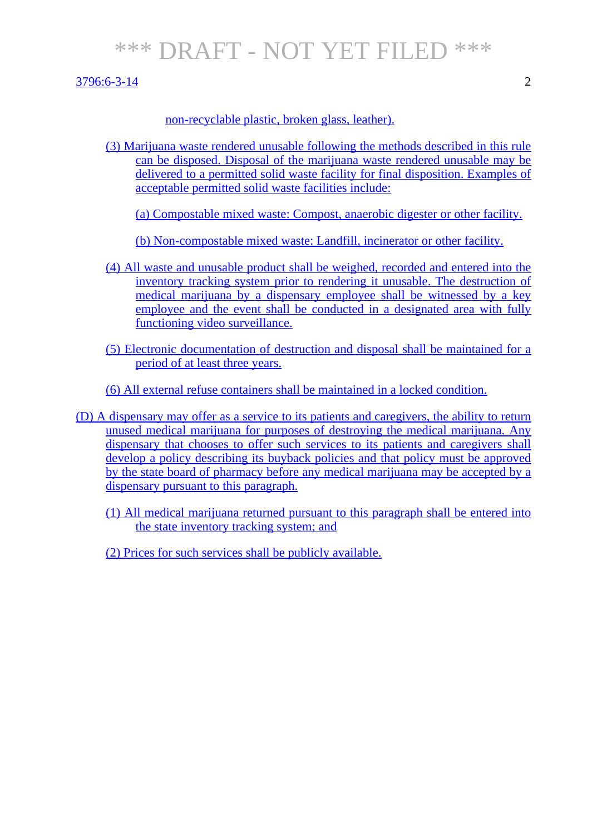#### $3796:6-3-14$  2

### non-recyclable plastic, broken glass, leather).

(3) Marijuana waste rendered unusable following the methods described in this rule can be disposed. Disposal of the marijuana waste rendered unusable may be delivered to a permitted solid waste facility for final disposition. Examples of acceptable permitted solid waste facilities include:

(a) Compostable mixed waste: Compost, anaerobic digester or other facility.

(b) Non-compostable mixed waste: Landfill, incinerator or other facility.

- (4) All waste and unusable product shall be weighed, recorded and entered into the inventory tracking system prior to rendering it unusable. The destruction of medical marijuana by a dispensary employee shall be witnessed by a key employee and the event shall be conducted in a designated area with fully functioning video surveillance.
- (5) Electronic documentation of destruction and disposal shall be maintained for a period of at least three years.
- (6) All external refuse containers shall be maintained in a locked condition.

(D) A dispensary may offer as a service to its patients and caregivers, the ability to return unused medical marijuana for purposes of destroying the medical marijuana. Any dispensary that chooses to offer such services to its patients and caregivers shall develop a policy describing its buyback policies and that policy must be approved by the state board of pharmacy before any medical marijuana may be accepted by a dispensary pursuant to this paragraph.

(1) All medical marijuana returned pursuant to this paragraph shall be entered into the state inventory tracking system; and

(2) Prices for such services shall be publicly available.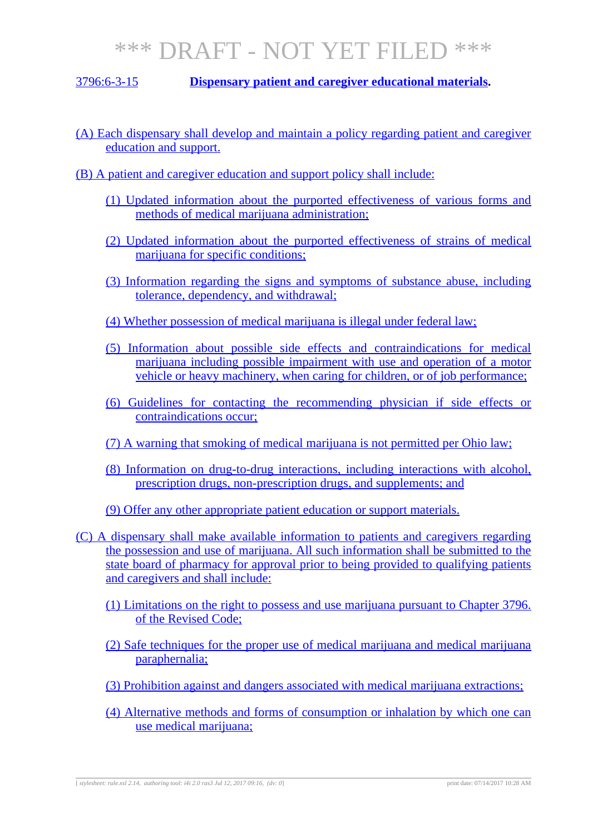### 3796:6-3-15 **Dispensary patient and caregiver educational materials.**

- (A) Each dispensary shall develop and maintain a policy regarding patient and caregiver education and support.
- (B) A patient and caregiver education and support policy shall include:
	- (1) Updated information about the purported effectiveness of various forms and methods of medical marijuana administration;
	- (2) Updated information about the purported effectiveness of strains of medical marijuana for specific conditions;
	- (3) Information regarding the signs and symptoms of substance abuse, including tolerance, dependency, and withdrawal;
	- (4) Whether possession of medical marijuana is illegal under federal law;
	- (5) Information about possible side effects and contraindications for medical marijuana including possible impairment with use and operation of a motor vehicle or heavy machinery, when caring for children, or of job performance;
	- (6) Guidelines for contacting the recommending physician if side effects or contraindications occur;
	- (7) A warning that smoking of medical marijuana is not permitted per Ohio law;
	- (8) Information on drug-to-drug interactions, including interactions with alcohol, prescription drugs, non-prescription drugs, and supplements; and
	- (9) Offer any other appropriate patient education or support materials.
- (C) A dispensary shall make available information to patients and caregivers regarding the possession and use of marijuana. All such information shall be submitted to the state board of pharmacy for approval prior to being provided to qualifying patients and caregivers and shall include:
	- (1) Limitations on the right to possess and use marijuana pursuant to Chapter 3796. of the Revised Code;
	- (2) Safe techniques for the proper use of medical marijuana and medical marijuana paraphernalia;
	- (3) Prohibition against and dangers associated with medical marijuana extractions;
	- (4) Alternative methods and forms of consumption or inhalation by which one can use medical marijuana;

[ *stylesheet: rule.xsl 2.14, authoring tool: i4i 2.0 ras3 Jul 12, 2017 09:16, (dv: 0*] print date: 07/14/2017 10:28 AM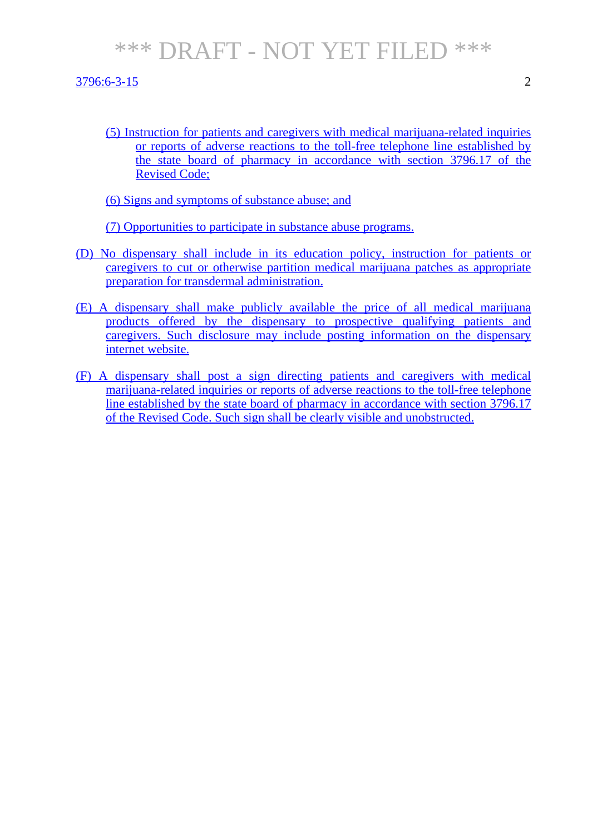3796:6-3-15 2

(5) Instruction for patients and caregivers with medical marijuana-related inquiries or reports of adverse reactions to the toll-free telephone line established by the state board of pharmacy in accordance with section 3796.17 of the Revised Code;

(6) Signs and symptoms of substance abuse; and

(7) Opportunities to participate in substance abuse programs.

- (D) No dispensary shall include in its education policy, instruction for patients or caregivers to cut or otherwise partition medical marijuana patches as appropriate preparation for transdermal administration.
- (E) A dispensary shall make publicly available the price of all medical marijuana products offered by the dispensary to prospective qualifying patients and caregivers. Such disclosure may include posting information on the dispensary internet website.
- (F) A dispensary shall post a sign directing patients and caregivers with medical marijuana-related inquiries or reports of adverse reactions to the toll-free telephone line established by the state board of pharmacy in accordance with section 3796.17 of the Revised Code. Such sign shall be clearly visible and unobstructed.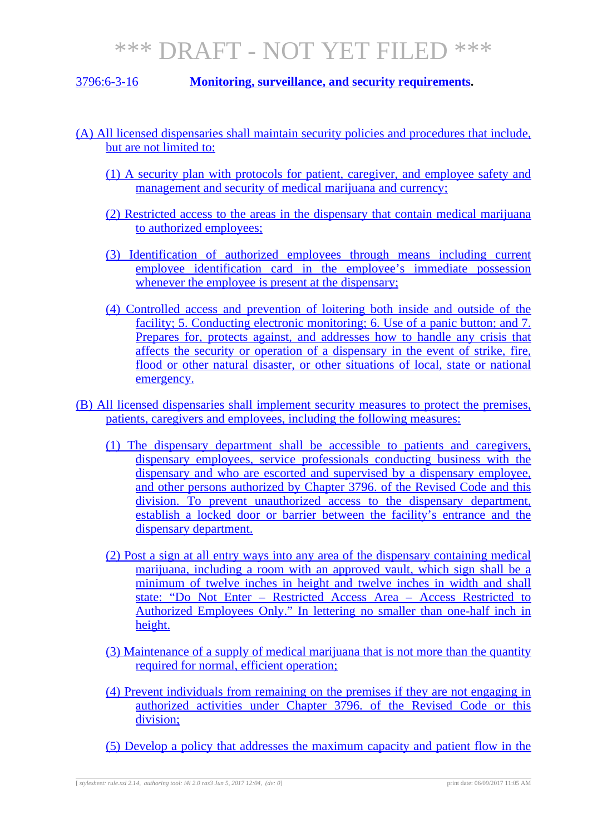3796:6-3-16 **Monitoring, surveillance, and security requirements.**

- (A) All licensed dispensaries shall maintain security policies and procedures that include, but are not limited to:
	- (1) A security plan with protocols for patient, caregiver, and employee safety and management and security of medical marijuana and currency:
	- (2) Restricted access to the areas in the dispensary that contain medical marijuana to authorized employees;
	- (3) Identification of authorized employees through means including current employee identification card in the employee's immediate possession whenever the employee is present at the dispensary;
	- (4) Controlled access and prevention of loitering both inside and outside of the facility; 5. Conducting electronic monitoring; 6. Use of a panic button; and 7. Prepares for, protects against, and addresses how to handle any crisis that affects the security or operation of a dispensary in the event of strike, fire, flood or other natural disaster, or other situations of local, state or national emergency.
- (B) All licensed dispensaries shall implement security measures to protect the premises, patients, caregivers and employees, including the following measures:
	- (1) The dispensary department shall be accessible to patients and caregivers, dispensary employees, service professionals conducting business with the dispensary and who are escorted and supervised by a dispensary employee, and other persons authorized by Chapter 3796. of the Revised Code and this division. To prevent unauthorized access to the dispensary department, establish a locked door or barrier between the facility's entrance and the dispensary department.
	- (2) Post a sign at all entry ways into any area of the dispensary containing medical marijuana, including a room with an approved vault, which sign shall be a minimum of twelve inches in height and twelve inches in width and shall state: "Do Not Enter – Restricted Access Area – Access Restricted to Authorized Employees Only." In lettering no smaller than one-half inch in height.
	- (3) Maintenance of a supply of medical marijuana that is not more than the quantity required for normal, efficient operation;
	- (4) Prevent individuals from remaining on the premises if they are not engaging in authorized activities under Chapter 3796. of the Revised Code or this division;
	- (5) Develop a policy that addresses the maximum capacity and patient flow in the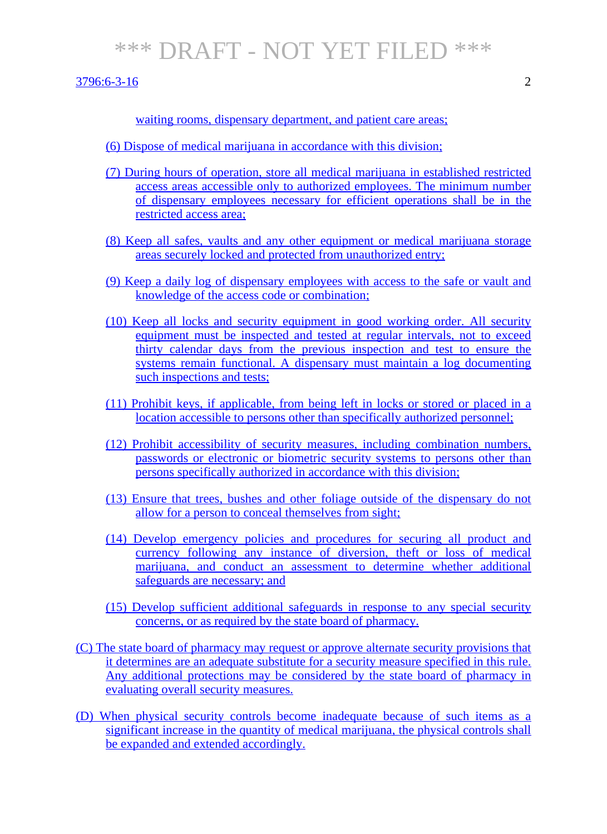$3796:6-3-16$  2

waiting rooms, dispensary department, and patient care areas;

- (6) Dispose of medical marijuana in accordance with this division;
- (7) During hours of operation, store all medical marijuana in established restricted access areas accessible only to authorized employees. The minimum number of dispensary employees necessary for efficient operations shall be in the restricted access area;
- (8) Keep all safes, vaults and any other equipment or medical marijuana storage areas securely locked and protected from unauthorized entry;
- (9) Keep a daily log of dispensary employees with access to the safe or vault and knowledge of the access code or combination;
- (10) Keep all locks and security equipment in good working order. All security equipment must be inspected and tested at regular intervals, not to exceed thirty calendar days from the previous inspection and test to ensure the systems remain functional. A dispensary must maintain a log documenting such inspections and tests;
- (11) Prohibit keys, if applicable, from being left in locks or stored or placed in a location accessible to persons other than specifically authorized personnel;
- (12) Prohibit accessibility of security measures, including combination numbers, passwords or electronic or biometric security systems to persons other than persons specifically authorized in accordance with this division;
- (13) Ensure that trees, bushes and other foliage outside of the dispensary do not allow for a person to conceal themselves from sight;
- (14) Develop emergency policies and procedures for securing all product and currency following any instance of diversion, theft or loss of medical marijuana, and conduct an assessment to determine whether additional safeguards are necessary; and
- (15) Develop sufficient additional safeguards in response to any special security concerns, or as required by the state board of pharmacy.
- (C) The state board of pharmacy may request or approve alternate security provisions that it determines are an adequate substitute for a security measure specified in this rule. Any additional protections may be considered by the state board of pharmacy in evaluating overall security measures.
- (D) When physical security controls become inadequate because of such items as a significant increase in the quantity of medical marijuana, the physical controls shall be expanded and extended accordingly.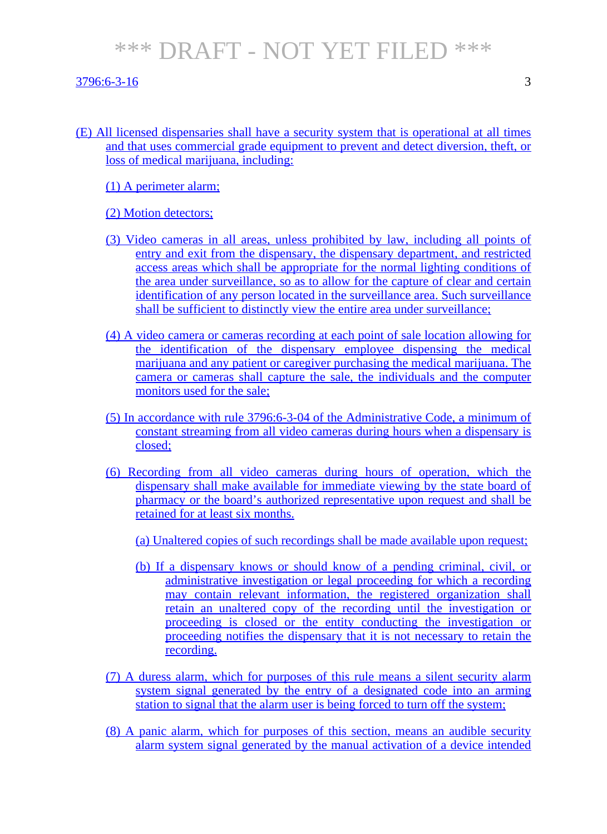#### $3796:6-3-16$  3

- (E) All licensed dispensaries shall have a security system that is operational at all times and that uses commercial grade equipment to prevent and detect diversion, theft, or loss of medical marijuana, including:
	- (1) A perimeter alarm;

#### (2) Motion detectors;

- (3) Video cameras in all areas, unless prohibited by law, including all points of entry and exit from the dispensary, the dispensary department, and restricted access areas which shall be appropriate for the normal lighting conditions of the area under surveillance, so as to allow for the capture of clear and certain identification of any person located in the surveillance area. Such surveillance shall be sufficient to distinctly view the entire area under surveillance;
- (4) A video camera or cameras recording at each point of sale location allowing for the identification of the dispensary employee dispensing the medical marijuana and any patient or caregiver purchasing the medical marijuana. The camera or cameras shall capture the sale, the individuals and the computer monitors used for the sale;
- (5) In accordance with rule 3796:6-3-04 of the Administrative Code, a minimum of constant streaming from all video cameras during hours when a dispensary is closed;
- (6) Recording from all video cameras during hours of operation, which the dispensary shall make available for immediate viewing by the state board of pharmacy or the board's authorized representative upon request and shall be retained for at least six months.
	- (a) Unaltered copies of such recordings shall be made available upon request;
	- (b) If a dispensary knows or should know of a pending criminal, civil, or administrative investigation or legal proceeding for which a recording may contain relevant information, the registered organization shall retain an unaltered copy of the recording until the investigation or proceeding is closed or the entity conducting the investigation or proceeding notifies the dispensary that it is not necessary to retain the recording.
- (7) A duress alarm, which for purposes of this rule means a silent security alarm system signal generated by the entry of a designated code into an arming station to signal that the alarm user is being forced to turn off the system;
- (8) A panic alarm, which for purposes of this section, means an audible security alarm system signal generated by the manual activation of a device intended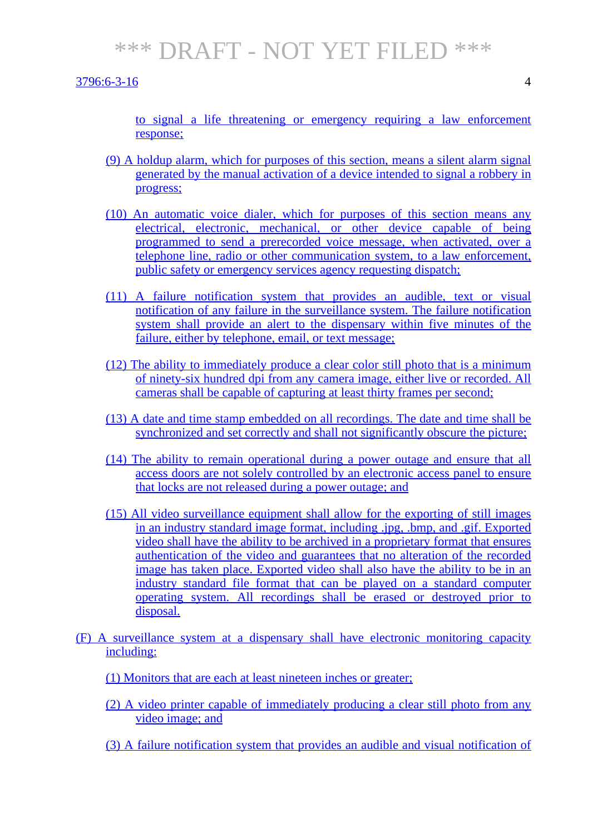$3796:6-3-16$  4

to signal a life threatening or emergency requiring a law enforcement response;

- (9) A holdup alarm, which for purposes of this section, means a silent alarm signal generated by the manual activation of a device intended to signal a robbery in progress;
- (10) An automatic voice dialer, which for purposes of this section means any electrical, electronic, mechanical, or other device capable of being programmed to send a prerecorded voice message, when activated, over a telephone line, radio or other communication system, to a law enforcement, public safety or emergency services agency requesting dispatch;
- (11) A failure notification system that provides an audible, text or visual notification of any failure in the surveillance system. The failure notification system shall provide an alert to the dispensary within five minutes of the failure, either by telephone, email, or text message;
- (12) The ability to immediately produce a clear color still photo that is a minimum of ninety-six hundred dpi from any camera image, either live or recorded. All cameras shall be capable of capturing at least thirty frames per second;
- (13) A date and time stamp embedded on all recordings. The date and time shall be synchronized and set correctly and shall not significantly obscure the picture;
- (14) The ability to remain operational during a power outage and ensure that all access doors are not solely controlled by an electronic access panel to ensure that locks are not released during a power outage; and
- (15) All video surveillance equipment shall allow for the exporting of still images in an industry standard image format, including .jpg, .bmp, and .gif. Exported video shall have the ability to be archived in a proprietary format that ensures authentication of the video and guarantees that no alteration of the recorded image has taken place. Exported video shall also have the ability to be in an industry standard file format that can be played on a standard computer operating system. All recordings shall be erased or destroyed prior to disposal.
- (F) A surveillance system at a dispensary shall have electronic monitoring capacity including:
	- (1) Monitors that are each at least nineteen inches or greater;
	- (2) A video printer capable of immediately producing a clear still photo from any video image; and
	- (3) A failure notification system that provides an audible and visual notification of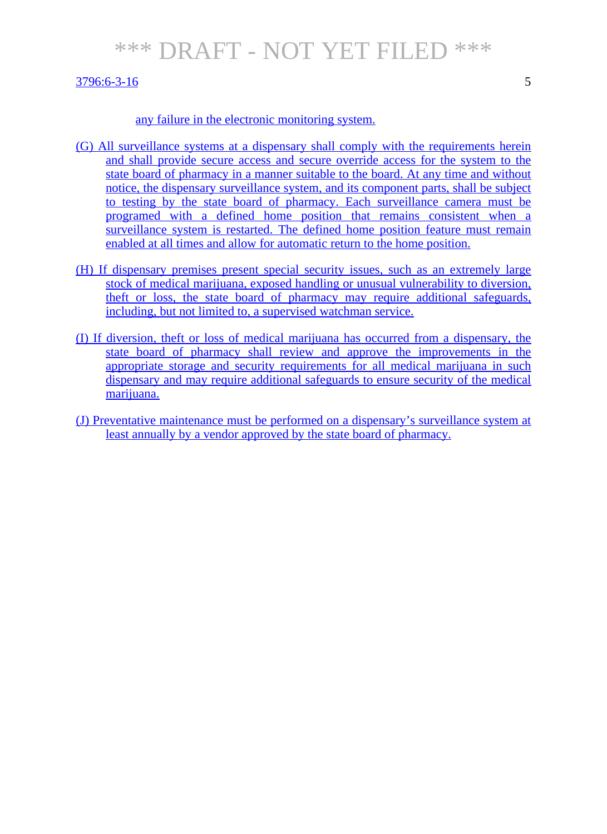#### $3796:6-3-16$  5

#### any failure in the electronic monitoring system.

- (G) All surveillance systems at a dispensary shall comply with the requirements herein and shall provide secure access and secure override access for the system to the state board of pharmacy in a manner suitable to the board. At any time and without notice, the dispensary surveillance system, and its component parts, shall be subject to testing by the state board of pharmacy. Each surveillance camera must be programed with a defined home position that remains consistent when a surveillance system is restarted. The defined home position feature must remain enabled at all times and allow for automatic return to the home position.
- (H) If dispensary premises present special security issues, such as an extremely large stock of medical marijuana, exposed handling or unusual vulnerability to diversion, theft or loss, the state board of pharmacy may require additional safeguards, including, but not limited to, a supervised watchman service.
- (I) If diversion, theft or loss of medical marijuana has occurred from a dispensary, the state board of pharmacy shall review and approve the improvements in the appropriate storage and security requirements for all medical marijuana in such dispensary and may require additional safeguards to ensure security of the medical marijuana.
- (J) Preventative maintenance must be performed on a dispensary's surveillance system at least annually by a vendor approved by the state board of pharmacy.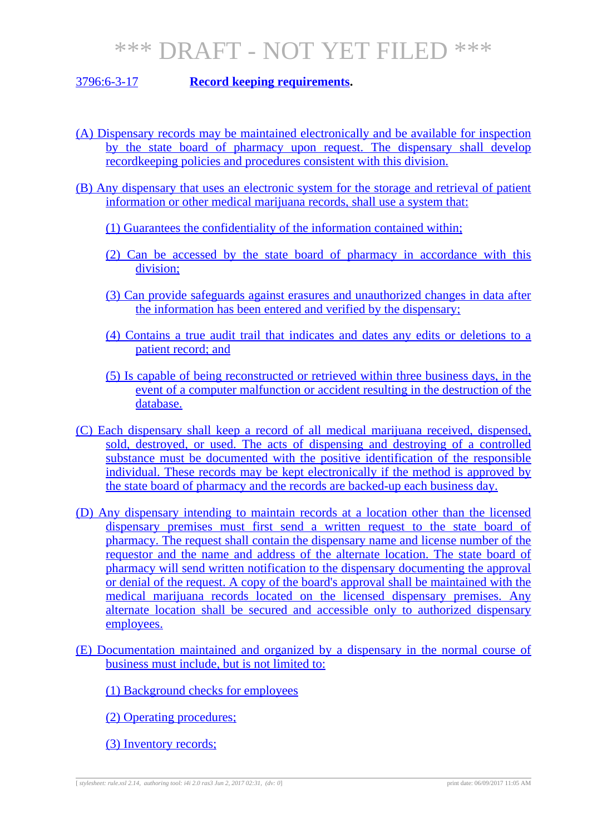### 3796:6-3-17 **Record keeping requirements.**

- (A) Dispensary records may be maintained electronically and be available for inspection by the state board of pharmacy upon request. The dispensary shall develop recordkeeping policies and procedures consistent with this division.
- (B) Any dispensary that uses an electronic system for the storage and retrieval of patient information or other medical marijuana records, shall use a system that:
	- (1) Guarantees the confidentiality of the information contained within;
	- (2) Can be accessed by the state board of pharmacy in accordance with this division;
	- (3) Can provide safeguards against erasures and unauthorized changes in data after the information has been entered and verified by the dispensary;
	- (4) Contains a true audit trail that indicates and dates any edits or deletions to a patient record; and
	- (5) Is capable of being reconstructed or retrieved within three business days, in the event of a computer malfunction or accident resulting in the destruction of the database.
- (C) Each dispensary shall keep a record of all medical marijuana received, dispensed, sold, destroyed, or used. The acts of dispensing and destroying of a controlled substance must be documented with the positive identification of the responsible individual. These records may be kept electronically if the method is approved by the state board of pharmacy and the records are backed-up each business day.
- (D) Any dispensary intending to maintain records at a location other than the licensed dispensary premises must first send a written request to the state board of pharmacy. The request shall contain the dispensary name and license number of the requestor and the name and address of the alternate location. The state board of pharmacy will send written notification to the dispensary documenting the approval or denial of the request. A copy of the board's approval shall be maintained with the medical marijuana records located on the licensed dispensary premises. Any alternate location shall be secured and accessible only to authorized dispensary employees.
- (E) Documentation maintained and organized by a dispensary in the normal course of business must include, but is not limited to:
	- (1) Background checks for employees
	- (2) Operating procedures;
	- (3) Inventory records;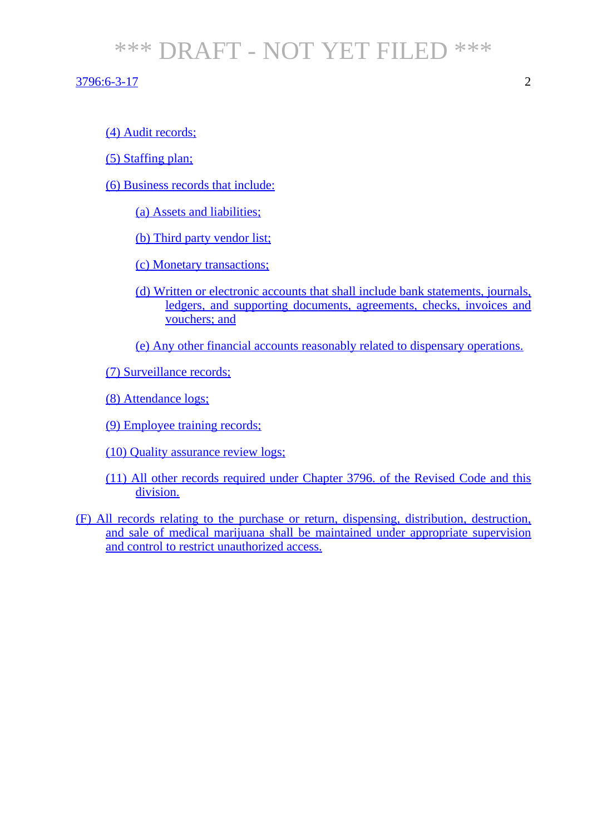#### 3796:6-3-17 2

### (4) Audit records;

- (5) Staffing plan;
- (6) Business records that include:
	- (a) Assets and liabilities;
	- (b) Third party vendor list;
	- (c) Monetary transactions;
	- (d) Written or electronic accounts that shall include bank statements, journals, ledgers, and supporting documents, agreements, checks, invoices and vouchers; and
	- (e) Any other financial accounts reasonably related to dispensary operations.
- (7) Surveillance records;
- (8) Attendance logs;
- (9) Employee training records;
- (10) Quality assurance review logs;
- (11) All other records required under Chapter 3796. of the Revised Code and this division.
- (F) All records relating to the purchase or return, dispensing, distribution, destruction, and sale of medical marijuana shall be maintained under appropriate supervision and control to restrict unauthorized access.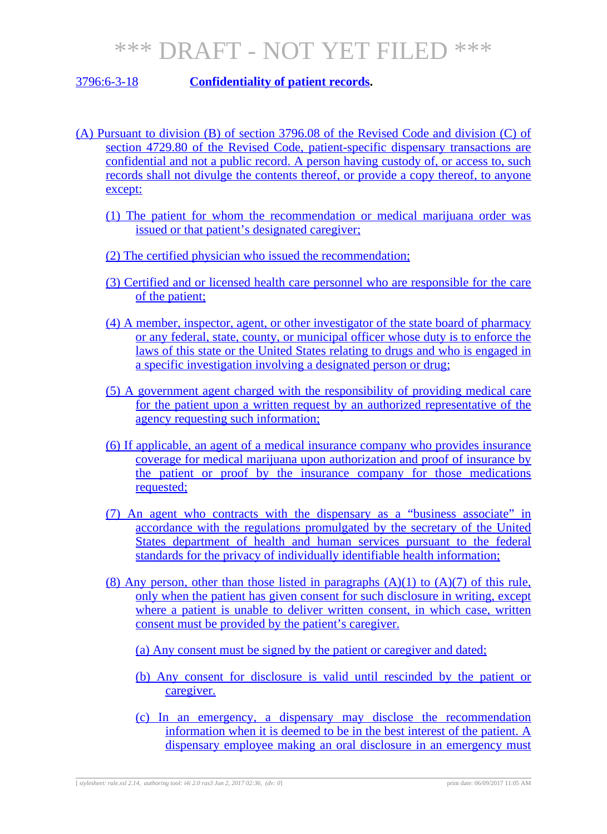### 3796:6-3-18 **Confidentiality of patient records.**

- (A) Pursuant to division (B) of section 3796.08 of the Revised Code and division (C) of section 4729.80 of the Revised Code, patient-specific dispensary transactions are confidential and not a public record. A person having custody of, or access to, such records shall not divulge the contents thereof, or provide a copy thereof, to anyone except:
	- (1) The patient for whom the recommendation or medical marijuana order was issued or that patient's designated caregiver;
	- (2) The certified physician who issued the recommendation;
	- (3) Certified and or licensed health care personnel who are responsible for the care of the patient;
	- (4) A member, inspector, agent, or other investigator of the state board of pharmacy or any federal, state, county, or municipal officer whose duty is to enforce the laws of this state or the United States relating to drugs and who is engaged in a specific investigation involving a designated person or drug;
	- (5) A government agent charged with the responsibility of providing medical care for the patient upon a written request by an authorized representative of the agency requesting such information;
	- (6) If applicable, an agent of a medical insurance company who provides insurance coverage for medical marijuana upon authorization and proof of insurance by the patient or proof by the insurance company for those medications requested;
	- (7) An agent who contracts with the dispensary as a "business associate" in accordance with the regulations promulgated by the secretary of the United States department of health and human services pursuant to the federal standards for the privacy of individually identifiable health information;
	- (8) Any person, other than those listed in paragraphs  $(A)(1)$  to  $(A)(7)$  of this rule, only when the patient has given consent for such disclosure in writing, except where a patient is unable to deliver written consent, in which case, written consent must be provided by the patient's caregiver.
		- (a) Any consent must be signed by the patient or caregiver and dated;
		- (b) Any consent for disclosure is valid until rescinded by the patient or caregiver.
		- (c) In an emergency, a dispensary may disclose the recommendation information when it is deemed to be in the best interest of the patient. A dispensary employee making an oral disclosure in an emergency must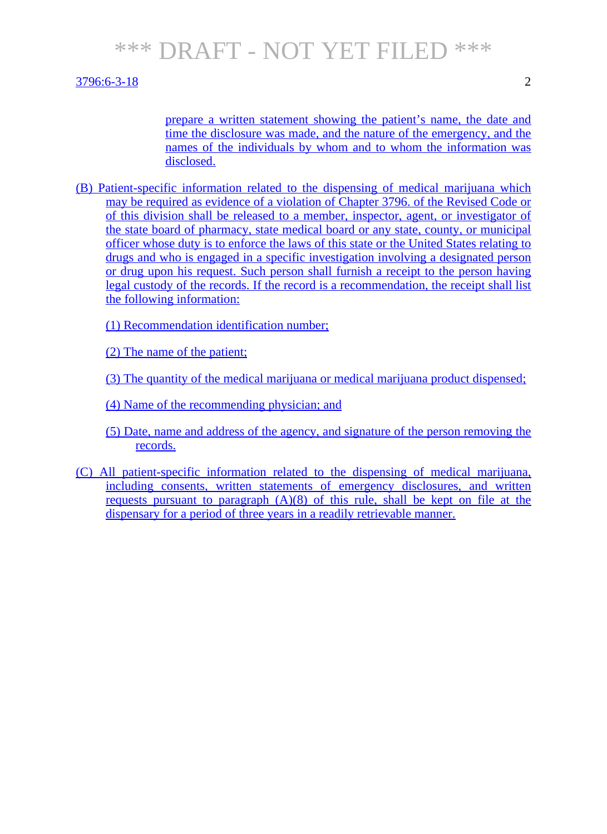#### 3796:6-3-18 2

prepare a written statement showing the patient's name, the date and time the disclosure was made, and the nature of the emergency, and the names of the individuals by whom and to whom the information was disclosed.

(B) Patient-specific information related to the dispensing of medical marijuana which may be required as evidence of a violation of Chapter 3796. of the Revised Code or of this division shall be released to a member, inspector, agent, or investigator of the state board of pharmacy, state medical board or any state, county, or municipal officer whose duty is to enforce the laws of this state or the United States relating to drugs and who is engaged in a specific investigation involving a designated person or drug upon his request. Such person shall furnish a receipt to the person having legal custody of the records. If the record is a recommendation, the receipt shall list the following information:

(1) Recommendation identification number;

(2) The name of the patient;

(3) The quantity of the medical marijuana or medical marijuana product dispensed;

(4) Name of the recommending physician; and

- (5) Date, name and address of the agency, and signature of the person removing the records.
- (C) All patient-specific information related to the dispensing of medical marijuana, including consents, written statements of emergency disclosures, and written requests pursuant to paragraph  $(A)(8)$  of this rule, shall be kept on file at the dispensary for a period of three years in a readily retrievable manner.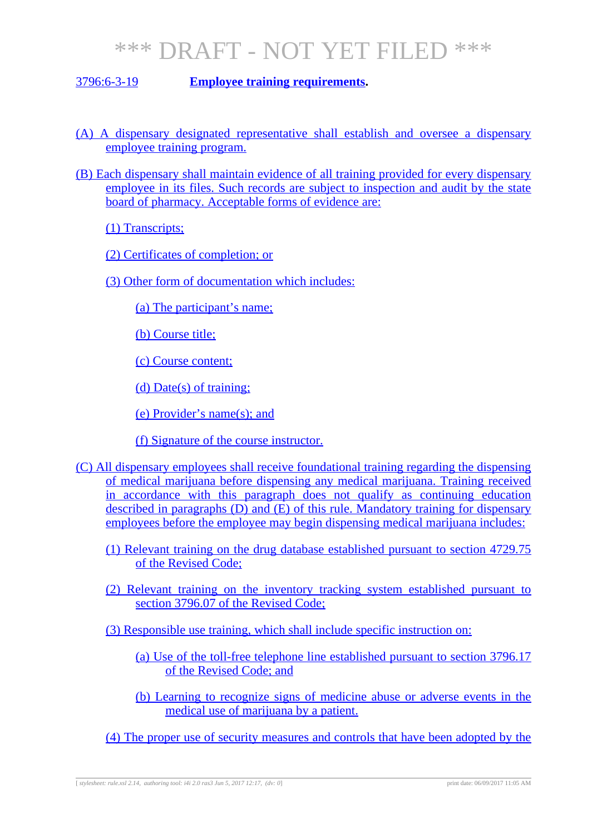#### 3796:6-3-19 **Employee training requirements.**

- (A) A dispensary designated representative shall establish and oversee a dispensary employee training program.
- (B) Each dispensary shall maintain evidence of all training provided for every dispensary employee in its files. Such records are subject to inspection and audit by the state board of pharmacy. Acceptable forms of evidence are:

(1) Transcripts;

(2) Certificates of completion; or

(3) Other form of documentation which includes:

(a) The participant's name;

(b) Course title;

(c) Course content;

(d) Date(s) of training;

(e) Provider's name(s); and

(f) Signature of the course instructor.

- (C) All dispensary employees shall receive foundational training regarding the dispensing of medical marijuana before dispensing any medical marijuana. Training received in accordance with this paragraph does not qualify as continuing education described in paragraphs (D) and (E) of this rule. Mandatory training for dispensary employees before the employee may begin dispensing medical marijuana includes:
	- (1) Relevant training on the drug database established pursuant to section 4729.75 of the Revised Code;
	- (2) Relevant training on the inventory tracking system established pursuant to section 3796.07 of the Revised Code;

(3) Responsible use training, which shall include specific instruction on:

- (a) Use of the toll-free telephone line established pursuant to section 3796.17 of the Revised Code; and
- (b) Learning to recognize signs of medicine abuse or adverse events in the medical use of marijuana by a patient.

(4) The proper use of security measures and controls that have been adopted by the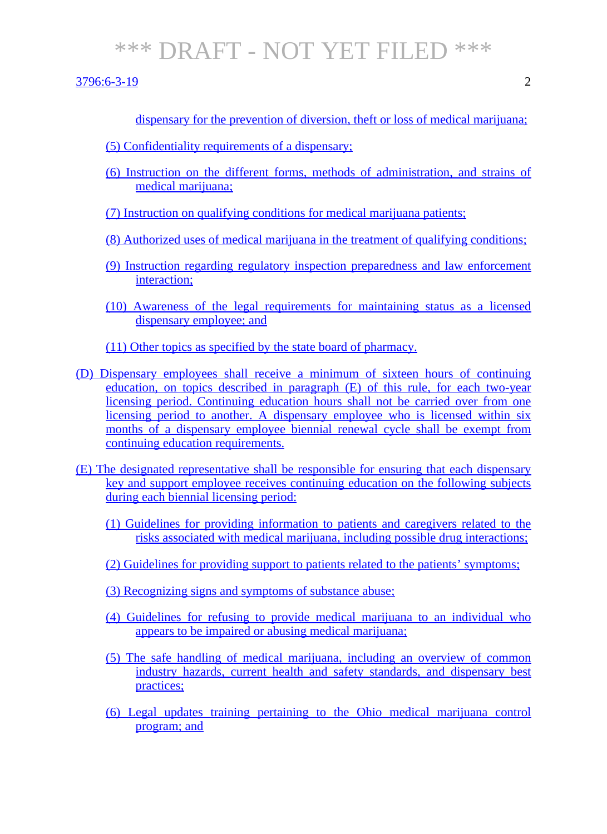- (5) Confidentiality requirements of a dispensary;
- (6) Instruction on the different forms, methods of administration, and strains of medical marijuana;
- (7) Instruction on qualifying conditions for medical marijuana patients;
- (8) Authorized uses of medical marijuana in the treatment of qualifying conditions;
- (9) Instruction regarding regulatory inspection preparedness and law enforcement interaction;
- (10) Awareness of the legal requirements for maintaining status as a licensed dispensary employee; and
- (11) Other topics as specified by the state board of pharmacy.
- (D) Dispensary employees shall receive a minimum of sixteen hours of continuing education, on topics described in paragraph (E) of this rule, for each two-year licensing period. Continuing education hours shall not be carried over from one licensing period to another. A dispensary employee who is licensed within six months of a dispensary employee biennial renewal cycle shall be exempt from continuing education requirements.
- (E) The designated representative shall be responsible for ensuring that each dispensary key and support employee receives continuing education on the following subjects during each biennial licensing period:
	- (1) Guidelines for providing information to patients and caregivers related to the risks associated with medical marijuana, including possible drug interactions;
	- (2) Guidelines for providing support to patients related to the patients' symptoms;
	- (3) Recognizing signs and symptoms of substance abuse;
	- (4) Guidelines for refusing to provide medical marijuana to an individual who appears to be impaired or abusing medical marijuana;
	- (5) The safe handling of medical marijuana, including an overview of common industry hazards, current health and safety standards, and dispensary best practices;
	- (6) Legal updates training pertaining to the Ohio medical marijuana control program; and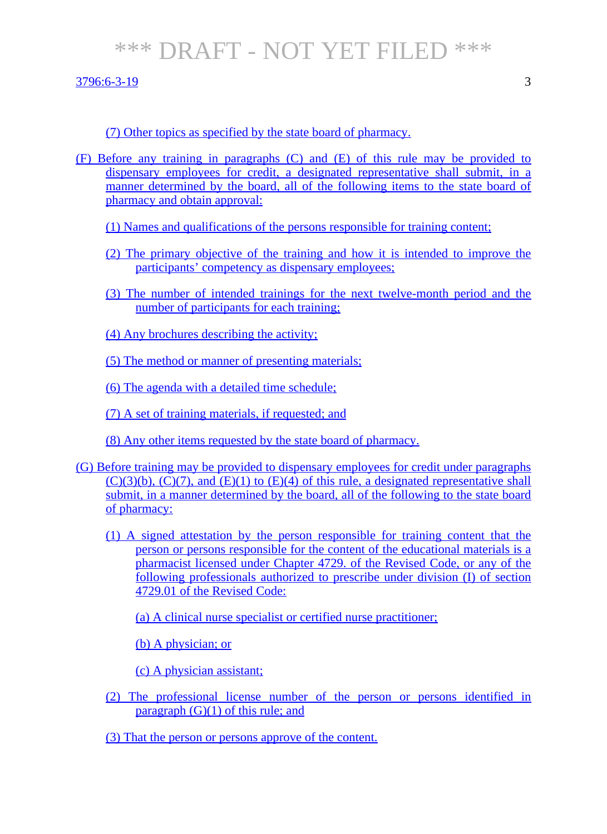- (F) Before any training in paragraphs (C) and (E) of this rule may be provided to dispensary employees for credit, a designated representative shall submit, in a manner determined by the board, all of the following items to the state board of pharmacy and obtain approval:
	- (1) Names and qualifications of the persons responsible for training content;
	- (2) The primary objective of the training and how it is intended to improve the participants' competency as dispensary employees;
	- (3) The number of intended trainings for the next twelve-month period and the number of participants for each training;
	- (4) Any brochures describing the activity;
	- (5) The method or manner of presenting materials;
	- (6) The agenda with a detailed time schedule;
	- (7) A set of training materials, if requested; and
	- (8) Any other items requested by the state board of pharmacy.
- (G) Before training may be provided to dispensary employees for credit under paragraphs  $(C)(3)(b)$ ,  $(C)(7)$ , and  $(E)(1)$  to  $(E)(4)$  of this rule, a designated representative shall submit, in a manner determined by the board, all of the following to the state board of pharmacy:
	- (1) A signed attestation by the person responsible for training content that the person or persons responsible for the content of the educational materials is a pharmacist licensed under Chapter 4729. of the Revised Code, or any of the following professionals authorized to prescribe under division (I) of section 4729.01 of the Revised Code:
		- (a) A clinical nurse specialist or certified nurse practitioner;
		- (b) A physician; or
		- (c) A physician assistant;
	- (2) The professional license number of the person or persons identified in paragraph  $(G)(1)$  of this rule; and
	- (3) That the person or persons approve of the content.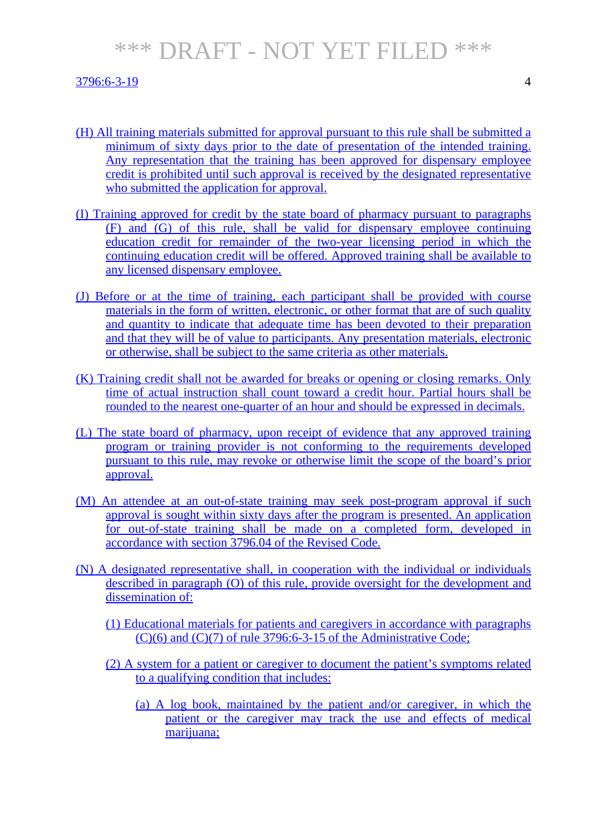- (H) All training materials submitted for approval pursuant to this rule shall be submitted a minimum of sixty days prior to the date of presentation of the intended training. Any representation that the training has been approved for dispensary employee credit is prohibited until such approval is received by the designated representative who submitted the application for approval.
- (I) Training approved for credit by the state board of pharmacy pursuant to paragraphs (F) and (G) of this rule, shall be valid for dispensary employee continuing education credit for remainder of the two-year licensing period in which the continuing education credit will be offered. Approved training shall be available to any licensed dispensary employee.
- (J) Before or at the time of training, each participant shall be provided with course materials in the form of written, electronic, or other format that are of such quality and quantity to indicate that adequate time has been devoted to their preparation and that they will be of value to participants. Any presentation materials, electronic or otherwise, shall be subject to the same criteria as other materials.
- (K) Training credit shall not be awarded for breaks or opening or closing remarks. Only time of actual instruction shall count toward a credit hour. Partial hours shall be rounded to the nearest one-quarter of an hour and should be expressed in decimals.
- (L) The state board of pharmacy, upon receipt of evidence that any approved training program or training provider is not conforming to the requirements developed pursuant to this rule, may revoke or otherwise limit the scope of the board's prior approval.
- (M) An attendee at an out-of-state training may seek post-program approval if such approval is sought within sixty days after the program is presented. An application for out-of-state training shall be made on a completed form, developed in accordance with section 3796.04 of the Revised Code.
- (N) A designated representative shall, in cooperation with the individual or individuals described in paragraph (O) of this rule, provide oversight for the development and dissemination of:
	- (1) Educational materials for patients and caregivers in accordance with paragraphs (C)(6) and (C)(7) of rule 3796:6-3-15 of the Administrative Code;
	- (2) A system for a patient or caregiver to document the patient's symptoms related to a qualifying condition that includes:
		- (a) A log book, maintained by the patient and/or caregiver, in which the patient or the caregiver may track the use and effects of medical marijuana;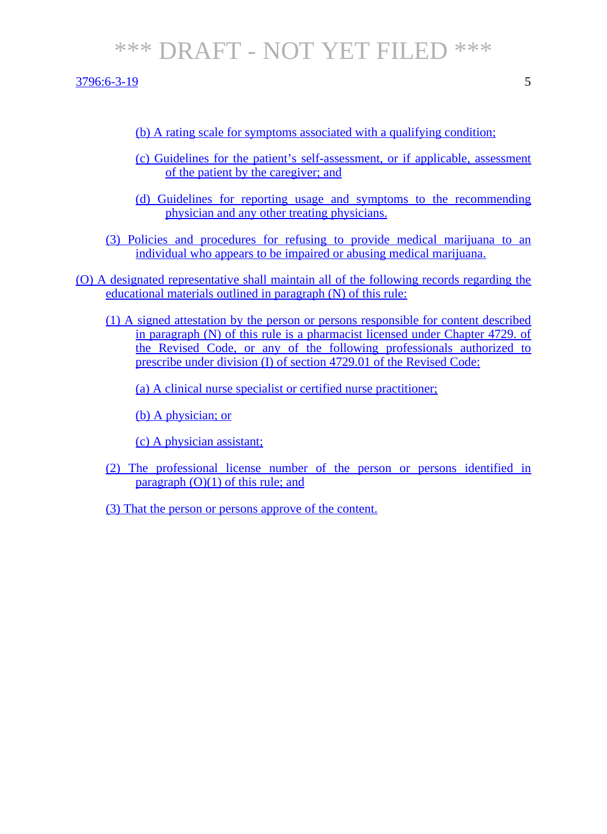- (b) A rating scale for symptoms associated with a qualifying condition;
- (c) Guidelines for the patient's self-assessment, or if applicable, assessment of the patient by the caregiver; and
- (d) Guidelines for reporting usage and symptoms to the recommending physician and any other treating physicians.
- (3) Policies and procedures for refusing to provide medical marijuana to an individual who appears to be impaired or abusing medical marijuana.
- (O) A designated representative shall maintain all of the following records regarding the educational materials outlined in paragraph (N) of this rule:
	- (1) A signed attestation by the person or persons responsible for content described in paragraph (N) of this rule is a pharmacist licensed under Chapter 4729. of the Revised Code, or any of the following professionals authorized to prescribe under division (I) of section 4729.01 of the Revised Code:
		- (a) A clinical nurse specialist or certified nurse practitioner;
		- (b) A physician; or
		- (c) A physician assistant;
	- (2) The professional license number of the person or persons identified in paragraph  $(O)(1)$  of this rule; and
	- (3) That the person or persons approve of the content.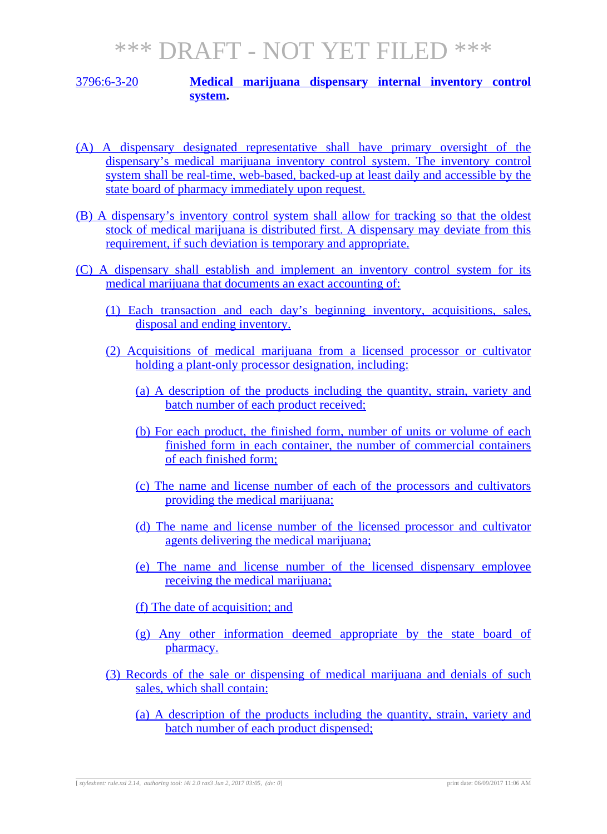#### 3796:6-3-20 **Medical marijuana dispensary internal inventory control system.**

- (A) A dispensary designated representative shall have primary oversight of the dispensary's medical marijuana inventory control system. The inventory control system shall be real-time, web-based, backed-up at least daily and accessible by the state board of pharmacy immediately upon request.
- (B) A dispensary's inventory control system shall allow for tracking so that the oldest stock of medical marijuana is distributed first. A dispensary may deviate from this requirement, if such deviation is temporary and appropriate.
- (C) A dispensary shall establish and implement an inventory control system for its medical marijuana that documents an exact accounting of:
	- (1) Each transaction and each day's beginning inventory, acquisitions, sales, disposal and ending inventory.
	- (2) Acquisitions of medical marijuana from a licensed processor or cultivator holding a plant-only processor designation, including:
		- (a) A description of the products including the quantity, strain, variety and batch number of each product received;
		- (b) For each product, the finished form, number of units or volume of each finished form in each container, the number of commercial containers of each finished form;
		- (c) The name and license number of each of the processors and cultivators providing the medical marijuana;
		- (d) The name and license number of the licensed processor and cultivator agents delivering the medical marijuana;
		- (e) The name and license number of the licensed dispensary employee receiving the medical marijuana;
		- (f) The date of acquisition; and
		- (g) Any other information deemed appropriate by the state board of pharmacy.
	- (3) Records of the sale or dispensing of medical marijuana and denials of such sales, which shall contain:
		- (a) A description of the products including the quantity, strain, variety and batch number of each product dispensed;

[ *stylesheet: rule.xsl 2.14, authoring tool: i4i 2.0 ras3 Jun 2, 2017 03:05, (dv: 0*] print date: 06/09/2017 11:06 AM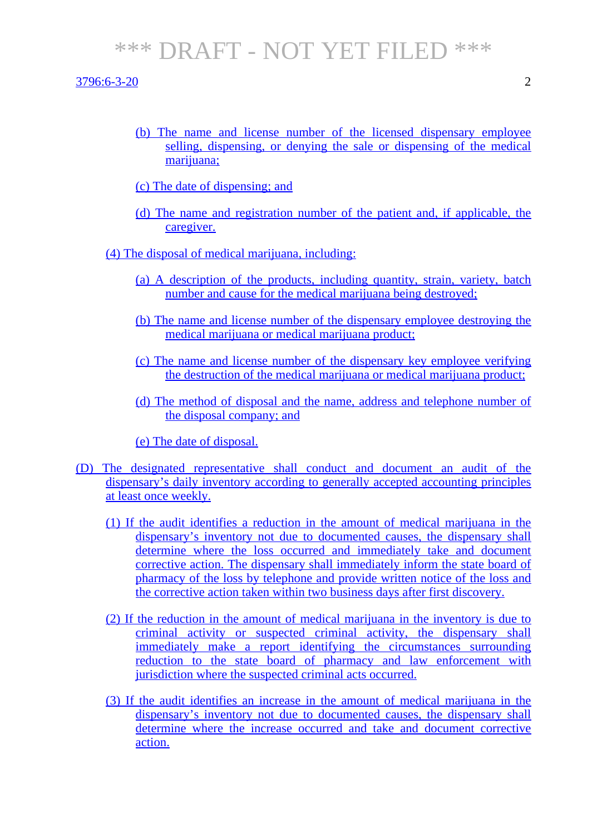3796:6-3-20 2

- (b) The name and license number of the licensed dispensary employee selling, dispensing, or denying the sale or dispensing of the medical marijuana;
- (c) The date of dispensing; and
- (d) The name and registration number of the patient and, if applicable, the caregiver.
- (4) The disposal of medical marijuana, including:
	- (a) A description of the products, including quantity, strain, variety, batch number and cause for the medical marijuana being destroyed;
	- (b) The name and license number of the dispensary employee destroying the medical marijuana or medical marijuana product;
	- (c) The name and license number of the dispensary key employee verifying the destruction of the medical marijuana or medical marijuana product;
	- (d) The method of disposal and the name, address and telephone number of the disposal company; and

(e) The date of disposal.

- (D) The designated representative shall conduct and document an audit of the dispensary's daily inventory according to generally accepted accounting principles at least once weekly.
	- (1) If the audit identifies a reduction in the amount of medical marijuana in the dispensary's inventory not due to documented causes, the dispensary shall determine where the loss occurred and immediately take and document corrective action. The dispensary shall immediately inform the state board of pharmacy of the loss by telephone and provide written notice of the loss and the corrective action taken within two business days after first discovery.
	- (2) If the reduction in the amount of medical marijuana in the inventory is due to criminal activity or suspected criminal activity, the dispensary shall immediately make a report identifying the circumstances surrounding reduction to the state board of pharmacy and law enforcement with jurisdiction where the suspected criminal acts occurred.
	- (3) If the audit identifies an increase in the amount of medical marijuana in the dispensary's inventory not due to documented causes, the dispensary shall determine where the increase occurred and take and document corrective action.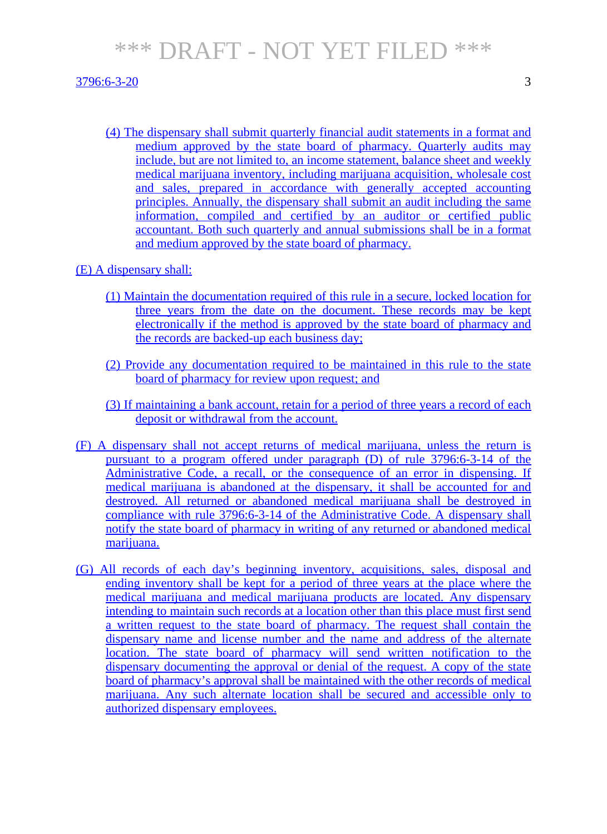#### 3796:6-3-20 3

(4) The dispensary shall submit quarterly financial audit statements in a format and medium approved by the state board of pharmacy. Quarterly audits may include, but are not limited to, an income statement, balance sheet and weekly medical marijuana inventory, including marijuana acquisition, wholesale cost and sales, prepared in accordance with generally accepted accounting principles. Annually, the dispensary shall submit an audit including the same information, compiled and certified by an auditor or certified public accountant. Both such quarterly and annual submissions shall be in a format and medium approved by the state board of pharmacy.

#### (E) A dispensary shall:

- (1) Maintain the documentation required of this rule in a secure, locked location for three years from the date on the document. These records may be kept electronically if the method is approved by the state board of pharmacy and the records are backed-up each business day;
- (2) Provide any documentation required to be maintained in this rule to the state board of pharmacy for review upon request; and
- (3) If maintaining a bank account, retain for a period of three years a record of each deposit or withdrawal from the account.
- (F) A dispensary shall not accept returns of medical marijuana, unless the return is pursuant to a program offered under paragraph (D) of rule 3796:6-3-14 of the Administrative Code, a recall, or the consequence of an error in dispensing. If medical marijuana is abandoned at the dispensary, it shall be accounted for and destroyed. All returned or abandoned medical marijuana shall be destroyed in compliance with rule 3796:6-3-14 of the Administrative Code. A dispensary shall notify the state board of pharmacy in writing of any returned or abandoned medical marijuana.
- (G) All records of each day's beginning inventory, acquisitions, sales, disposal and ending inventory shall be kept for a period of three years at the place where the medical marijuana and medical marijuana products are located. Any dispensary intending to maintain such records at a location other than this place must first send a written request to the state board of pharmacy. The request shall contain the dispensary name and license number and the name and address of the alternate location. The state board of pharmacy will send written notification to the dispensary documenting the approval or denial of the request. A copy of the state board of pharmacy's approval shall be maintained with the other records of medical marijuana. Any such alternate location shall be secured and accessible only to authorized dispensary employees.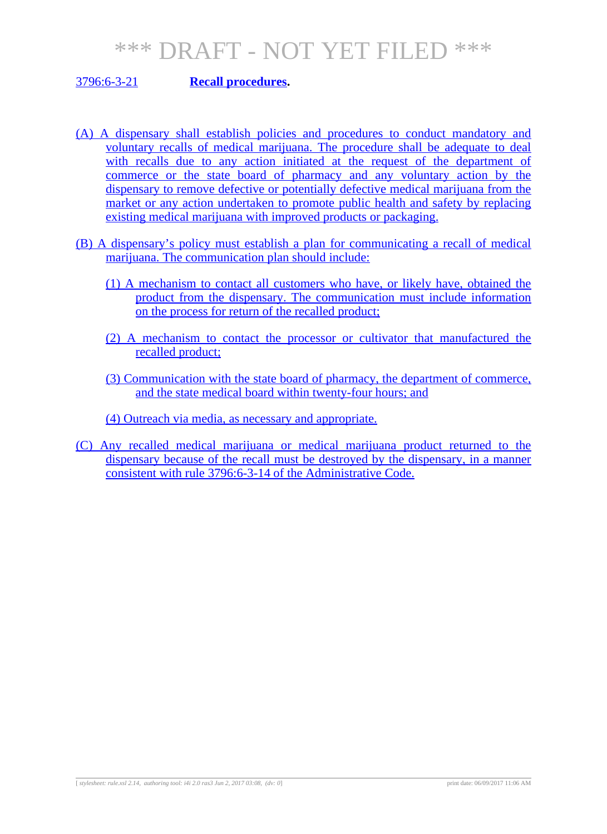#### 3796:6-3-21 **Recall procedures.**

- (A) A dispensary shall establish policies and procedures to conduct mandatory and voluntary recalls of medical marijuana. The procedure shall be adequate to deal with recalls due to any action initiated at the request of the department of commerce or the state board of pharmacy and any voluntary action by the dispensary to remove defective or potentially defective medical marijuana from the market or any action undertaken to promote public health and safety by replacing existing medical marijuana with improved products or packaging.
- (B) A dispensary's policy must establish a plan for communicating a recall of medical marijuana. The communication plan should include:
	- (1) A mechanism to contact all customers who have, or likely have, obtained the product from the dispensary. The communication must include information on the process for return of the recalled product;
	- (2) A mechanism to contact the processor or cultivator that manufactured the recalled product;
	- (3) Communication with the state board of pharmacy, the department of commerce, and the state medical board within twenty-four hours; and

(4) Outreach via media, as necessary and appropriate.

(C) Any recalled medical marijuana or medical marijuana product returned to the dispensary because of the recall must be destroyed by the dispensary, in a manner consistent with rule 3796:6-3-14 of the Administrative Code.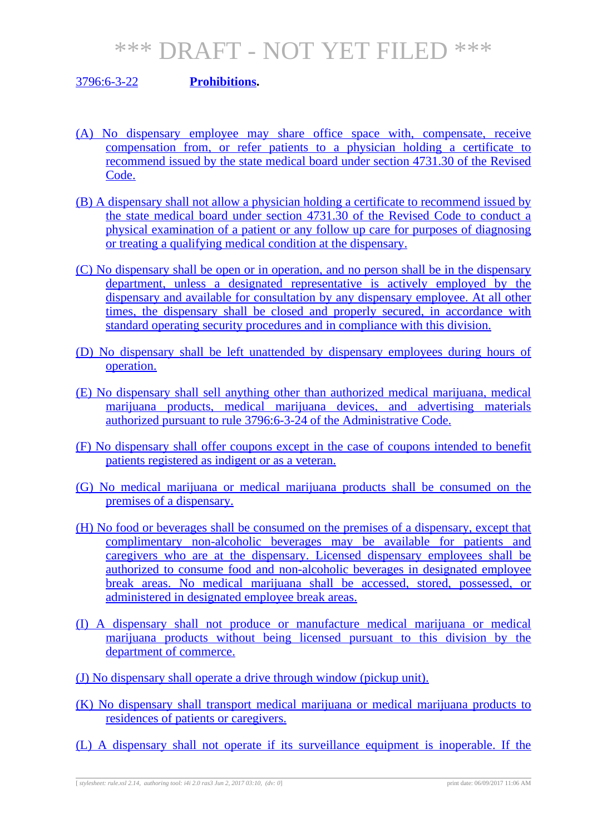#### 3796:6-3-22 **Prohibitions.**

- (A) No dispensary employee may share office space with, compensate, receive compensation from, or refer patients to a physician holding a certificate to recommend issued by the state medical board under section 4731.30 of the Revised Code.
- (B) A dispensary shall not allow a physician holding a certificate to recommend issued by the state medical board under section 4731.30 of the Revised Code to conduct a physical examination of a patient or any follow up care for purposes of diagnosing or treating a qualifying medical condition at the dispensary.
- (C) No dispensary shall be open or in operation, and no person shall be in the dispensary department, unless a designated representative is actively employed by the dispensary and available for consultation by any dispensary employee. At all other times, the dispensary shall be closed and properly secured, in accordance with standard operating security procedures and in compliance with this division.
- (D) No dispensary shall be left unattended by dispensary employees during hours of operation.
- (E) No dispensary shall sell anything other than authorized medical marijuana, medical marijuana products, medical marijuana devices, and advertising materials authorized pursuant to rule 3796:6-3-24 of the Administrative Code.
- (F) No dispensary shall offer coupons except in the case of coupons intended to benefit patients registered as indigent or as a veteran.
- (G) No medical marijuana or medical marijuana products shall be consumed on the premises of a dispensary.
- (H) No food or beverages shall be consumed on the premises of a dispensary, except that complimentary non-alcoholic beverages may be available for patients and caregivers who are at the dispensary. Licensed dispensary employees shall be authorized to consume food and non-alcoholic beverages in designated employee break areas. No medical marijuana shall be accessed, stored, possessed, or administered in designated employee break areas.
- (I) A dispensary shall not produce or manufacture medical marijuana or medical marijuana products without being licensed pursuant to this division by the department of commerce.
- (J) No dispensary shall operate a drive through window (pickup unit).
- (K) No dispensary shall transport medical marijuana or medical marijuana products to residences of patients or caregivers.
- (L) A dispensary shall not operate if its surveillance equipment is inoperable. If the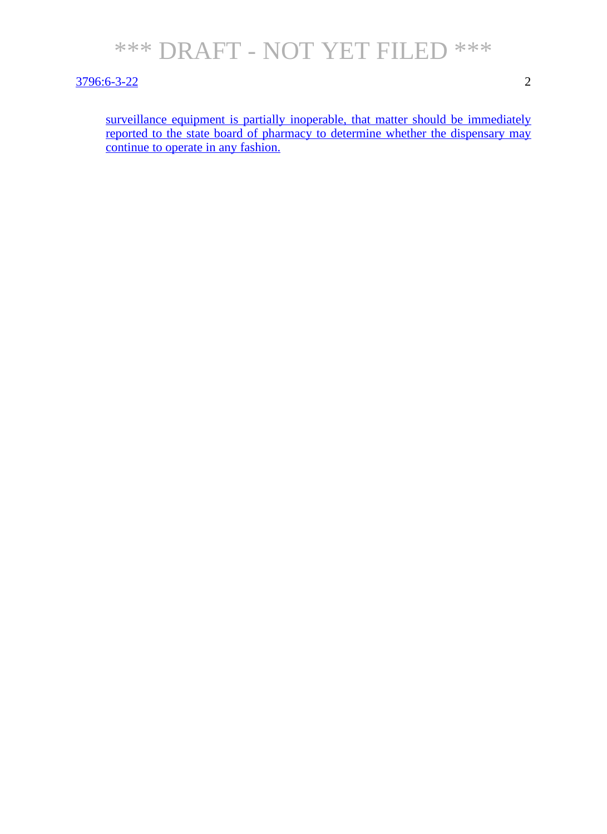

#### 3796:6-3-22 2

surveillance equipment is partially inoperable, that matter should be immediately reported to the state board of pharmacy to determine whether the dispensary may continue to operate in any fashion.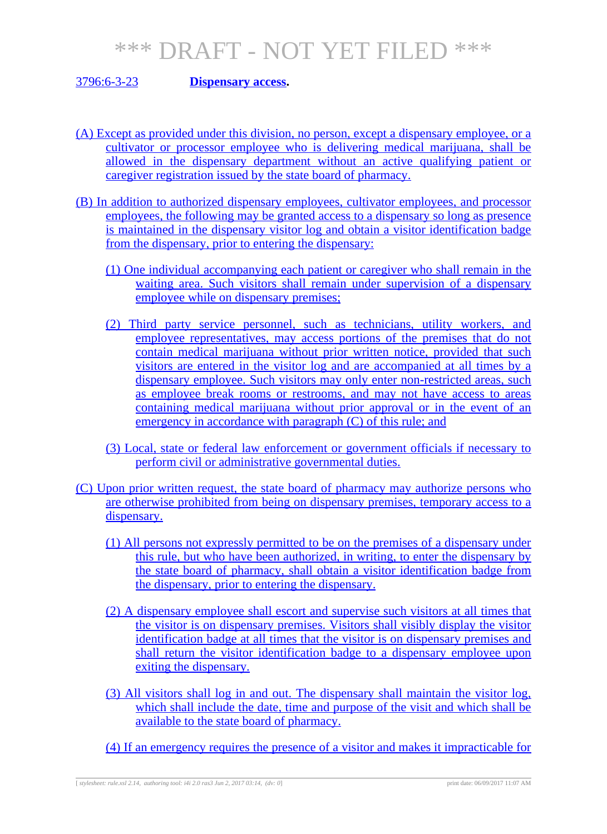#### 3796:6-3-23 **Dispensary access.**

- (A) Except as provided under this division, no person, except a dispensary employee, or a cultivator or processor employee who is delivering medical marijuana, shall be allowed in the dispensary department without an active qualifying patient or caregiver registration issued by the state board of pharmacy.
- (B) In addition to authorized dispensary employees, cultivator employees, and processor employees, the following may be granted access to a dispensary so long as presence is maintained in the dispensary visitor log and obtain a visitor identification badge from the dispensary, prior to entering the dispensary:
	- (1) One individual accompanying each patient or caregiver who shall remain in the waiting area. Such visitors shall remain under supervision of a dispensary employee while on dispensary premises;
	- (2) Third party service personnel, such as technicians, utility workers, and employee representatives, may access portions of the premises that do not contain medical marijuana without prior written notice, provided that such visitors are entered in the visitor log and are accompanied at all times by a dispensary employee. Such visitors may only enter non-restricted areas, such as employee break rooms or restrooms, and may not have access to areas containing medical marijuana without prior approval or in the event of an emergency in accordance with paragraph (C) of this rule; and
	- (3) Local, state or federal law enforcement or government officials if necessary to perform civil or administrative governmental duties.
- (C) Upon prior written request, the state board of pharmacy may authorize persons who are otherwise prohibited from being on dispensary premises, temporary access to a dispensary.
	- (1) All persons not expressly permitted to be on the premises of a dispensary under this rule, but who have been authorized, in writing, to enter the dispensary by the state board of pharmacy, shall obtain a visitor identification badge from the dispensary, prior to entering the dispensary.
	- (2) A dispensary employee shall escort and supervise such visitors at all times that the visitor is on dispensary premises. Visitors shall visibly display the visitor identification badge at all times that the visitor is on dispensary premises and shall return the visitor identification badge to a dispensary employee upon exiting the dispensary.
	- (3) All visitors shall log in and out. The dispensary shall maintain the visitor log, which shall include the date, time and purpose of the visit and which shall be available to the state board of pharmacy.
	- (4) If an emergency requires the presence of a visitor and makes it impracticable for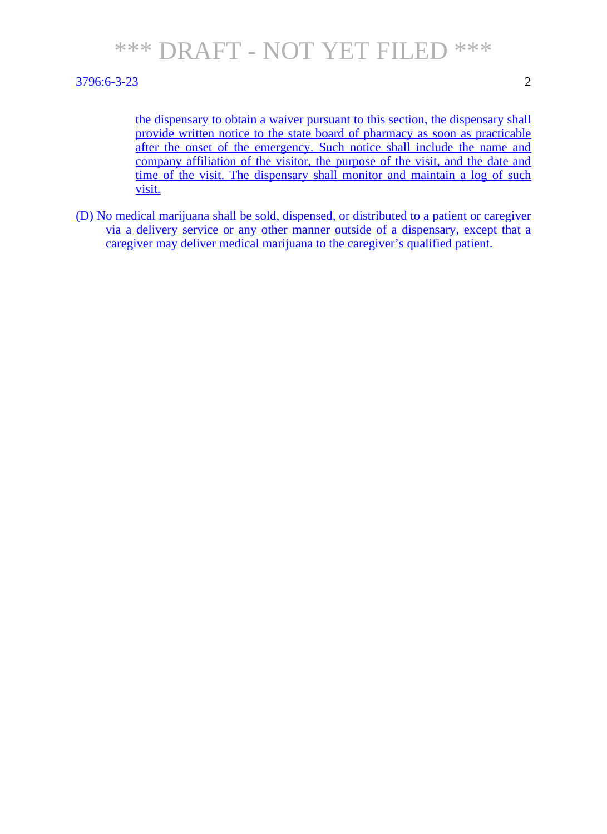#### 3796:6-3-23 2

the dispensary to obtain a waiver pursuant to this section, the dispensary shall provide written notice to the state board of pharmacy as soon as practicable after the onset of the emergency. Such notice shall include the name and company affiliation of the visitor, the purpose of the visit, and the date and time of the visit. The dispensary shall monitor and maintain a log of such visit.

(D) No medical marijuana shall be sold, dispensed, or distributed to a patient or caregiver via a delivery service or any other manner outside of a dispensary, except that a caregiver may deliver medical marijuana to the caregiver's qualified patient.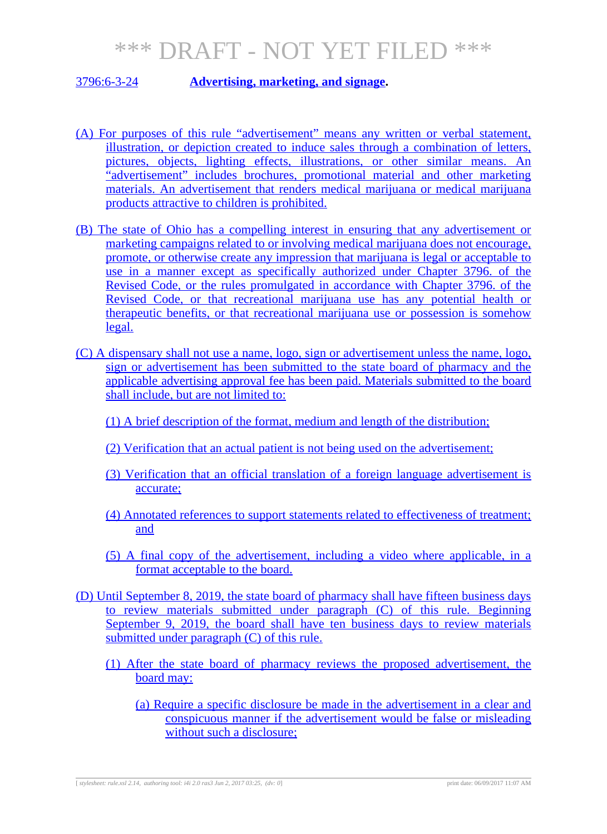#### 3796:6-3-24 **Advertising, marketing, and signage.**

- (A) For purposes of this rule "advertisement" means any written or verbal statement, illustration, or depiction created to induce sales through a combination of letters, pictures, objects, lighting effects, illustrations, or other similar means. An "advertisement" includes brochures, promotional material and other marketing materials. An advertisement that renders medical marijuana or medical marijuana products attractive to children is prohibited.
- (B) The state of Ohio has a compelling interest in ensuring that any advertisement or marketing campaigns related to or involving medical marijuana does not encourage, promote, or otherwise create any impression that marijuana is legal or acceptable to use in a manner except as specifically authorized under Chapter 3796. of the Revised Code, or the rules promulgated in accordance with Chapter 3796. of the Revised Code, or that recreational marijuana use has any potential health or therapeutic benefits, or that recreational marijuana use or possession is somehow legal.
- (C) A dispensary shall not use a name, logo, sign or advertisement unless the name, logo, sign or advertisement has been submitted to the state board of pharmacy and the applicable advertising approval fee has been paid. Materials submitted to the board shall include, but are not limited to:
	- (1) A brief description of the format, medium and length of the distribution;
	- (2) Verification that an actual patient is not being used on the advertisement;
	- (3) Verification that an official translation of a foreign language advertisement is accurate;
	- (4) Annotated references to support statements related to effectiveness of treatment; and
	- (5) A final copy of the advertisement, including a video where applicable, in a format acceptable to the board.
- (D) Until September 8, 2019, the state board of pharmacy shall have fifteen business days to review materials submitted under paragraph (C) of this rule. Beginning September 9, 2019, the board shall have ten business days to review materials submitted under paragraph (C) of this rule.
	- (1) After the state board of pharmacy reviews the proposed advertisement, the board may:
		- (a) Require a specific disclosure be made in the advertisement in a clear and conspicuous manner if the advertisement would be false or misleading without such a disclosure;

[ *stylesheet: rule.xsl 2.14, authoring tool: i4i 2.0 ras3 Jun 2, 2017 03:25, (dv: 0*] print date: 06/09/2017 11:07 AM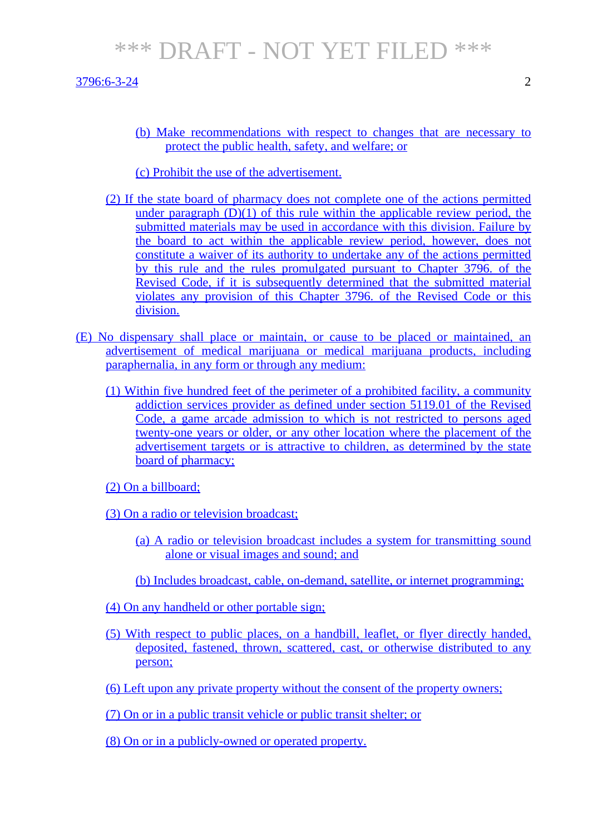#### $3796:6-3-24$  2

(b) Make recommendations with respect to changes that are necessary to protect the public health, safety, and welfare; or

#### (c) Prohibit the use of the advertisement.

- (2) If the state board of pharmacy does not complete one of the actions permitted under paragraph  $(D)(1)$  of this rule within the applicable review period, the submitted materials may be used in accordance with this division. Failure by the board to act within the applicable review period, however, does not constitute a waiver of its authority to undertake any of the actions permitted by this rule and the rules promulgated pursuant to Chapter 3796. of the Revised Code, if it is subsequently determined that the submitted material violates any provision of this Chapter 3796. of the Revised Code or this division.
- (E) No dispensary shall place or maintain, or cause to be placed or maintained, an advertisement of medical marijuana or medical marijuana products, including paraphernalia, in any form or through any medium:
	- (1) Within five hundred feet of the perimeter of a prohibited facility, a community addiction services provider as defined under section 5119.01 of the Revised Code, a game arcade admission to which is not restricted to persons aged twenty-one years or older, or any other location where the placement of the advertisement targets or is attractive to children, as determined by the state board of pharmacy;

(2) On a billboard;

- (3) On a radio or television broadcast;
	- (a) A radio or television broadcast includes a system for transmitting sound alone or visual images and sound; and
	- (b) Includes broadcast, cable, on-demand, satellite, or internet programming;
- (4) On any handheld or other portable sign;
- (5) With respect to public places, on a handbill, leaflet, or flyer directly handed, deposited, fastened, thrown, scattered, cast, or otherwise distributed to any person;
- (6) Left upon any private property without the consent of the property owners;

(7) On or in a public transit vehicle or public transit shelter; or

(8) On or in a publicly-owned or operated property.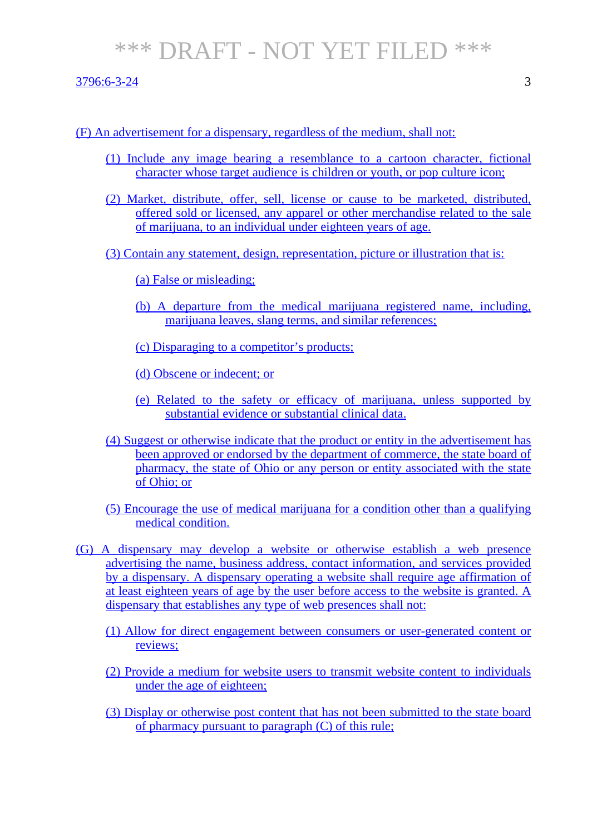3796:6-3-24 3

- (1) Include any image bearing a resemblance to a cartoon character, fictional character whose target audience is children or youth, or pop culture icon;
- (2) Market, distribute, offer, sell, license or cause to be marketed, distributed, offered sold or licensed, any apparel or other merchandise related to the sale of marijuana, to an individual under eighteen years of age.
- (3) Contain any statement, design, representation, picture or illustration that is:

(a) False or misleading;

- (b) A departure from the medical marijuana registered name, including, marijuana leaves, slang terms, and similar references;
- (c) Disparaging to a competitor's products;
- (d) Obscene or indecent; or
- (e) Related to the safety or efficacy of marijuana, unless supported by substantial evidence or substantial clinical data.
- (4) Suggest or otherwise indicate that the product or entity in the advertisement has been approved or endorsed by the department of commerce, the state board of pharmacy, the state of Ohio or any person or entity associated with the state of Ohio; or
- (5) Encourage the use of medical marijuana for a condition other than a qualifying medical condition.
- (G) A dispensary may develop a website or otherwise establish a web presence advertising the name, business address, contact information, and services provided by a dispensary. A dispensary operating a website shall require age affirmation of at least eighteen years of age by the user before access to the website is granted. A dispensary that establishes any type of web presences shall not:
	- (1) Allow for direct engagement between consumers or user-generated content or reviews;
	- (2) Provide a medium for website users to transmit website content to individuals under the age of eighteen;
	- (3) Display or otherwise post content that has not been submitted to the state board of pharmacy pursuant to paragraph (C) of this rule;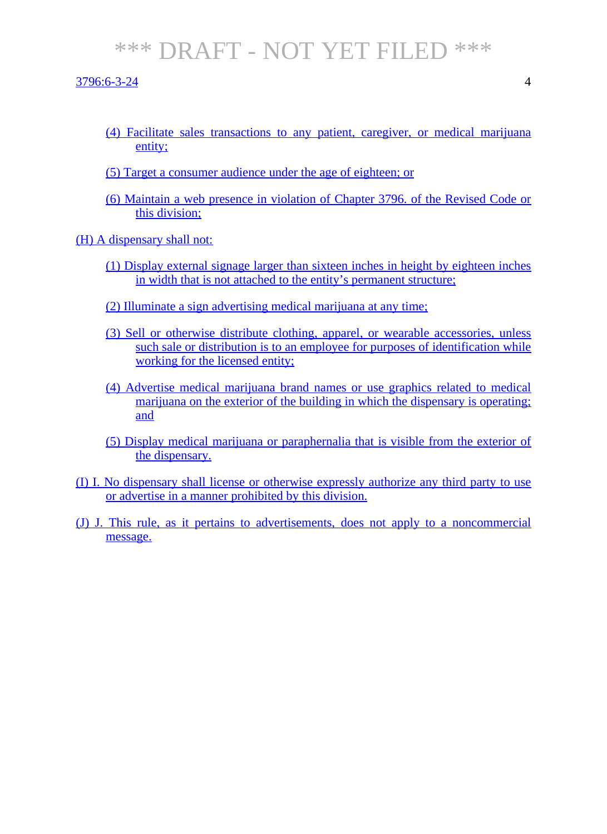3796:6-3-24 4

- (4) Facilitate sales transactions to any patient, caregiver, or medical marijuana entity;
- (5) Target a consumer audience under the age of eighteen; or
- (6) Maintain a web presence in violation of Chapter 3796. of the Revised Code or this division;

(H) A dispensary shall not:

- (1) Display external signage larger than sixteen inches in height by eighteen inches in width that is not attached to the entity's permanent structure;
- (2) Illuminate a sign advertising medical marijuana at any time;
- (3) Sell or otherwise distribute clothing, apparel, or wearable accessories, unless such sale or distribution is to an employee for purposes of identification while working for the licensed entity;
- (4) Advertise medical marijuana brand names or use graphics related to medical marijuana on the exterior of the building in which the dispensary is operating; and
- (5) Display medical marijuana or paraphernalia that is visible from the exterior of the dispensary.
- (I) I. No dispensary shall license or otherwise expressly authorize any third party to use or advertise in a manner prohibited by this division.
- (J) J. This rule, as it pertains to advertisements, does not apply to a noncommercial message.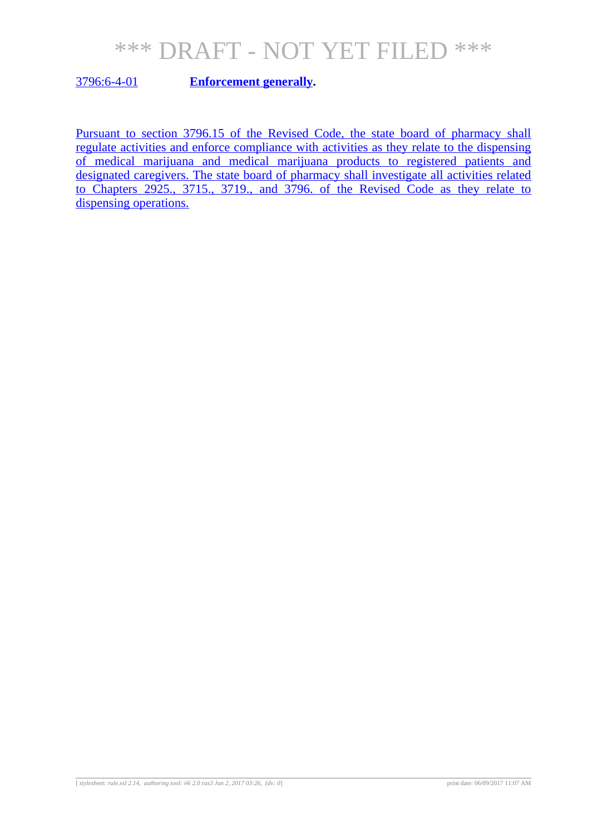3796:6-4-01 **Enforcement generally.**

Pursuant to section 3796.15 of the Revised Code, the state board of pharmacy shall regulate activities and enforce compliance with activities as they relate to the dispensing of medical marijuana and medical marijuana products to registered patients and designated caregivers. The state board of pharmacy shall investigate all activities related to Chapters 2925., 3715., 3719., and 3796. of the Revised Code as they relate to dispensing operations.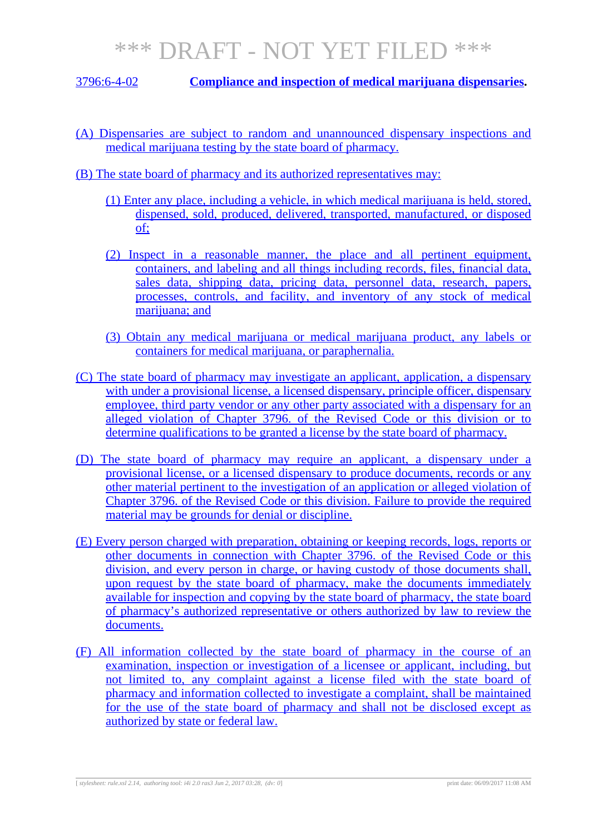3796:6-4-02 **Compliance and inspection of medical marijuana dispensaries.**

- (A) Dispensaries are subject to random and unannounced dispensary inspections and medical marijuana testing by the state board of pharmacy.
- (B) The state board of pharmacy and its authorized representatives may:
	- (1) Enter any place, including a vehicle, in which medical marijuana is held, stored, dispensed, sold, produced, delivered, transported, manufactured, or disposed of;
	- (2) Inspect in a reasonable manner, the place and all pertinent equipment, containers, and labeling and all things including records, files, financial data, sales data, shipping data, pricing data, personnel data, research, papers, processes, controls, and facility, and inventory of any stock of medical marijuana; and
	- (3) Obtain any medical marijuana or medical marijuana product, any labels or containers for medical marijuana, or paraphernalia.
- (C) The state board of pharmacy may investigate an applicant, application, a dispensary with under a provisional license, a licensed dispensary, principle officer, dispensary employee, third party vendor or any other party associated with a dispensary for an alleged violation of Chapter 3796. of the Revised Code or this division or to determine qualifications to be granted a license by the state board of pharmacy.
- (D) The state board of pharmacy may require an applicant, a dispensary under a provisional license, or a licensed dispensary to produce documents, records or any other material pertinent to the investigation of an application or alleged violation of Chapter 3796. of the Revised Code or this division. Failure to provide the required material may be grounds for denial or discipline.
- (E) Every person charged with preparation, obtaining or keeping records, logs, reports or other documents in connection with Chapter 3796. of the Revised Code or this division, and every person in charge, or having custody of those documents shall, upon request by the state board of pharmacy, make the documents immediately available for inspection and copying by the state board of pharmacy, the state board of pharmacy's authorized representative or others authorized by law to review the documents.
- (F) All information collected by the state board of pharmacy in the course of an examination, inspection or investigation of a licensee or applicant, including, but not limited to, any complaint against a license filed with the state board of pharmacy and information collected to investigate a complaint, shall be maintained for the use of the state board of pharmacy and shall not be disclosed except as authorized by state or federal law.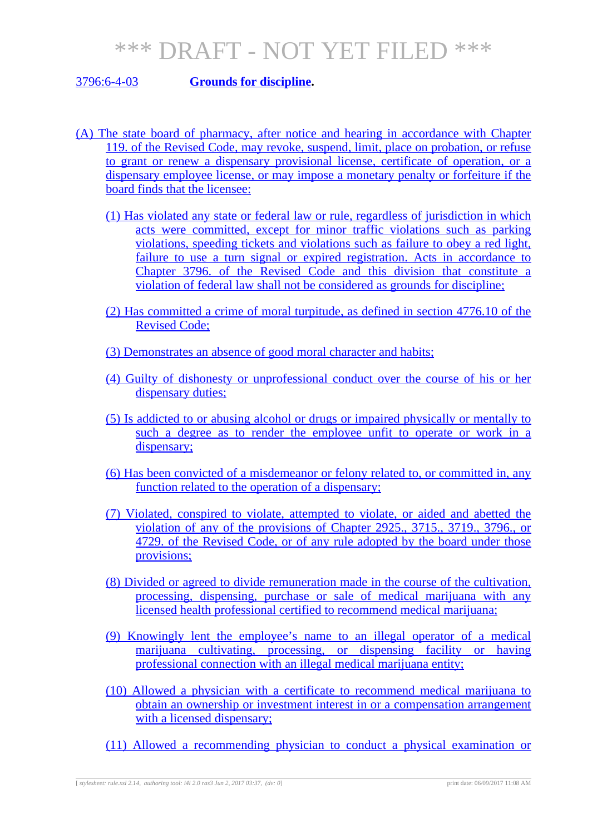#### 3796:6-4-03 **Grounds for discipline.**

- (A) The state board of pharmacy, after notice and hearing in accordance with Chapter 119. of the Revised Code, may revoke, suspend, limit, place on probation, or refuse to grant or renew a dispensary provisional license, certificate of operation, or a dispensary employee license, or may impose a monetary penalty or forfeiture if the board finds that the licensee:
	- (1) Has violated any state or federal law or rule, regardless of jurisdiction in which acts were committed, except for minor traffic violations such as parking violations, speeding tickets and violations such as failure to obey a red light, failure to use a turn signal or expired registration. Acts in accordance to Chapter 3796. of the Revised Code and this division that constitute a violation of federal law shall not be considered as grounds for discipline;
	- (2) Has committed a crime of moral turpitude, as defined in section 4776.10 of the Revised Code;
	- (3) Demonstrates an absence of good moral character and habits;
	- (4) Guilty of dishonesty or unprofessional conduct over the course of his or her dispensary duties;
	- (5) Is addicted to or abusing alcohol or drugs or impaired physically or mentally to such a degree as to render the employee unfit to operate or work in a dispensary;
	- (6) Has been convicted of a misdemeanor or felony related to, or committed in, any function related to the operation of a dispensary;
	- (7) Violated, conspired to violate, attempted to violate, or aided and abetted the violation of any of the provisions of Chapter 2925., 3715., 3719., 3796., or 4729. of the Revised Code, or of any rule adopted by the board under those provisions;
	- (8) Divided or agreed to divide remuneration made in the course of the cultivation, processing, dispensing, purchase or sale of medical marijuana with any licensed health professional certified to recommend medical marijuana;
	- (9) Knowingly lent the employee's name to an illegal operator of a medical marijuana cultivating, processing, or dispensing facility or having professional connection with an illegal medical marijuana entity;
	- (10) Allowed a physician with a certificate to recommend medical marijuana to obtain an ownership or investment interest in or a compensation arrangement with a licensed dispensary;
	- (11) Allowed a recommending physician to conduct a physical examination or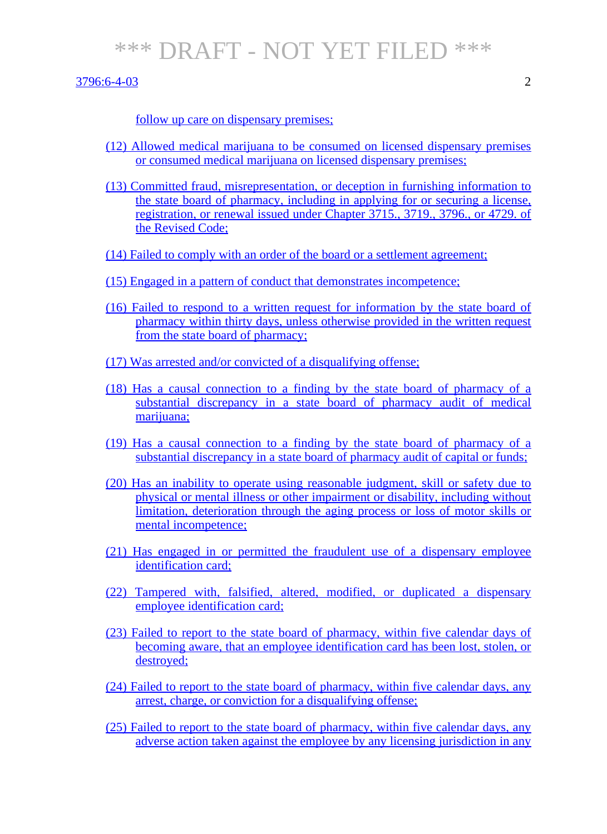3796:6-4-03 2

follow up care on dispensary premises;

- (12) Allowed medical marijuana to be consumed on licensed dispensary premises or consumed medical marijuana on licensed dispensary premises;
- (13) Committed fraud, misrepresentation, or deception in furnishing information to the state board of pharmacy, including in applying for or securing a license, registration, or renewal issued under Chapter 3715., 3719., 3796., or 4729. of the Revised Code;
- (14) Failed to comply with an order of the board or a settlement agreement;
- (15) Engaged in a pattern of conduct that demonstrates incompetence;
- (16) Failed to respond to a written request for information by the state board of pharmacy within thirty days, unless otherwise provided in the written request from the state board of pharmacy;
- (17) Was arrested and/or convicted of a disqualifying offense;
- (18) Has a causal connection to a finding by the state board of pharmacy of a substantial discrepancy in a state board of pharmacy audit of medical marijuana;
- (19) Has a causal connection to a finding by the state board of pharmacy of a substantial discrepancy in a state board of pharmacy audit of capital or funds;
- (20) Has an inability to operate using reasonable judgment, skill or safety due to physical or mental illness or other impairment or disability, including without limitation, deterioration through the aging process or loss of motor skills or mental incompetence;
- (21) Has engaged in or permitted the fraudulent use of a dispensary employee identification card;
- (22) Tampered with, falsified, altered, modified, or duplicated a dispensary employee identification card;
- (23) Failed to report to the state board of pharmacy, within five calendar days of becoming aware, that an employee identification card has been lost, stolen, or destroyed;
- (24) Failed to report to the state board of pharmacy, within five calendar days, any arrest, charge, or conviction for a disqualifying offense;
- (25) Failed to report to the state board of pharmacy, within five calendar days, any adverse action taken against the employee by any licensing jurisdiction in any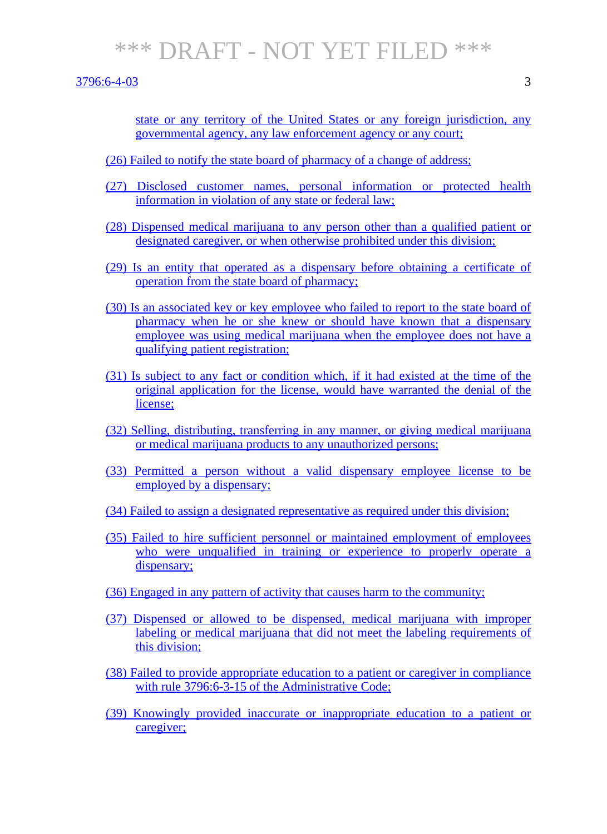3796:6-4-03 3

state or any territory of the United States or any foreign jurisdiction, any governmental agency, any law enforcement agency or any court;

- (26) Failed to notify the state board of pharmacy of a change of address;
- (27) Disclosed customer names, personal information or protected health information in violation of any state or federal law;
- (28) Dispensed medical marijuana to any person other than a qualified patient or designated caregiver, or when otherwise prohibited under this division;
- (29) Is an entity that operated as a dispensary before obtaining a certificate of operation from the state board of pharmacy;
- (30) Is an associated key or key employee who failed to report to the state board of pharmacy when he or she knew or should have known that a dispensary employee was using medical marijuana when the employee does not have a qualifying patient registration;
- (31) Is subject to any fact or condition which, if it had existed at the time of the original application for the license, would have warranted the denial of the license;
- (32) Selling, distributing, transferring in any manner, or giving medical marijuana or medical marijuana products to any unauthorized persons;
- (33) Permitted a person without a valid dispensary employee license to be employed by a dispensary;
- (34) Failed to assign a designated representative as required under this division;
- (35) Failed to hire sufficient personnel or maintained employment of employees who were unqualified in training or experience to properly operate a dispensary:
- (36) Engaged in any pattern of activity that causes harm to the community;
- (37) Dispensed or allowed to be dispensed, medical marijuana with improper labeling or medical marijuana that did not meet the labeling requirements of this division;
- (38) Failed to provide appropriate education to a patient or caregiver in compliance with rule 3796:6-3-15 of the Administrative Code:
- (39) Knowingly provided inaccurate or inappropriate education to a patient or caregiver;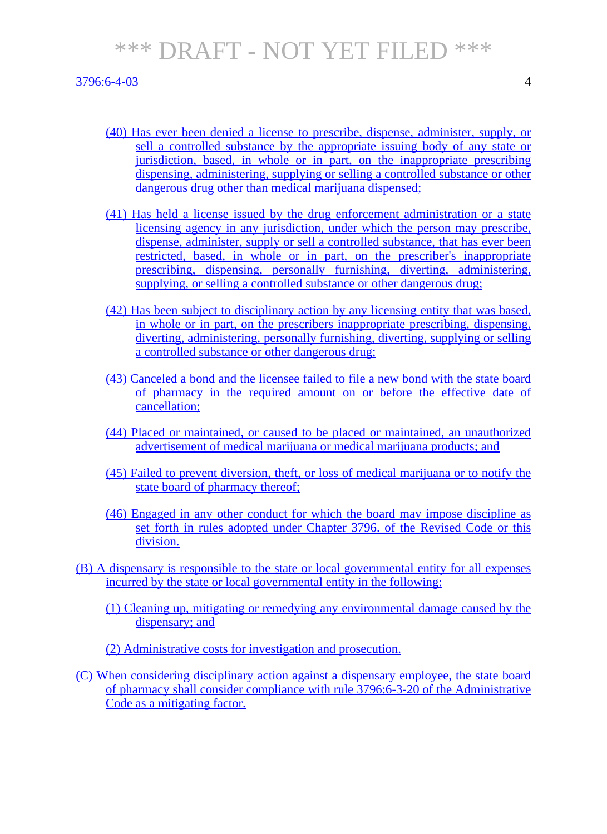#### 3796:6-4-03 4

- (40) Has ever been denied a license to prescribe, dispense, administer, supply, or sell a controlled substance by the appropriate issuing body of any state or jurisdiction, based, in whole or in part, on the inappropriate prescribing dispensing, administering, supplying or selling a controlled substance or other dangerous drug other than medical marijuana dispensed:
- (41) Has held a license issued by the drug enforcement administration or a state licensing agency in any jurisdiction, under which the person may prescribe, dispense, administer, supply or sell a controlled substance, that has ever been restricted, based, in whole or in part, on the prescriber's inappropriate prescribing, dispensing, personally furnishing, diverting, administering, supplying, or selling a controlled substance or other dangerous drug;
- (42) Has been subject to disciplinary action by any licensing entity that was based, in whole or in part, on the prescribers inappropriate prescribing, dispensing, diverting, administering, personally furnishing, diverting, supplying or selling a controlled substance or other dangerous drug;
- (43) Canceled a bond and the licensee failed to file a new bond with the state board of pharmacy in the required amount on or before the effective date of cancellation;
- (44) Placed or maintained, or caused to be placed or maintained, an unauthorized advertisement of medical marijuana or medical marijuana products; and
- (45) Failed to prevent diversion, theft, or loss of medical marijuana or to notify the state board of pharmacy thereof;
- (46) Engaged in any other conduct for which the board may impose discipline as set forth in rules adopted under Chapter 3796. of the Revised Code or this division.
- (B) A dispensary is responsible to the state or local governmental entity for all expenses incurred by the state or local governmental entity in the following:
	- (1) Cleaning up, mitigating or remedying any environmental damage caused by the dispensary; and
	- (2) Administrative costs for investigation and prosecution.
- (C) When considering disciplinary action against a dispensary employee, the state board of pharmacy shall consider compliance with rule 3796:6-3-20 of the Administrative Code as a mitigating factor.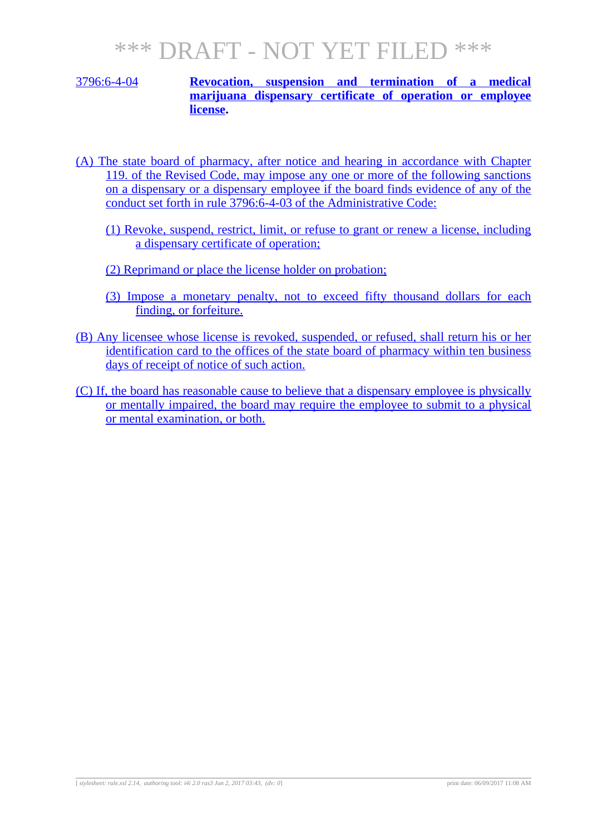#### 3796:6-4-04 **Revocation, suspension and termination of a medical marijuana dispensary certificate of operation or employee license.**

- (A) The state board of pharmacy, after notice and hearing in accordance with Chapter 119. of the Revised Code, may impose any one or more of the following sanctions on a dispensary or a dispensary employee if the board finds evidence of any of the conduct set forth in rule 3796:6-4-03 of the Administrative Code:
	- (1) Revoke, suspend, restrict, limit, or refuse to grant or renew a license, including a dispensary certificate of operation;
	- (2) Reprimand or place the license holder on probation;
	- (3) Impose a monetary penalty, not to exceed fifty thousand dollars for each finding, or forfeiture.
- (B) Any licensee whose license is revoked, suspended, or refused, shall return his or her identification card to the offices of the state board of pharmacy within ten business days of receipt of notice of such action.
- (C) If, the board has reasonable cause to believe that a dispensary employee is physically or mentally impaired, the board may require the employee to submit to a physical or mental examination, or both.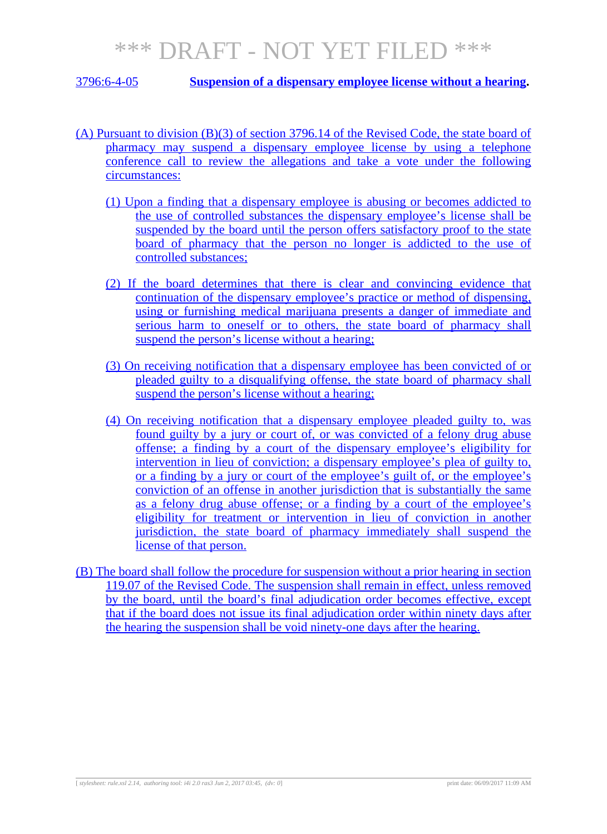3796:6-4-05 **Suspension of a dispensary employee license without a hearing.**

- (A) Pursuant to division (B)(3) of section 3796.14 of the Revised Code, the state board of pharmacy may suspend a dispensary employee license by using a telephone conference call to review the allegations and take a vote under the following circumstances:
	- (1) Upon a finding that a dispensary employee is abusing or becomes addicted to the use of controlled substances the dispensary employee's license shall be suspended by the board until the person offers satisfactory proof to the state board of pharmacy that the person no longer is addicted to the use of controlled substances;
	- (2) If the board determines that there is clear and convincing evidence that continuation of the dispensary employee's practice or method of dispensing, using or furnishing medical marijuana presents a danger of immediate and serious harm to oneself or to others, the state board of pharmacy shall suspend the person's license without a hearing;
	- (3) On receiving notification that a dispensary employee has been convicted of or pleaded guilty to a disqualifying offense, the state board of pharmacy shall suspend the person's license without a hearing;
	- (4) On receiving notification that a dispensary employee pleaded guilty to, was found guilty by a jury or court of, or was convicted of a felony drug abuse offense; a finding by a court of the dispensary employee's eligibility for intervention in lieu of conviction; a dispensary employee's plea of guilty to, or a finding by a jury or court of the employee's guilt of, or the employee's conviction of an offense in another jurisdiction that is substantially the same as a felony drug abuse offense; or a finding by a court of the employee's eligibility for treatment or intervention in lieu of conviction in another jurisdiction, the state board of pharmacy immediately shall suspend the license of that person.
- (B) The board shall follow the procedure for suspension without a prior hearing in section 119.07 of the Revised Code. The suspension shall remain in effect, unless removed by the board, until the board's final adjudication order becomes effective, except that if the board does not issue its final adjudication order within ninety days after the hearing the suspension shall be void ninety-one days after the hearing.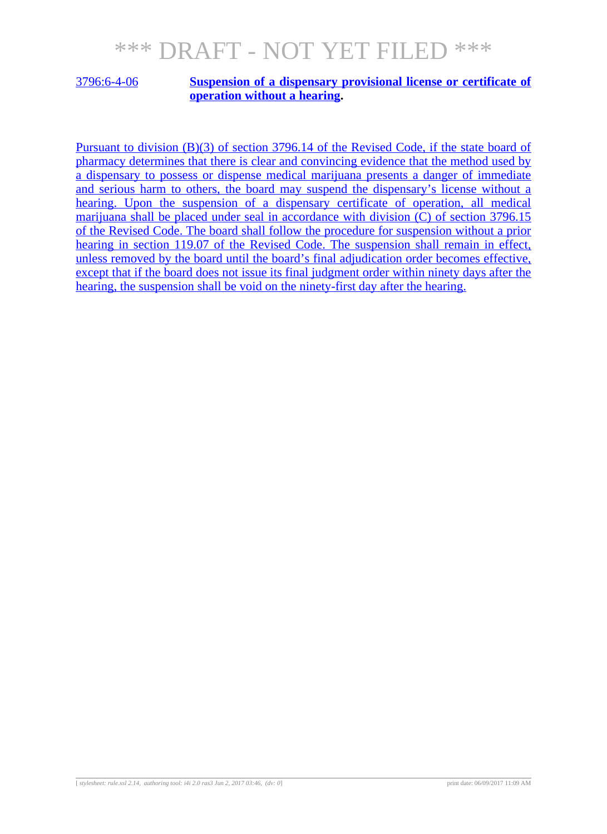#### 3796:6-4-06 **Suspension of a dispensary provisional license or certificate of operation without a hearing.**

Pursuant to division (B)(3) of section 3796.14 of the Revised Code, if the state board of pharmacy determines that there is clear and convincing evidence that the method used by a dispensary to possess or dispense medical marijuana presents a danger of immediate and serious harm to others, the board may suspend the dispensary's license without a hearing. Upon the suspension of a dispensary certificate of operation, all medical marijuana shall be placed under seal in accordance with division (C) of section 3796.15 of the Revised Code. The board shall follow the procedure for suspension without a prior hearing in section 119.07 of the Revised Code. The suspension shall remain in effect, unless removed by the board until the board's final adjudication order becomes effective, except that if the board does not issue its final judgment order within ninety days after the hearing, the suspension shall be void on the ninety-first day after the hearing.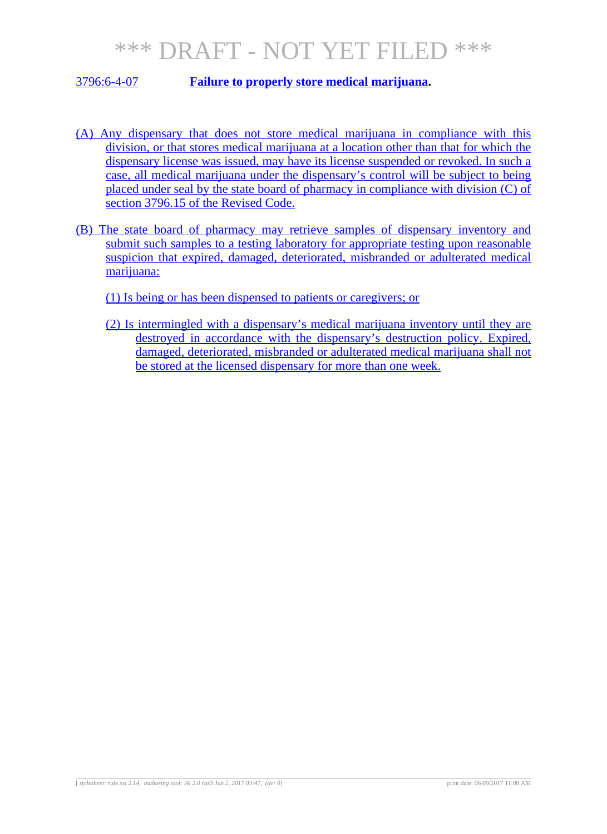3796:6-4-07 **Failure to properly store medical marijuana.**

- (A) Any dispensary that does not store medical marijuana in compliance with this division, or that stores medical marijuana at a location other than that for which the dispensary license was issued, may have its license suspended or revoked. In such a case, all medical marijuana under the dispensary's control will be subject to being placed under seal by the state board of pharmacy in compliance with division (C) of section 3796.15 of the Revised Code.
- (B) The state board of pharmacy may retrieve samples of dispensary inventory and submit such samples to a testing laboratory for appropriate testing upon reasonable suspicion that expired, damaged, deteriorated, misbranded or adulterated medical marijuana:
	- (1) Is being or has been dispensed to patients or caregivers; or
	- (2) Is intermingled with a dispensary's medical marijuana inventory until they are destroyed in accordance with the dispensary's destruction policy. Expired, damaged, deteriorated, misbranded or adulterated medical marijuana shall not be stored at the licensed dispensary for more than one week.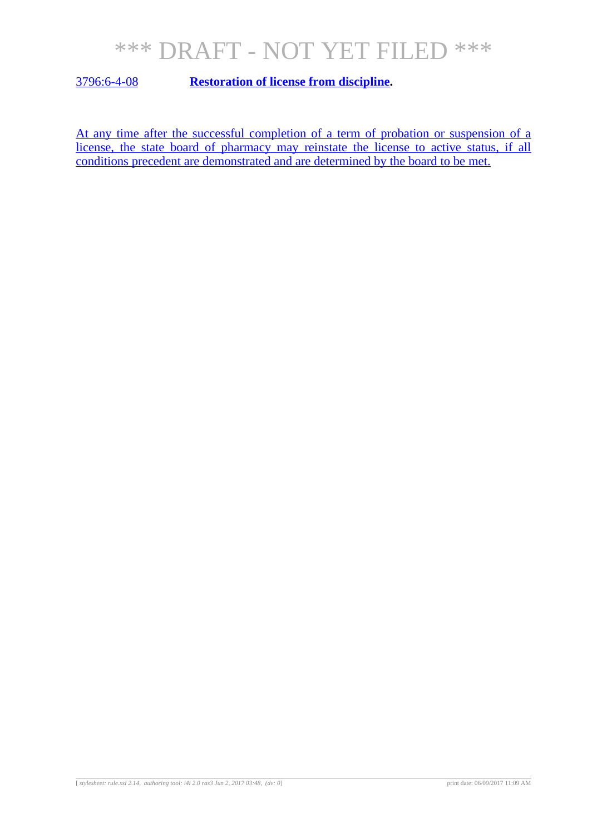3796:6-4-08 **Restoration of license from discipline.**

At any time after the successful completion of a term of probation or suspension of a license, the state board of pharmacy may reinstate the license to active status, if all conditions precedent are demonstrated and are determined by the board to be met.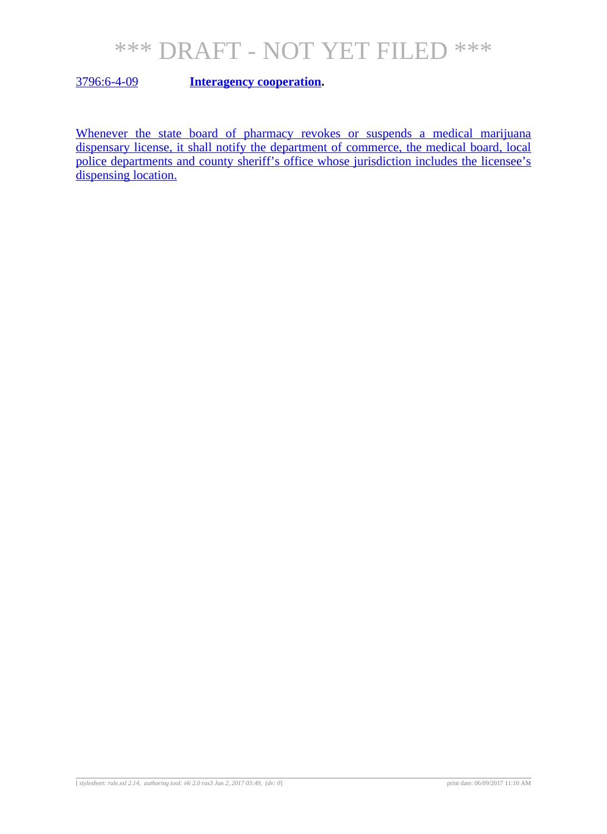3796:6-4-09 **Interagency cooperation.**

Whenever the state board of pharmacy revokes or suspends a medical marijuana dispensary license, it shall notify the department of commerce, the medical board, local police departments and county sheriff's office whose jurisdiction includes the licensee's dispensing location.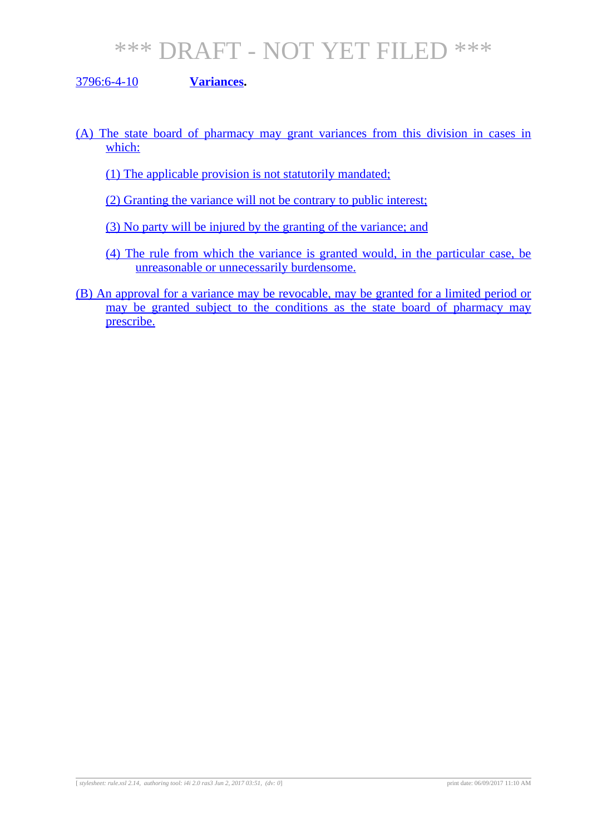#### 3796:6-4-10 **Variances.**

- (A) The state board of pharmacy may grant variances from this division in cases in which:
	- (1) The applicable provision is not statutorily mandated;
	- (2) Granting the variance will not be contrary to public interest;
	- (3) No party will be injured by the granting of the variance; and
	- (4) The rule from which the variance is granted would, in the particular case, be unreasonable or unnecessarily burdensome.
- (B) An approval for a variance may be revocable, may be granted for a limited period or may be granted subject to the conditions as the state board of pharmacy may prescribe.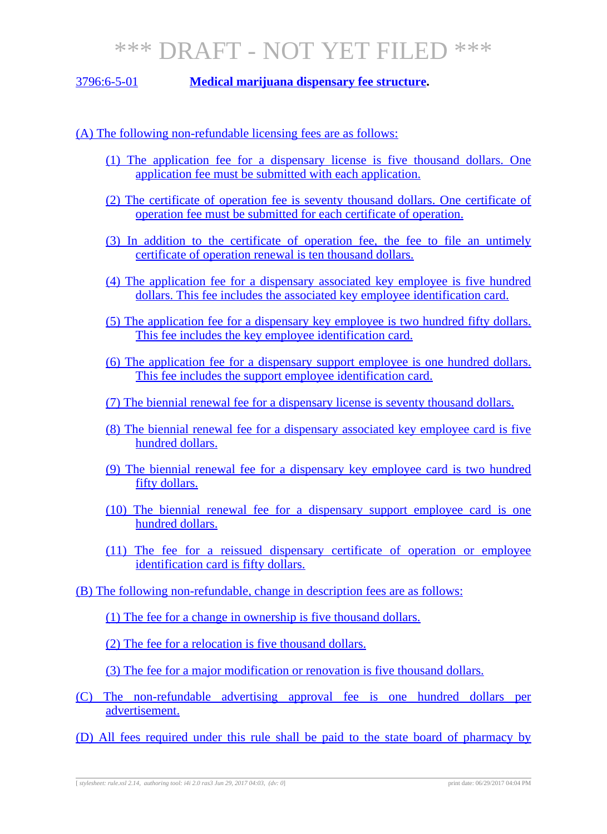3796:6-5-01 **Medical marijuana dispensary fee structure.**

#### (A) The following non-refundable licensing fees are as follows:

- (1) The application fee for a dispensary license is five thousand dollars. One application fee must be submitted with each application.
- (2) The certificate of operation fee is seventy thousand dollars. One certificate of operation fee must be submitted for each certificate of operation.
- (3) In addition to the certificate of operation fee, the fee to file an untimely certificate of operation renewal is ten thousand dollars.
- (4) The application fee for a dispensary associated key employee is five hundred dollars. This fee includes the associated key employee identification card.
- (5) The application fee for a dispensary key employee is two hundred fifty dollars. This fee includes the key employee identification card.
- (6) The application fee for a dispensary support employee is one hundred dollars. This fee includes the support employee identification card.
- (7) The biennial renewal fee for a dispensary license is seventy thousand dollars.
- (8) The biennial renewal fee for a dispensary associated key employee card is five hundred dollars.
- (9) The biennial renewal fee for a dispensary key employee card is two hundred fifty dollars.
- (10) The biennial renewal fee for a dispensary support employee card is one hundred dollars.
- (11) The fee for a reissued dispensary certificate of operation or employee identification card is fifty dollars.
- (B) The following non-refundable, change in description fees are as follows:
	- (1) The fee for a change in ownership is five thousand dollars.

(2) The fee for a relocation is five thousand dollars.

(3) The fee for a major modification or renovation is five thousand dollars.

(C) The non-refundable advertising approval fee is one hundred dollars per advertisement.

(D) All fees required under this rule shall be paid to the state board of pharmacy by